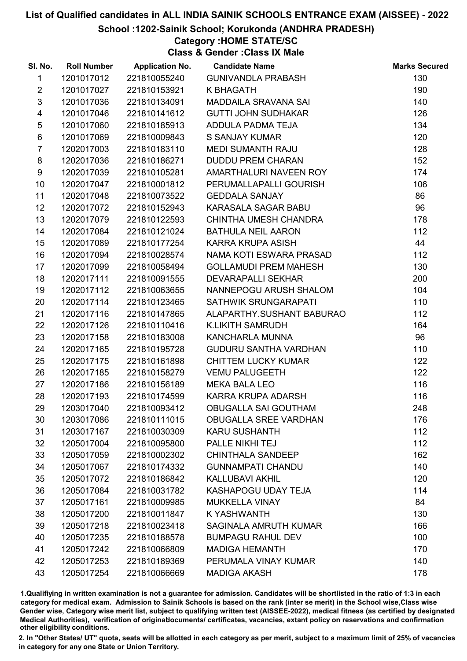School :1202-Sainik School; Korukonda (ANDHRA PRADESH)

### Category :HOME STATE/SC

Class & Gender :Class IX Male

| SI. No.         | <b>Roll Number</b> | <b>Application No.</b> | <b>Candidate Name</b>        | <b>Marks Secured</b> |
|-----------------|--------------------|------------------------|------------------------------|----------------------|
| $\mathbf{1}$    | 1201017012         | 221810055240           | <b>GUNIVANDLA PRABASH</b>    | 130                  |
| $\overline{2}$  | 1201017027         | 221810153921           | <b>K BHAGATH</b>             | 190                  |
| 3               | 1201017036         | 221810134091           | MADDAILA SRAVANA SAI         | 140                  |
| $\overline{4}$  | 1201017046         | 221810141612           | <b>GUTTI JOHN SUDHAKAR</b>   | 126                  |
| 5               | 1201017060         | 221810185913           | ADDULA PADMA TEJA            | 134                  |
| $\,6$           | 1201017069         | 221810009843           | <b>S SANJAY KUMAR</b>        | 120                  |
| $\overline{7}$  | 1202017003         | 221810183110           | <b>MEDI SUMANTH RAJU</b>     | 128                  |
| 8               | 1202017036         | 221810186271           | <b>DUDDU PREM CHARAN</b>     | 152                  |
| 9               | 1202017039         | 221810105281           | AMARTHALURI NAVEEN ROY       | 174                  |
| 10              | 1202017047         | 221810001812           | PERUMALLAPALLI GOURISH       | 106                  |
| 11              | 1202017048         | 221810073522           | <b>GEDDALA SANJAY</b>        | 86                   |
| 12 <sup>2</sup> | 1202017072         | 221810152943           | KARASALA SAGAR BABU          | 96                   |
| 13              | 1202017079         | 221810122593           | CHINTHA UMESH CHANDRA        | 178                  |
| 14              | 1202017084         | 221810121024           | <b>BATHULA NEIL AARON</b>    | 112                  |
| 15              | 1202017089         | 221810177254           | KARRA KRUPA ASISH            | 44                   |
| 16              | 1202017094         | 221810028574           | NAMA KOTI ESWARA PRASAD      | 112                  |
| 17              | 1202017099         | 221810058494           | <b>GOLLAMUDI PREM MAHESH</b> | 130                  |
| 18              | 1202017111         | 221810091555           | <b>DEVARAPALLI SEKHAR</b>    | 200                  |
| 19              | 1202017112         | 221810063655           | NANNEPOGU ARUSH SHALOM       | 104                  |
| 20              | 1202017114         | 221810123465           | SATHWIK SRUNGARAPATI         | 110                  |
| 21              | 1202017116         | 221810147865           | ALAPARTHY.SUSHANT BABURAO    | 112                  |
| 22              | 1202017126         | 221810110416           | <b>K.LIKITH SAMRUDH</b>      | 164                  |
| 23              | 1202017158         | 221810183008           | KANCHARLA MUNNA              | 96                   |
| 24              | 1202017165         | 221810195728           | GUDURU SANTHA VARDHAN        | 110                  |
| 25              | 1202017175         | 221810161898           | <b>CHITTEM LUCKY KUMAR</b>   | 122                  |
| 26              | 1202017185         | 221810158279           | <b>VEMU PALUGEETH</b>        | 122                  |
| 27              | 1202017186         | 221810156189           | <b>MEKA BALA LEO</b>         | 116                  |
| 28              | 1202017193         | 221810174599           | KARRA KRUPA ADARSH           | 116                  |
| 29              | 1203017040         | 221810093412           | OBUGALLA SAI GOUTHAM         | 248                  |
| 30              | 1203017086         | 221810111015           | <b>OBUGALLA SREE VARDHAN</b> | 176                  |
| 31              | 1203017167         | 221810030309           | <b>KARU SUSHANTH</b>         | 112                  |
| 32              | 1205017004         | 221810095800           | PALLE NIKHI TEJ              | 112                  |
| 33              | 1205017059         | 221810002302           | <b>CHINTHALA SANDEEP</b>     | 162                  |
| 34              | 1205017067         | 221810174332           | <b>GUNNAMPATI CHANDU</b>     | 140                  |
| 35              | 1205017072         | 221810186842           | <b>KALLUBAVI AKHIL</b>       | 120                  |
| 36              | 1205017084         | 221810031782           | KASHAPOGU UDAY TEJA          | 114                  |
| 37              | 1205017161         | 221810009985           | <b>MUKKELLA VINAY</b>        | 84                   |
| 38              | 1205017200         | 221810011847           | <b>K YASHWANTH</b>           | 130                  |
| 39              | 1205017218         | 221810023418           | SAGINALA AMRUTH KUMAR        | 166                  |
| 40              | 1205017235         | 221810188578           | <b>BUMPAGU RAHUL DEV</b>     | 100                  |
| 41              | 1205017242         | 221810066809           | <b>MADIGA HEMANTH</b>        | 170                  |
| 42              | 1205017253         | 221810189369           | PERUMALA VINAY KUMAR         | 140                  |
| 43              | 1205017254         | 221810066669           | <b>MADIGA AKASH</b>          | 178                  |

1.Qualifiying in written examination is not a guarantee for admission. Candidates will be shortlisted in the ratio of 1:3 in each category for medical exam. Admission to Sainik Schools is based on the rank (inter se merit) in the School wise,Class wise Gender wise, Category wise merit list, subject to qualifying written test (AISSEE-2022), medical fitness (as certified by designated Medical Authorities), verification of originablocuments/ certificates, vacancies, extant policy on reservations and confirmation other eligibility conditions.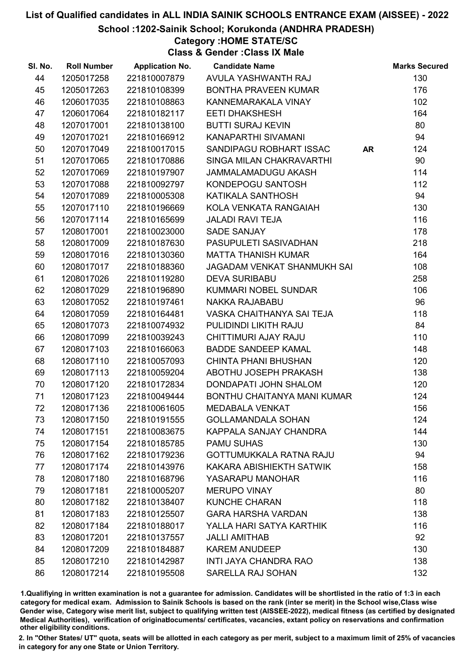School :1202-Sainik School; Korukonda (ANDHRA PRADESH)

Category :HOME STATE/SC

Class & Gender :Class IX Male

| SI. No. | <b>Roll Number</b> | <b>Application No.</b> | <b>Candidate Name</b>          |           | <b>Marks Secured</b> |
|---------|--------------------|------------------------|--------------------------------|-----------|----------------------|
| 44      | 1205017258         | 221810007879           | AVULA YASHWANTH RAJ            |           | 130                  |
| 45      | 1205017263         | 221810108399           | <b>BONTHA PRAVEEN KUMAR</b>    |           | 176                  |
| 46      | 1206017035         | 221810108863           | KANNEMARAKALA VINAY            |           | 102                  |
| 47      | 1206017064         | 221810182117           | <b>EETI DHAKSHESH</b>          |           | 164                  |
| 48      | 1207017001         | 221810138100           | <b>BUTTI SURAJ KEVIN</b>       |           | 80                   |
| 49      | 1207017021         | 221810166912           | KANAPARTHI SIVAMANI            |           | 94                   |
| 50      | 1207017049         | 221810017015           | SANDIPAGU ROBHART ISSAC        | <b>AR</b> | 124                  |
| 51      | 1207017065         | 221810170886           | SINGA MILAN CHAKRAVARTHI       |           | 90                   |
| 52      | 1207017069         | 221810197907           | JAMMALAMADUGU AKASH            |           | 114                  |
| 53      | 1207017088         | 221810092797           | KONDEPOGU SANTOSH              |           | 112                  |
| 54      | 1207017089         | 221810005308           | KATIKALA SANTHOSH              |           | 94                   |
| 55      | 1207017110         | 221810196669           | KOLA VENKATA RANGAIAH          |           | 130                  |
| 56      | 1207017114         | 221810165699           | <b>JALADI RAVI TEJA</b>        |           | 116                  |
| 57      | 1208017001         | 221810023000           | <b>SADE SANJAY</b>             |           | 178                  |
| 58      | 1208017009         | 221810187630           | PASUPULETI SASIVADHAN          |           | 218                  |
| 59      | 1208017016         | 221810130360           | <b>MATTA THANISH KUMAR</b>     |           | 164                  |
| 60      | 1208017017         | 221810188360           | JAGADAM VENKAT SHANMUKH SAI    |           | 108                  |
| 61      | 1208017026         | 221810119280           | <b>DEVA SURIBABU</b>           |           | 258                  |
| 62      | 1208017029         | 221810196890           | KUMMARI NOBEL SUNDAR           |           | 106                  |
| 63      | 1208017052         | 221810197461           | NAKKA RAJABABU                 |           | 96                   |
| 64      | 1208017059         | 221810164481           | VASKA CHAITHANYA SAI TEJA      |           | 118                  |
| 65      | 1208017073         | 221810074932           | PULIDINDI LIKITH RAJU          |           | 84                   |
| 66      | 1208017099         | 221810039243           | CHITTIMURI AJAY RAJU           |           | 110                  |
| 67      | 1208017103         | 221810166063           | <b>BADDE SANDEEP KAMAL</b>     |           | 148                  |
| 68      | 1208017110         | 221810057093           | <b>CHINTA PHANI BHUSHAN</b>    |           | 120                  |
| 69      | 1208017113         | 221810059204           | ABOTHU JOSEPH PRAKASH          |           | 138                  |
| 70      | 1208017120         | 221810172834           | DONDAPATI JOHN SHALOM          |           | 120                  |
| 71      | 1208017123         | 221810049444           | BONTHU CHAITANYA MANI KUMAR    |           | 124                  |
| 72      | 1208017136         | 221810061605           | <b>MEDABALA VENKAT</b>         |           | 156                  |
| 73      | 1208017150         | 221810191555           | <b>GOLLAMANDALA SOHAN</b>      |           | 124                  |
| 74      | 1208017151         | 221810083675           | KAPPALA SANJAY CHANDRA         |           | 144                  |
| 75      | 1208017154         | 221810185785           | <b>PAMU SUHAS</b>              |           | 130                  |
| 76      | 1208017162         | 221810179236           | <b>GOTTUMUKKALA RATNA RAJU</b> |           | 94                   |
| 77      | 1208017174         | 221810143976           | KAKARA ABISHIEKTH SATWIK       |           | 158                  |
| 78      | 1208017180         | 221810168796           | YASARAPU MANOHAR               |           | 116                  |
| 79      | 1208017181         | 221810005207           | <b>MERUPO VINAY</b>            |           | 80                   |
| 80      | 1208017182         | 221810138407           | <b>KUNCHE CHARAN</b>           |           | 118                  |
| 81      | 1208017183         | 221810125507           | <b>GARA HARSHA VARDAN</b>      |           | 138                  |
| 82      | 1208017184         | 221810188017           | YALLA HARI SATYA KARTHIK       |           | 116                  |
| 83      | 1208017201         | 221810137557           | <b>JALLI AMITHAB</b>           |           | 92                   |
| 84      | 1208017209         | 221810184887           | <b>KAREM ANUDEEP</b>           |           | 130                  |
| 85      | 1208017210         | 221810142987           | <b>INTI JAYA CHANDRA RAO</b>   |           | 138                  |
| 86      | 1208017214         | 221810195508           | SARELLA RAJ SOHAN              |           | 132                  |

1.Qualifiying in written examination is not a guarantee for admission. Candidates will be shortlisted in the ratio of 1:3 in each category for medical exam. Admission to Sainik Schools is based on the rank (inter se merit) in the School wise,Class wise Gender wise, Category wise merit list, subject to qualifying written test (AISSEE-2022), medical fitness (as certified by designated Medical Authorities), verification of originablocuments/ certificates, vacancies, extant policy on reservations and confirmation other eligibility conditions.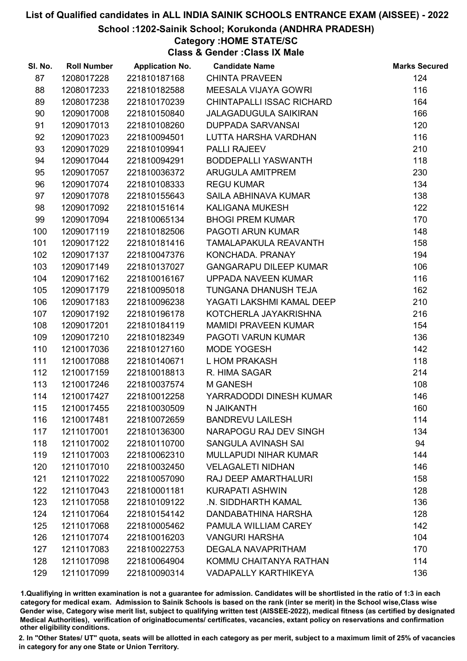#### School :1202-Sainik School; Korukonda (ANDHRA PRADESH)

### Category :HOME STATE/SC

Class & Gender :Class IX Male

| SI. No. | <b>Roll Number</b> | <b>Application No.</b> | <b>Candidate Name</b>            | <b>Marks Secured</b> |
|---------|--------------------|------------------------|----------------------------------|----------------------|
| 87      | 1208017228         | 221810187168           | <b>CHINTA PRAVEEN</b>            | 124                  |
| 88      | 1208017233         | 221810182588           | MEESALA VIJAYA GOWRI             | 116                  |
| 89      | 1208017238         | 221810170239           | <b>CHINTAPALLI ISSAC RICHARD</b> | 164                  |
| 90      | 1209017008         | 221810150840           | <b>JALAGADUGULA SAIKIRAN</b>     | 166                  |
| 91      | 1209017013         | 221810108260           | <b>DUPPADA SARVANSAI</b>         | 120                  |
| 92      | 1209017023         | 221810094501           | LUTTA HARSHA VARDHAN             | 116                  |
| 93      | 1209017029         | 221810109941           | <b>PALLI RAJEEV</b>              | 210                  |
| 94      | 1209017044         | 221810094291           | BODDEPALLI YASWANTH              | 118                  |
| 95      | 1209017057         | 221810036372           | <b>ARUGULA AMITPREM</b>          | 230                  |
| 96      | 1209017074         | 221810108333           | <b>REGU KUMAR</b>                | 134                  |
| 97      | 1209017078         | 221810155643           | SAILA ABHINAVA KUMAR             | 138                  |
| 98      | 1209017092         | 221810151614           | <b>KALIGANA MUKESH</b>           | 122                  |
| 99      | 1209017094         | 221810065134           | <b>BHOGI PREM KUMAR</b>          | 170                  |
| 100     | 1209017119         | 221810182506           | <b>PAGOTI ARUN KUMAR</b>         | 148                  |
| 101     | 1209017122         | 221810181416           | TAMALAPAKULA REAVANTH            | 158                  |
| 102     | 1209017137         | 221810047376           | KONCHADA. PRANAY                 | 194                  |
| 103     | 1209017149         | 221810137027           | <b>GANGARAPU DILEEP KUMAR</b>    | 106                  |
| 104     | 1209017162         | 221810016167           | UPPADA NAVEEN KUMAR              | 116                  |
| 105     | 1209017179         | 221810095018           | TUNGANA DHANUSH TEJA             | 162                  |
| 106     | 1209017183         | 221810096238           | YAGATI LAKSHMI KAMAL DEEP        | 210                  |
| 107     | 1209017192         | 221810196178           | KOTCHERLA JAYAKRISHNA            | 216                  |
| 108     | 1209017201         | 221810184119           | <b>MAMIDI PRAVEEN KUMAR</b>      | 154                  |
| 109     | 1209017210         | 221810182349           | PAGOTI VARUN KUMAR               | 136                  |
| 110     | 1210017036         | 221810127160           | MODE YOGESH                      | 142                  |
| 111     | 1210017088         | 221810140671           | L HOM PRAKASH                    | 118                  |
| 112     | 1210017159         | 221810018813           | R. HIMA SAGAR                    | 214                  |
| 113     | 1210017246         | 221810037574           | M GANESH                         | 108                  |
| 114     | 1210017427         | 221810012258           | YARRADODDI DINESH KUMAR          | 146                  |
| 115     | 1210017455         | 221810030509           | N JAIKANTH                       | 160                  |
| 116     | 1210017481         | 221810072659           | <b>BANDREVU LAILESH</b>          | 114                  |
| 117     | 1211017001         | 221810136300           | NARAPOGU RAJ DEV SINGH           | 134                  |
| 118     | 1211017002         | 221810110700           | SANGULA AVINASH SAI              | 94                   |
| 119     | 1211017003         | 221810062310           | <b>MULLAPUDI NIHAR KUMAR</b>     | 144                  |
| 120     | 1211017010         | 221810032450           | <b>VELAGALETI NIDHAN</b>         | 146                  |
| 121     | 1211017022         | 221810057090           | <b>RAJ DEEP AMARTHALURI</b>      | 158                  |
| 122     | 1211017043         | 221810001181           | <b>KURAPATI ASHWIN</b>           | 128                  |
| 123     | 1211017058         | 221810109122           | .N. SIDDHARTH KAMAL              | 136                  |
| 124     | 1211017064         | 221810154142           | DANDABATHINA HARSHA              | 128                  |
| 125     | 1211017068         | 221810005462           | PAMULA WILLIAM CAREY             | 142                  |
| 126     | 1211017074         | 221810016203           | <b>VANGURI HARSHA</b>            | 104                  |
| 127     | 1211017083         | 221810022753           | <b>DEGALA NAVAPRITHAM</b>        | 170                  |
| 128     | 1211017098         | 221810064904           | KOMMU CHAITANYA RATHAN           | 114                  |
| 129     | 1211017099         | 221810090314           | <b>VADAPALLY KARTHIKEYA</b>      | 136                  |

1.Qualifiying in written examination is not a guarantee for admission. Candidates will be shortlisted in the ratio of 1:3 in each category for medical exam. Admission to Sainik Schools is based on the rank (inter se merit) in the School wise,Class wise Gender wise, Category wise merit list, subject to qualifying written test (AISSEE-2022), medical fitness (as certified by designated Medical Authorities), verification of originablocuments/ certificates, vacancies, extant policy on reservations and confirmation other eligibility conditions.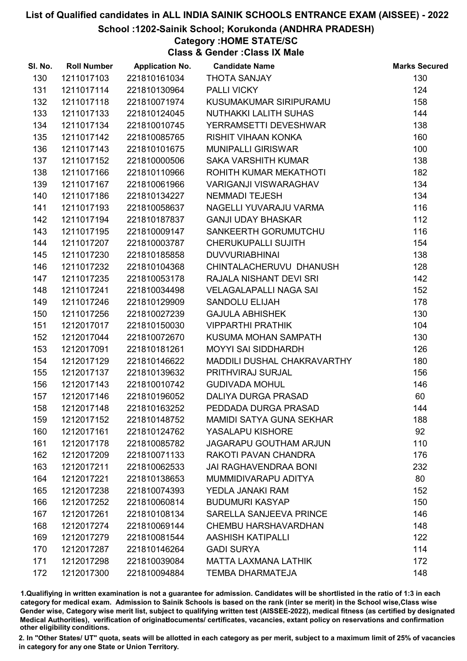School :1202-Sainik School; Korukonda (ANDHRA PRADESH)

# Category :HOME STATE/SC

Class & Gender :Class IX Male

| SI. No. | <b>Roll Number</b> | <b>Application No.</b> | <b>Candidate Name</b>           | <b>Marks Secured</b> |
|---------|--------------------|------------------------|---------------------------------|----------------------|
| 130     | 1211017103         | 221810161034           | <b>THOTA SANJAY</b>             | 130                  |
| 131     | 1211017114         | 221810130964           | PALLI VICKY                     | 124                  |
| 132     | 1211017118         | 221810071974           | KUSUMAKUMAR SIRIPURAMU          | 158                  |
| 133     | 1211017133         | 221810124045           | <b>NUTHAKKI LALITH SUHAS</b>    | 144                  |
| 134     | 1211017134         | 221810010745           | YERRAMSETTI DEVESHWAR           | 138                  |
| 135     | 1211017142         | 221810085765           | <b>RISHIT VIHAAN KONKA</b>      | 160                  |
| 136     | 1211017143         | 221810101675           | <b>MUNIPALLI GIRISWAR</b>       | 100                  |
| 137     | 1211017152         | 221810000506           | <b>SAKA VARSHITH KUMAR</b>      | 138                  |
| 138     | 1211017166         | 221810110966           | ROHITH KUMAR MEKATHOTI          | 182                  |
| 139     | 1211017167         | 221810061966           | <b>VARIGANJI VISWARAGHAV</b>    | 134                  |
| 140     | 1211017186         | 221810134227           | <b>NEMMADI TEJESH</b>           | 134                  |
| 141     | 1211017193         | 221810058637           | NAGELLI YUVARAJU VARMA          | 116                  |
| 142     | 1211017194         | 221810187837           | <b>GANJI UDAY BHASKAR</b>       | 112                  |
| 143     | 1211017195         | 221810009147           | SANKEERTH GORUMUTCHU            | 116                  |
| 144     | 1211017207         | 221810003787           | CHERUKUPALLI SUJITH             | 154                  |
| 145     | 1211017230         | 221810185858           | <b>DUVVURIABHINAI</b>           | 138                  |
| 146     | 1211017232         | 221810104368           | CHINTALACHERUVU DHANUSH         | 128                  |
| 147     | 1211017235         | 221810053178           | RAJALA NISHANT DEVI SRI         | 142                  |
| 148     | 1211017241         | 221810034498           | <b>VELAGALAPALLI NAGA SAI</b>   | 152                  |
| 149     | 1211017246         | 221810129909           | <b>SANDOLU ELIJAH</b>           | 178                  |
| 150     | 1211017256         | 221810027239           | <b>GAJULA ABHISHEK</b>          | 130                  |
| 151     | 1212017017         | 221810150030           | <b>VIPPARTHI PRATHIK</b>        | 104                  |
| 152     | 1212017044         | 221810072670           | KUSUMA MOHAN SAMPATH            | 130                  |
| 153     | 1212017091         | 221810181261           | <b>MOYYI SAI SIDDHARDH</b>      | 126                  |
| 154     | 1212017129         | 221810146622           | MADDILI DUSHAL CHAKRAVARTHY     | 180                  |
| 155     | 1212017137         | 221810139632           | PRITHVIRAJ SURJAL               | 156                  |
| 156     | 1212017143         | 221810010742           | <b>GUDIVADA MOHUL</b>           | 146                  |
| 157     | 1212017146         | 221810196052           | DALIYA DURGA PRASAD             | 60                   |
| 158     | 1212017148         | 221810163252           | PEDDADA DURGA PRASAD            | 144                  |
| 159     | 1212017152         | 221810148752           | <b>MAMIDI SATYA GUNA SEKHAR</b> | 188                  |
| 160     | 1212017161         | 221810124762           | YASALAPU KISHORE                | 92                   |
| 161     | 1212017178         | 221810085782           | <b>JAGARAPU GOUTHAM ARJUN</b>   | 110                  |
| 162     | 1212017209         | 221810071133           | RAKOTI PAVAN CHANDRA            | 176                  |
| 163     | 1212017211         | 221810062533           | <b>JAI RAGHAVENDRAA BONI</b>    | 232                  |
| 164     | 1212017221         | 221810138653           | MUMMIDIVARAPU ADITYA            | 80                   |
| 165     | 1212017238         | 221810074393           | YEDLA JANAKI RAM                | 152                  |
| 166     | 1212017252         | 221810060814           | <b>BUDUMURI KASYAP</b>          | 150                  |
| 167     | 1212017261         | 221810108134           | SARELLA SANJEEVA PRINCE         | 146                  |
| 168     | 1212017274         | 221810069144           | <b>CHEMBU HARSHAVARDHAN</b>     | 148                  |
| 169     | 1212017279         | 221810081544           | <b>AASHISH KATIPALLI</b>        | 122                  |
| 170     | 1212017287         | 221810146264           | <b>GADI SURYA</b>               | 114                  |
| 171     | 1212017298         | 221810039084           | <b>MATTA LAXMANA LATHIK</b>     | 172                  |
| 172     | 1212017300         | 221810094884           | <b>TEMBA DHARMATEJA</b>         | 148                  |

1.Qualifiying in written examination is not a guarantee for admission. Candidates will be shortlisted in the ratio of 1:3 in each category for medical exam. Admission to Sainik Schools is based on the rank (inter se merit) in the School wise,Class wise Gender wise, Category wise merit list, subject to qualifying written test (AISSEE-2022), medical fitness (as certified by designated Medical Authorities), verification of originablocuments/ certificates, vacancies, extant policy on reservations and confirmation other eligibility conditions.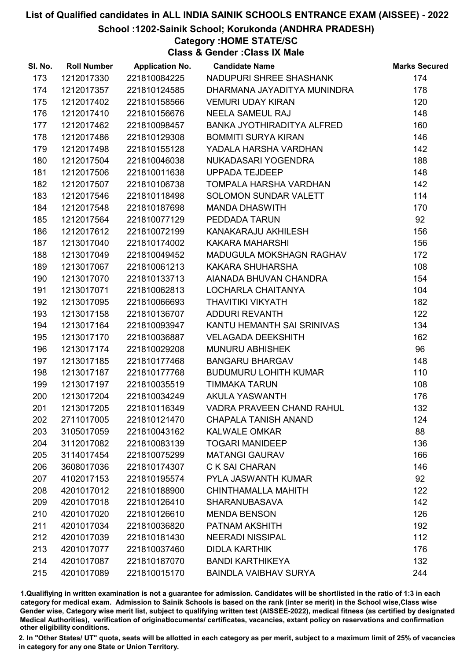School :1202-Sainik School; Korukonda (ANDHRA PRADESH)

### Category :HOME STATE/SC

Class & Gender :Class IX Male

| NADUPURI SHREE SHASHANK<br>174<br>173<br>1212017330<br>221810084225<br>1212017357<br>221810124585<br>DHARMANA JAYADITYA MUNINDRA<br>178<br>174<br>221810158566<br>120<br>175<br>1212017402<br><b>VEMURI UDAY KIRAN</b><br>148<br><b>NEELA SAMEUL RAJ</b><br>176<br>1212017410<br>221810156676<br>160<br>177<br>1212017462<br>221810098457<br>BANKA JYOTHIRADITYA ALFRED<br>146<br>1212017486<br>221810129308<br><b>BOMMITI SURYA KIRAN</b><br>178<br>221810155128<br>YADALA HARSHA VARDHAN<br>142<br>179<br>1212017498<br>188<br>221810046038<br>180<br>1212017504<br>NUKADASARI YOGENDRA<br>148<br>221810011638<br>181<br>1212017506<br><b>UPPADA TEJDEEP</b><br>142<br>182<br>1212017507<br>221810106738<br>TOMPALA HARSHA VARDHAN<br>183<br>221810118498<br>SOLOMON SUNDAR VALETT<br>114<br>1212017546<br>184<br>221810187698<br>170<br>1212017548<br><b>MANDA DHASWITH</b><br>92<br>185<br>1212017564<br>221810077129<br>PEDDADA TARUN<br>186<br>1212017612<br>221810072199<br>KANAKARAJU AKHILESH<br>156<br>187<br>221810174002<br><b>KAKARA MAHARSHI</b><br>156<br>1213017040<br>188<br>1213017049<br>221810049452<br>172<br>MADUGULA MOKSHAGN RAGHAV<br>108<br>189<br>1213017067<br>221810061213<br>KAKARA SHUHARSHA<br>1213017070<br>221810133713<br>AIANADA BHUVAN CHANDRA<br>154<br>190<br>221810062813<br>104<br>191<br>1213017071<br>LOCHARLA CHAITANYA<br>182<br>192<br>1213017095<br>221810066693<br><b>THAVITIKI VIKYATH</b><br>122<br>193<br>221810136707<br>1213017158<br>ADDURI REVANTH<br>134<br>1213017164<br>221810093947<br>KANTU HEMANTH SAI SRINIVAS<br>194<br>195<br>221810036887<br><b>VELAGADA DEEKSHITH</b><br>162<br>1213017170<br>96<br>221810029208<br><b>MUNURU ABHISHEK</b><br>196<br>1213017174<br>148<br>197<br><b>BANGARU BHARGAV</b><br>1213017185<br>221810177468<br>110<br>198<br>1213017187<br>221810177768<br><b>BUDUMURU LOHITH KUMAR</b><br>199<br>221810035519<br><b>TIMMAKA TARUN</b><br>108<br>1213017197<br>176<br>221810034249<br><b>AKULA YASWANTH</b><br>200<br>1213017204<br>132<br>201<br>221810116349<br><b>VADRA PRAVEEN CHAND RAHUL</b><br>1213017205<br>221810121470<br><b>CHAPALA TANISH ANAND</b><br>202<br>2711017005<br>124<br>88<br>203<br>3105017059<br>221810043162<br><b>KALWALE OMKAR</b><br>136<br>204<br>3112017082<br>221810083139<br><b>TOGARI MANIDEEP</b><br><b>MATANGI GAURAV</b><br>166<br>205<br>3114017454<br>221810075299<br>146<br>206<br>3608017036<br>221810174307<br>C K SAI CHARAN<br>92<br>207<br>4102017153<br>221810195574<br>PYLA JASWANTH KUMAR<br>122<br>208<br>4201017012<br>221810188900<br>CHINTHAMALLA MAHITH<br>142<br>209<br>4201017018<br>221810126410<br><b>SHARANUBASAVA</b><br>126<br>210<br>4201017020<br>221810126610<br><b>MENDA BENSON</b><br>192<br>211<br>4201017034<br>221810036820<br>PATNAM AKSHITH<br>221810181430<br>112<br>212<br>4201017039<br><b>NEERADI NISSIPAL</b><br>213<br>4201017077<br>221810037460<br><b>DIDLA KARTHIK</b><br>176<br>132<br>214<br>4201017087<br>221810187070<br><b>BANDI KARTHIKEYA</b> | SI. No. | <b>Roll Number</b> | <b>Application No.</b> | <b>Candidate Name</b>        | <b>Marks Secured</b> |
|---------------------------------------------------------------------------------------------------------------------------------------------------------------------------------------------------------------------------------------------------------------------------------------------------------------------------------------------------------------------------------------------------------------------------------------------------------------------------------------------------------------------------------------------------------------------------------------------------------------------------------------------------------------------------------------------------------------------------------------------------------------------------------------------------------------------------------------------------------------------------------------------------------------------------------------------------------------------------------------------------------------------------------------------------------------------------------------------------------------------------------------------------------------------------------------------------------------------------------------------------------------------------------------------------------------------------------------------------------------------------------------------------------------------------------------------------------------------------------------------------------------------------------------------------------------------------------------------------------------------------------------------------------------------------------------------------------------------------------------------------------------------------------------------------------------------------------------------------------------------------------------------------------------------------------------------------------------------------------------------------------------------------------------------------------------------------------------------------------------------------------------------------------------------------------------------------------------------------------------------------------------------------------------------------------------------------------------------------------------------------------------------------------------------------------------------------------------------------------------------------------------------------------------------------------------------------------------------------------------------------------------------------------------------------------------------------------------------------------------------------------------------------------------------------------------------------------------------------------------------------------------------------------------------------------------------------------------------------------------------------------------------------------|---------|--------------------|------------------------|------------------------------|----------------------|
|                                                                                                                                                                                                                                                                                                                                                                                                                                                                                                                                                                                                                                                                                                                                                                                                                                                                                                                                                                                                                                                                                                                                                                                                                                                                                                                                                                                                                                                                                                                                                                                                                                                                                                                                                                                                                                                                                                                                                                                                                                                                                                                                                                                                                                                                                                                                                                                                                                                                                                                                                                                                                                                                                                                                                                                                                                                                                                                                                                                                                                 |         |                    |                        |                              |                      |
|                                                                                                                                                                                                                                                                                                                                                                                                                                                                                                                                                                                                                                                                                                                                                                                                                                                                                                                                                                                                                                                                                                                                                                                                                                                                                                                                                                                                                                                                                                                                                                                                                                                                                                                                                                                                                                                                                                                                                                                                                                                                                                                                                                                                                                                                                                                                                                                                                                                                                                                                                                                                                                                                                                                                                                                                                                                                                                                                                                                                                                 |         |                    |                        |                              |                      |
|                                                                                                                                                                                                                                                                                                                                                                                                                                                                                                                                                                                                                                                                                                                                                                                                                                                                                                                                                                                                                                                                                                                                                                                                                                                                                                                                                                                                                                                                                                                                                                                                                                                                                                                                                                                                                                                                                                                                                                                                                                                                                                                                                                                                                                                                                                                                                                                                                                                                                                                                                                                                                                                                                                                                                                                                                                                                                                                                                                                                                                 |         |                    |                        |                              |                      |
|                                                                                                                                                                                                                                                                                                                                                                                                                                                                                                                                                                                                                                                                                                                                                                                                                                                                                                                                                                                                                                                                                                                                                                                                                                                                                                                                                                                                                                                                                                                                                                                                                                                                                                                                                                                                                                                                                                                                                                                                                                                                                                                                                                                                                                                                                                                                                                                                                                                                                                                                                                                                                                                                                                                                                                                                                                                                                                                                                                                                                                 |         |                    |                        |                              |                      |
|                                                                                                                                                                                                                                                                                                                                                                                                                                                                                                                                                                                                                                                                                                                                                                                                                                                                                                                                                                                                                                                                                                                                                                                                                                                                                                                                                                                                                                                                                                                                                                                                                                                                                                                                                                                                                                                                                                                                                                                                                                                                                                                                                                                                                                                                                                                                                                                                                                                                                                                                                                                                                                                                                                                                                                                                                                                                                                                                                                                                                                 |         |                    |                        |                              |                      |
|                                                                                                                                                                                                                                                                                                                                                                                                                                                                                                                                                                                                                                                                                                                                                                                                                                                                                                                                                                                                                                                                                                                                                                                                                                                                                                                                                                                                                                                                                                                                                                                                                                                                                                                                                                                                                                                                                                                                                                                                                                                                                                                                                                                                                                                                                                                                                                                                                                                                                                                                                                                                                                                                                                                                                                                                                                                                                                                                                                                                                                 |         |                    |                        |                              |                      |
|                                                                                                                                                                                                                                                                                                                                                                                                                                                                                                                                                                                                                                                                                                                                                                                                                                                                                                                                                                                                                                                                                                                                                                                                                                                                                                                                                                                                                                                                                                                                                                                                                                                                                                                                                                                                                                                                                                                                                                                                                                                                                                                                                                                                                                                                                                                                                                                                                                                                                                                                                                                                                                                                                                                                                                                                                                                                                                                                                                                                                                 |         |                    |                        |                              |                      |
|                                                                                                                                                                                                                                                                                                                                                                                                                                                                                                                                                                                                                                                                                                                                                                                                                                                                                                                                                                                                                                                                                                                                                                                                                                                                                                                                                                                                                                                                                                                                                                                                                                                                                                                                                                                                                                                                                                                                                                                                                                                                                                                                                                                                                                                                                                                                                                                                                                                                                                                                                                                                                                                                                                                                                                                                                                                                                                                                                                                                                                 |         |                    |                        |                              |                      |
|                                                                                                                                                                                                                                                                                                                                                                                                                                                                                                                                                                                                                                                                                                                                                                                                                                                                                                                                                                                                                                                                                                                                                                                                                                                                                                                                                                                                                                                                                                                                                                                                                                                                                                                                                                                                                                                                                                                                                                                                                                                                                                                                                                                                                                                                                                                                                                                                                                                                                                                                                                                                                                                                                                                                                                                                                                                                                                                                                                                                                                 |         |                    |                        |                              |                      |
|                                                                                                                                                                                                                                                                                                                                                                                                                                                                                                                                                                                                                                                                                                                                                                                                                                                                                                                                                                                                                                                                                                                                                                                                                                                                                                                                                                                                                                                                                                                                                                                                                                                                                                                                                                                                                                                                                                                                                                                                                                                                                                                                                                                                                                                                                                                                                                                                                                                                                                                                                                                                                                                                                                                                                                                                                                                                                                                                                                                                                                 |         |                    |                        |                              |                      |
|                                                                                                                                                                                                                                                                                                                                                                                                                                                                                                                                                                                                                                                                                                                                                                                                                                                                                                                                                                                                                                                                                                                                                                                                                                                                                                                                                                                                                                                                                                                                                                                                                                                                                                                                                                                                                                                                                                                                                                                                                                                                                                                                                                                                                                                                                                                                                                                                                                                                                                                                                                                                                                                                                                                                                                                                                                                                                                                                                                                                                                 |         |                    |                        |                              |                      |
|                                                                                                                                                                                                                                                                                                                                                                                                                                                                                                                                                                                                                                                                                                                                                                                                                                                                                                                                                                                                                                                                                                                                                                                                                                                                                                                                                                                                                                                                                                                                                                                                                                                                                                                                                                                                                                                                                                                                                                                                                                                                                                                                                                                                                                                                                                                                                                                                                                                                                                                                                                                                                                                                                                                                                                                                                                                                                                                                                                                                                                 |         |                    |                        |                              |                      |
|                                                                                                                                                                                                                                                                                                                                                                                                                                                                                                                                                                                                                                                                                                                                                                                                                                                                                                                                                                                                                                                                                                                                                                                                                                                                                                                                                                                                                                                                                                                                                                                                                                                                                                                                                                                                                                                                                                                                                                                                                                                                                                                                                                                                                                                                                                                                                                                                                                                                                                                                                                                                                                                                                                                                                                                                                                                                                                                                                                                                                                 |         |                    |                        |                              |                      |
|                                                                                                                                                                                                                                                                                                                                                                                                                                                                                                                                                                                                                                                                                                                                                                                                                                                                                                                                                                                                                                                                                                                                                                                                                                                                                                                                                                                                                                                                                                                                                                                                                                                                                                                                                                                                                                                                                                                                                                                                                                                                                                                                                                                                                                                                                                                                                                                                                                                                                                                                                                                                                                                                                                                                                                                                                                                                                                                                                                                                                                 |         |                    |                        |                              |                      |
|                                                                                                                                                                                                                                                                                                                                                                                                                                                                                                                                                                                                                                                                                                                                                                                                                                                                                                                                                                                                                                                                                                                                                                                                                                                                                                                                                                                                                                                                                                                                                                                                                                                                                                                                                                                                                                                                                                                                                                                                                                                                                                                                                                                                                                                                                                                                                                                                                                                                                                                                                                                                                                                                                                                                                                                                                                                                                                                                                                                                                                 |         |                    |                        |                              |                      |
|                                                                                                                                                                                                                                                                                                                                                                                                                                                                                                                                                                                                                                                                                                                                                                                                                                                                                                                                                                                                                                                                                                                                                                                                                                                                                                                                                                                                                                                                                                                                                                                                                                                                                                                                                                                                                                                                                                                                                                                                                                                                                                                                                                                                                                                                                                                                                                                                                                                                                                                                                                                                                                                                                                                                                                                                                                                                                                                                                                                                                                 |         |                    |                        |                              |                      |
|                                                                                                                                                                                                                                                                                                                                                                                                                                                                                                                                                                                                                                                                                                                                                                                                                                                                                                                                                                                                                                                                                                                                                                                                                                                                                                                                                                                                                                                                                                                                                                                                                                                                                                                                                                                                                                                                                                                                                                                                                                                                                                                                                                                                                                                                                                                                                                                                                                                                                                                                                                                                                                                                                                                                                                                                                                                                                                                                                                                                                                 |         |                    |                        |                              |                      |
|                                                                                                                                                                                                                                                                                                                                                                                                                                                                                                                                                                                                                                                                                                                                                                                                                                                                                                                                                                                                                                                                                                                                                                                                                                                                                                                                                                                                                                                                                                                                                                                                                                                                                                                                                                                                                                                                                                                                                                                                                                                                                                                                                                                                                                                                                                                                                                                                                                                                                                                                                                                                                                                                                                                                                                                                                                                                                                                                                                                                                                 |         |                    |                        |                              |                      |
|                                                                                                                                                                                                                                                                                                                                                                                                                                                                                                                                                                                                                                                                                                                                                                                                                                                                                                                                                                                                                                                                                                                                                                                                                                                                                                                                                                                                                                                                                                                                                                                                                                                                                                                                                                                                                                                                                                                                                                                                                                                                                                                                                                                                                                                                                                                                                                                                                                                                                                                                                                                                                                                                                                                                                                                                                                                                                                                                                                                                                                 |         |                    |                        |                              |                      |
|                                                                                                                                                                                                                                                                                                                                                                                                                                                                                                                                                                                                                                                                                                                                                                                                                                                                                                                                                                                                                                                                                                                                                                                                                                                                                                                                                                                                                                                                                                                                                                                                                                                                                                                                                                                                                                                                                                                                                                                                                                                                                                                                                                                                                                                                                                                                                                                                                                                                                                                                                                                                                                                                                                                                                                                                                                                                                                                                                                                                                                 |         |                    |                        |                              |                      |
|                                                                                                                                                                                                                                                                                                                                                                                                                                                                                                                                                                                                                                                                                                                                                                                                                                                                                                                                                                                                                                                                                                                                                                                                                                                                                                                                                                                                                                                                                                                                                                                                                                                                                                                                                                                                                                                                                                                                                                                                                                                                                                                                                                                                                                                                                                                                                                                                                                                                                                                                                                                                                                                                                                                                                                                                                                                                                                                                                                                                                                 |         |                    |                        |                              |                      |
|                                                                                                                                                                                                                                                                                                                                                                                                                                                                                                                                                                                                                                                                                                                                                                                                                                                                                                                                                                                                                                                                                                                                                                                                                                                                                                                                                                                                                                                                                                                                                                                                                                                                                                                                                                                                                                                                                                                                                                                                                                                                                                                                                                                                                                                                                                                                                                                                                                                                                                                                                                                                                                                                                                                                                                                                                                                                                                                                                                                                                                 |         |                    |                        |                              |                      |
|                                                                                                                                                                                                                                                                                                                                                                                                                                                                                                                                                                                                                                                                                                                                                                                                                                                                                                                                                                                                                                                                                                                                                                                                                                                                                                                                                                                                                                                                                                                                                                                                                                                                                                                                                                                                                                                                                                                                                                                                                                                                                                                                                                                                                                                                                                                                                                                                                                                                                                                                                                                                                                                                                                                                                                                                                                                                                                                                                                                                                                 |         |                    |                        |                              |                      |
|                                                                                                                                                                                                                                                                                                                                                                                                                                                                                                                                                                                                                                                                                                                                                                                                                                                                                                                                                                                                                                                                                                                                                                                                                                                                                                                                                                                                                                                                                                                                                                                                                                                                                                                                                                                                                                                                                                                                                                                                                                                                                                                                                                                                                                                                                                                                                                                                                                                                                                                                                                                                                                                                                                                                                                                                                                                                                                                                                                                                                                 |         |                    |                        |                              |                      |
|                                                                                                                                                                                                                                                                                                                                                                                                                                                                                                                                                                                                                                                                                                                                                                                                                                                                                                                                                                                                                                                                                                                                                                                                                                                                                                                                                                                                                                                                                                                                                                                                                                                                                                                                                                                                                                                                                                                                                                                                                                                                                                                                                                                                                                                                                                                                                                                                                                                                                                                                                                                                                                                                                                                                                                                                                                                                                                                                                                                                                                 |         |                    |                        |                              |                      |
|                                                                                                                                                                                                                                                                                                                                                                                                                                                                                                                                                                                                                                                                                                                                                                                                                                                                                                                                                                                                                                                                                                                                                                                                                                                                                                                                                                                                                                                                                                                                                                                                                                                                                                                                                                                                                                                                                                                                                                                                                                                                                                                                                                                                                                                                                                                                                                                                                                                                                                                                                                                                                                                                                                                                                                                                                                                                                                                                                                                                                                 |         |                    |                        |                              |                      |
|                                                                                                                                                                                                                                                                                                                                                                                                                                                                                                                                                                                                                                                                                                                                                                                                                                                                                                                                                                                                                                                                                                                                                                                                                                                                                                                                                                                                                                                                                                                                                                                                                                                                                                                                                                                                                                                                                                                                                                                                                                                                                                                                                                                                                                                                                                                                                                                                                                                                                                                                                                                                                                                                                                                                                                                                                                                                                                                                                                                                                                 |         |                    |                        |                              |                      |
|                                                                                                                                                                                                                                                                                                                                                                                                                                                                                                                                                                                                                                                                                                                                                                                                                                                                                                                                                                                                                                                                                                                                                                                                                                                                                                                                                                                                                                                                                                                                                                                                                                                                                                                                                                                                                                                                                                                                                                                                                                                                                                                                                                                                                                                                                                                                                                                                                                                                                                                                                                                                                                                                                                                                                                                                                                                                                                                                                                                                                                 |         |                    |                        |                              |                      |
|                                                                                                                                                                                                                                                                                                                                                                                                                                                                                                                                                                                                                                                                                                                                                                                                                                                                                                                                                                                                                                                                                                                                                                                                                                                                                                                                                                                                                                                                                                                                                                                                                                                                                                                                                                                                                                                                                                                                                                                                                                                                                                                                                                                                                                                                                                                                                                                                                                                                                                                                                                                                                                                                                                                                                                                                                                                                                                                                                                                                                                 |         |                    |                        |                              |                      |
|                                                                                                                                                                                                                                                                                                                                                                                                                                                                                                                                                                                                                                                                                                                                                                                                                                                                                                                                                                                                                                                                                                                                                                                                                                                                                                                                                                                                                                                                                                                                                                                                                                                                                                                                                                                                                                                                                                                                                                                                                                                                                                                                                                                                                                                                                                                                                                                                                                                                                                                                                                                                                                                                                                                                                                                                                                                                                                                                                                                                                                 |         |                    |                        |                              |                      |
|                                                                                                                                                                                                                                                                                                                                                                                                                                                                                                                                                                                                                                                                                                                                                                                                                                                                                                                                                                                                                                                                                                                                                                                                                                                                                                                                                                                                                                                                                                                                                                                                                                                                                                                                                                                                                                                                                                                                                                                                                                                                                                                                                                                                                                                                                                                                                                                                                                                                                                                                                                                                                                                                                                                                                                                                                                                                                                                                                                                                                                 |         |                    |                        |                              |                      |
|                                                                                                                                                                                                                                                                                                                                                                                                                                                                                                                                                                                                                                                                                                                                                                                                                                                                                                                                                                                                                                                                                                                                                                                                                                                                                                                                                                                                                                                                                                                                                                                                                                                                                                                                                                                                                                                                                                                                                                                                                                                                                                                                                                                                                                                                                                                                                                                                                                                                                                                                                                                                                                                                                                                                                                                                                                                                                                                                                                                                                                 |         |                    |                        |                              |                      |
|                                                                                                                                                                                                                                                                                                                                                                                                                                                                                                                                                                                                                                                                                                                                                                                                                                                                                                                                                                                                                                                                                                                                                                                                                                                                                                                                                                                                                                                                                                                                                                                                                                                                                                                                                                                                                                                                                                                                                                                                                                                                                                                                                                                                                                                                                                                                                                                                                                                                                                                                                                                                                                                                                                                                                                                                                                                                                                                                                                                                                                 |         |                    |                        |                              |                      |
|                                                                                                                                                                                                                                                                                                                                                                                                                                                                                                                                                                                                                                                                                                                                                                                                                                                                                                                                                                                                                                                                                                                                                                                                                                                                                                                                                                                                                                                                                                                                                                                                                                                                                                                                                                                                                                                                                                                                                                                                                                                                                                                                                                                                                                                                                                                                                                                                                                                                                                                                                                                                                                                                                                                                                                                                                                                                                                                                                                                                                                 |         |                    |                        |                              |                      |
|                                                                                                                                                                                                                                                                                                                                                                                                                                                                                                                                                                                                                                                                                                                                                                                                                                                                                                                                                                                                                                                                                                                                                                                                                                                                                                                                                                                                                                                                                                                                                                                                                                                                                                                                                                                                                                                                                                                                                                                                                                                                                                                                                                                                                                                                                                                                                                                                                                                                                                                                                                                                                                                                                                                                                                                                                                                                                                                                                                                                                                 |         |                    |                        |                              |                      |
|                                                                                                                                                                                                                                                                                                                                                                                                                                                                                                                                                                                                                                                                                                                                                                                                                                                                                                                                                                                                                                                                                                                                                                                                                                                                                                                                                                                                                                                                                                                                                                                                                                                                                                                                                                                                                                                                                                                                                                                                                                                                                                                                                                                                                                                                                                                                                                                                                                                                                                                                                                                                                                                                                                                                                                                                                                                                                                                                                                                                                                 |         |                    |                        |                              |                      |
|                                                                                                                                                                                                                                                                                                                                                                                                                                                                                                                                                                                                                                                                                                                                                                                                                                                                                                                                                                                                                                                                                                                                                                                                                                                                                                                                                                                                                                                                                                                                                                                                                                                                                                                                                                                                                                                                                                                                                                                                                                                                                                                                                                                                                                                                                                                                                                                                                                                                                                                                                                                                                                                                                                                                                                                                                                                                                                                                                                                                                                 |         |                    |                        |                              |                      |
|                                                                                                                                                                                                                                                                                                                                                                                                                                                                                                                                                                                                                                                                                                                                                                                                                                                                                                                                                                                                                                                                                                                                                                                                                                                                                                                                                                                                                                                                                                                                                                                                                                                                                                                                                                                                                                                                                                                                                                                                                                                                                                                                                                                                                                                                                                                                                                                                                                                                                                                                                                                                                                                                                                                                                                                                                                                                                                                                                                                                                                 |         |                    |                        |                              |                      |
|                                                                                                                                                                                                                                                                                                                                                                                                                                                                                                                                                                                                                                                                                                                                                                                                                                                                                                                                                                                                                                                                                                                                                                                                                                                                                                                                                                                                                                                                                                                                                                                                                                                                                                                                                                                                                                                                                                                                                                                                                                                                                                                                                                                                                                                                                                                                                                                                                                                                                                                                                                                                                                                                                                                                                                                                                                                                                                                                                                                                                                 |         |                    |                        |                              |                      |
|                                                                                                                                                                                                                                                                                                                                                                                                                                                                                                                                                                                                                                                                                                                                                                                                                                                                                                                                                                                                                                                                                                                                                                                                                                                                                                                                                                                                                                                                                                                                                                                                                                                                                                                                                                                                                                                                                                                                                                                                                                                                                                                                                                                                                                                                                                                                                                                                                                                                                                                                                                                                                                                                                                                                                                                                                                                                                                                                                                                                                                 |         |                    |                        |                              |                      |
|                                                                                                                                                                                                                                                                                                                                                                                                                                                                                                                                                                                                                                                                                                                                                                                                                                                                                                                                                                                                                                                                                                                                                                                                                                                                                                                                                                                                                                                                                                                                                                                                                                                                                                                                                                                                                                                                                                                                                                                                                                                                                                                                                                                                                                                                                                                                                                                                                                                                                                                                                                                                                                                                                                                                                                                                                                                                                                                                                                                                                                 |         |                    |                        |                              |                      |
|                                                                                                                                                                                                                                                                                                                                                                                                                                                                                                                                                                                                                                                                                                                                                                                                                                                                                                                                                                                                                                                                                                                                                                                                                                                                                                                                                                                                                                                                                                                                                                                                                                                                                                                                                                                                                                                                                                                                                                                                                                                                                                                                                                                                                                                                                                                                                                                                                                                                                                                                                                                                                                                                                                                                                                                                                                                                                                                                                                                                                                 |         |                    |                        |                              |                      |
|                                                                                                                                                                                                                                                                                                                                                                                                                                                                                                                                                                                                                                                                                                                                                                                                                                                                                                                                                                                                                                                                                                                                                                                                                                                                                                                                                                                                                                                                                                                                                                                                                                                                                                                                                                                                                                                                                                                                                                                                                                                                                                                                                                                                                                                                                                                                                                                                                                                                                                                                                                                                                                                                                                                                                                                                                                                                                                                                                                                                                                 | 215     | 4201017089         | 221810015170           | <b>BAINDLA VAIBHAV SURYA</b> | 244                  |

1.Qualifiying in written examination is not a guarantee for admission. Candidates will be shortlisted in the ratio of 1:3 in each category for medical exam. Admission to Sainik Schools is based on the rank (inter se merit) in the School wise,Class wise Gender wise, Category wise merit list, subject to qualifying written test (AISSEE-2022), medical fitness (as certified by designated Medical Authorities), verification of originablocuments/ certificates, vacancies, extant policy on reservations and confirmation other eligibility conditions.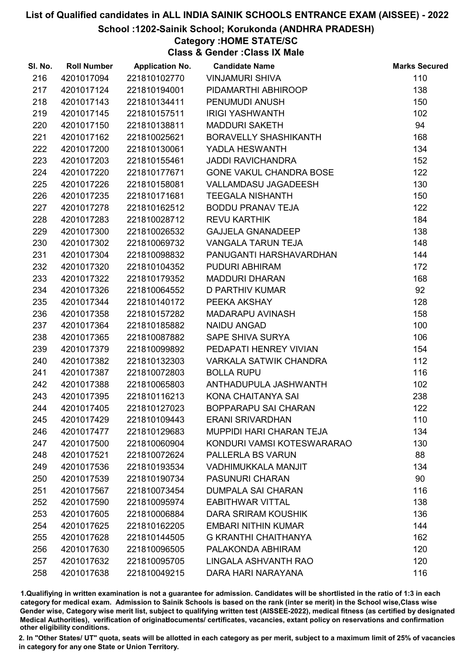School :1202-Sainik School; Korukonda (ANDHRA PRADESH)

## Category :HOME STATE/SC

Class & Gender :Class IX Male

| SI. No. | <b>Roll Number</b> | <b>Application No.</b> | <b>Candidate Name</b>           | <b>Marks Secured</b> |
|---------|--------------------|------------------------|---------------------------------|----------------------|
| 216     | 4201017094         | 221810102770           | <b>VINJAMURI SHIVA</b>          | 110                  |
| 217     | 4201017124         | 221810194001           | PIDAMARTHI ABHIROOP             | 138                  |
| 218     | 4201017143         | 221810134411           | PENUMUDI ANUSH                  | 150                  |
| 219     | 4201017145         | 221810157511           | <b>IRIGI YASHWANTH</b>          | 102                  |
| 220     | 4201017150         | 221810138811           | <b>MADDURI SAKETH</b>           | 94                   |
| 221     | 4201017162         | 221810025621           | <b>BORAVELLY SHASHIKANTH</b>    | 168                  |
| 222     | 4201017200         | 221810130061           | YADLA HESWANTH                  | 134                  |
| 223     | 4201017203         | 221810155461           | <b>JADDI RAVICHANDRA</b>        | 152                  |
| 224     | 4201017220         | 221810177671           | GONE VAKUL CHANDRA BOSE         | 122                  |
| 225     | 4201017226         | 221810158081           | VALLAMDASU JAGADEESH            | 130                  |
| 226     | 4201017235         | 221810171681           | <b>TEEGALA NISHANTH</b>         | 150                  |
| 227     | 4201017278         | 221810162512           | <b>BODDU PRANAV TEJA</b>        | 122                  |
| 228     | 4201017283         | 221810028712           | <b>REVU KARTHIK</b>             | 184                  |
| 229     | 4201017300         | 221810026532           | <b>GAJJELA GNANADEEP</b>        | 138                  |
| 230     | 4201017302         | 221810069732           | VANGALA TARUN TEJA              | 148                  |
| 231     | 4201017304         | 221810098832           | PANUGANTI HARSHAVARDHAN         | 144                  |
| 232     | 4201017320         | 221810104352           | PUDURI ABHIRAM                  | 172                  |
| 233     | 4201017322         | 221810179352           | <b>MADDURI DHARAN</b>           | 168                  |
| 234     | 4201017326         | 221810064552           | <b>D PARTHIV KUMAR</b>          | 92                   |
| 235     | 4201017344         | 221810140172           | PEEKA AKSHAY                    | 128                  |
| 236     | 4201017358         | 221810157282           | MADARAPU AVINASH                | 158                  |
| 237     | 4201017364         | 221810185882           | <b>NAIDU ANGAD</b>              | 100                  |
| 238     | 4201017365         | 221810087882           | SAPE SHIVA SURYA                | 106                  |
| 239     | 4201017379         | 221810099892           | PEDAPATI HENREY VIVIAN          | 154                  |
| 240     | 4201017382         | 221810132303           | <b>VARKALA SATWIK CHANDRA</b>   | 112                  |
| 241     | 4201017387         | 221810072803           | <b>BOLLA RUPU</b>               | 116                  |
| 242     | 4201017388         | 221810065803           | ANTHADUPULA JASHWANTH           | 102                  |
| 243     | 4201017395         | 221810116213           | KONA CHAITANYA SAI              | 238                  |
| 244     | 4201017405         | 221810127023           | <b>BOPPARAPU SAI CHARAN</b>     | 122                  |
| 245     | 4201017429         | 221810109443           | <b>ERANI SRIVARDHAN</b>         | 110                  |
| 246     | 4201017477         | 221810129683           | <b>MUPPIDI HARI CHARAN TEJA</b> | 134                  |
| 247     | 4201017500         | 221810060904           | KONDURI VAMSI KOTESWARARAO      | 130                  |
| 248     | 4201017521         | 221810072624           | PALLERLA BS VARUN               | 88                   |
| 249     | 4201017536         | 221810193534           | <b>VADHIMUKKALA MANJIT</b>      | 134                  |
| 250     | 4201017539         | 221810190734           | <b>PASUNURI CHARAN</b>          | 90                   |
| 251     | 4201017567         | 221810073454           | <b>DUMPALA SAI CHARAN</b>       | 116                  |
| 252     | 4201017590         | 221810095974           | <b>EABITHWAR VITTAL</b>         | 138                  |
| 253     | 4201017605         | 221810006884           | <b>DARA SRIRAM KOUSHIK</b>      | 136                  |
| 254     | 4201017625         | 221810162205           | <b>EMBARI NITHIN KUMAR</b>      | 144                  |
| 255     | 4201017628         | 221810144505           | <b>G KRANTHI CHAITHANYA</b>     | 162                  |
| 256     | 4201017630         | 221810096505           | PALAKONDA ABHIRAM               | 120                  |
| 257     | 4201017632         | 221810095705           | LINGALA ASHVANTH RAO            | 120                  |
| 258     | 4201017638         | 221810049215           | DARA HARI NARAYANA              | 116                  |

1.Qualifiying in written examination is not a guarantee for admission. Candidates will be shortlisted in the ratio of 1:3 in each category for medical exam. Admission to Sainik Schools is based on the rank (inter se merit) in the School wise,Class wise Gender wise, Category wise merit list, subject to qualifying written test (AISSEE-2022), medical fitness (as certified by designated Medical Authorities), verification of originablocuments/ certificates, vacancies, extant policy on reservations and confirmation other eligibility conditions.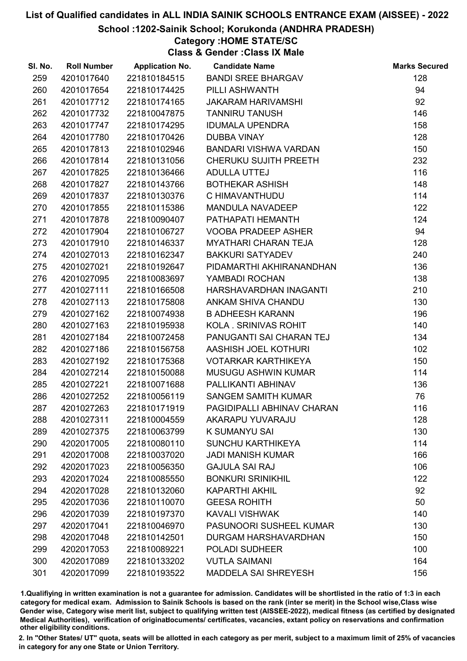#### School :1202-Sainik School; Korukonda (ANDHRA PRADESH)

### Category :HOME STATE/SC

Class & Gender :Class IX Male

| SI. No. | <b>Roll Number</b> |              | <b>Application No. Candidate Name</b> | <b>Marks Secured</b> |
|---------|--------------------|--------------|---------------------------------------|----------------------|
| 259     | 4201017640         | 221810184515 | <b>BANDI SREE BHARGAV</b>             | 128                  |
| 260     | 4201017654         | 221810174425 | PILLI ASHWANTH                        | 94                   |
| 261     | 4201017712         | 221810174165 | <b>JAKARAM HARIVAMSHI</b>             | 92                   |
| 262     | 4201017732         | 221810047875 | <b>TANNIRU TANUSH</b>                 | 146                  |
| 263     | 4201017747         | 221810174295 | <b>IDUMALA UPENDRA</b>                | 158                  |
| 264     | 4201017780         | 221810170426 | <b>DUBBA VINAY</b>                    | 128                  |
| 265     | 4201017813         | 221810102946 | BANDARI VISHWA VARDAN                 | 150                  |
| 266     | 4201017814         | 221810131056 | CHERUKU SUJITH PREETH                 | 232                  |
| 267     | 4201017825         | 221810136466 | ADULLA UTTEJ                          | 116                  |
| 268     | 4201017827         | 221810143766 | <b>BOTHEKAR ASHISH</b>                | 148                  |
| 269     | 4201017837         | 221810130376 | C HIMAVANTHUDU                        | 114                  |
| 270     | 4201017855         | 221810115386 | MANDULA NAVADEEP                      | 122                  |
| 271     | 4201017878         | 221810090407 | PATHAPATI HEMANTH                     | 124                  |
| 272     | 4201017904         | 221810106727 | <b>VOOBA PRADEEP ASHER</b>            | 94                   |
| 273     | 4201017910         | 221810146337 | <b>MYATHARI CHARAN TEJA</b>           | 128                  |
| 274     | 4201027013         | 221810162347 | <b>BAKKURI SATYADEV</b>               | 240                  |
| 275     | 4201027021         | 221810192647 | PIDAMARTHI AKHIRANANDHAN              | 136                  |
| 276     | 4201027095         | 221810083697 | YAMBADI ROCHAN                        | 138                  |
| 277     | 4201027111         | 221810166508 | HARSHAVARDHAN INAGANTI                | 210                  |
| 278     | 4201027113         | 221810175808 | ANKAM SHIVA CHANDU                    | 130                  |
| 279     | 4201027162         | 221810074938 | <b>B ADHEESH KARANN</b>               | 196                  |
| 280     | 4201027163         | 221810195938 | KOLA. SRINIVAS ROHIT                  | 140                  |
| 281     | 4201027184         | 221810072458 | PANUGANTI SAI CHARAN TEJ              | 134                  |
| 282     | 4201027186         | 221810156758 | AASHISH JOEL KOTHURI                  | 102                  |
| 283     | 4201027192         | 221810175368 | <b>VOTARKAR KARTHIKEYA</b>            | 150                  |
| 284     | 4201027214         | 221810150088 | <b>MUSUGU ASHWIN KUMAR</b>            | 114                  |
| 285     | 4201027221         | 221810071688 | PALLIKANTI ABHINAV                    | 136                  |
| 286     | 4201027252         | 221810056119 | <b>SANGEM SAMITH KUMAR</b>            | 76                   |
| 287     | 4201027263         | 221810171919 | PAGIDIPALLI ABHINAV CHARAN            | 116                  |
| 288     | 4201027311         | 221810004559 | <b>AKARAPU YUVARAJU</b>               | 128                  |
| 289     | 4201027375         | 221810063799 | K SUMANYU SAI                         | 130                  |
| 290     | 4202017005         | 221810080110 | <b>SUNCHU KARTHIKEYA</b>              | 114                  |
| 291     | 4202017008         | 221810037020 | <b>JADI MANISH KUMAR</b>              | 166                  |
| 292     | 4202017023         | 221810056350 | <b>GAJULA SAI RAJ</b>                 | 106                  |
| 293     | 4202017024         | 221810085550 | <b>BONKURI SRINIKHIL</b>              | 122                  |
| 294     | 4202017028         | 221810132060 | <b>KAPARTHI AKHIL</b>                 | 92                   |
| 295     | 4202017036         | 221810110070 | <b>GEESA ROHITH</b>                   | 50                   |
| 296     | 4202017039         | 221810197370 | <b>KAVALI VISHWAK</b>                 | 140                  |
| 297     | 4202017041         | 221810046970 | PASUNOORI SUSHEEL KUMAR               | 130                  |
| 298     | 4202017048         | 221810142501 | DURGAM HARSHAVARDHAN                  | 150                  |
| 299     | 4202017053         | 221810089221 | <b>POLADI SUDHEER</b>                 | 100                  |
| 300     | 4202017089         | 221810133202 | <b>VUTLA SAIMANI</b>                  | 164                  |
| 301     | 4202017099         | 221810193522 | <b>MADDELA SAI SHREYESH</b>           | 156                  |

1.Qualifiying in written examination is not a guarantee for admission. Candidates will be shortlisted in the ratio of 1:3 in each category for medical exam. Admission to Sainik Schools is based on the rank (inter se merit) in the School wise,Class wise Gender wise, Category wise merit list, subject to qualifying written test (AISSEE-2022), medical fitness (as certified by designated Medical Authorities), verification of originablocuments/ certificates, vacancies, extant policy on reservations and confirmation other eligibility conditions.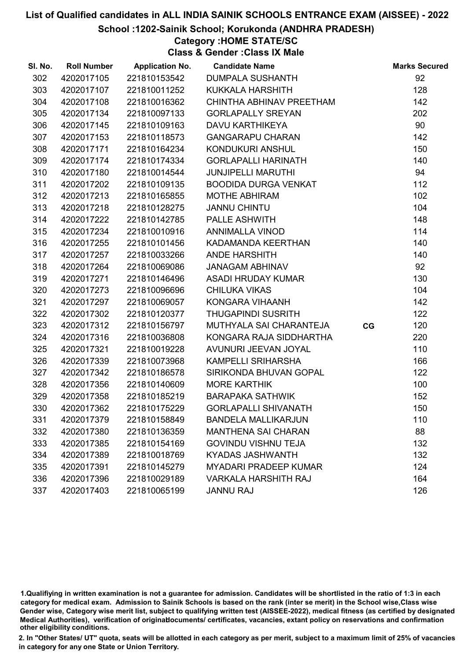School :1202-Sainik School; Korukonda (ANDHRA PRADESH)

## Category :HOME STATE/SC

Class & Gender :Class IX Male

| SI. No. | <b>Roll Number</b> | <b>Application No.</b> | <b>Candidate Name</b>        |    | <b>Marks Secured</b> |
|---------|--------------------|------------------------|------------------------------|----|----------------------|
| 302     | 4202017105         | 221810153542           | <b>DUMPALA SUSHANTH</b>      |    | 92                   |
| 303     | 4202017107         | 221810011252           | <b>KUKKALA HARSHITH</b>      |    | 128                  |
| 304     | 4202017108         | 221810016362           | CHINTHA ABHINAV PREETHAM     |    | 142                  |
| 305     | 4202017134         | 221810097133           | <b>GORLAPALLY SREYAN</b>     |    | 202                  |
| 306     | 4202017145         | 221810109163           | DAVU KARTHIKEYA              |    | 90                   |
| 307     | 4202017153         | 221810118573           | <b>GANGARAPU CHARAN</b>      |    | 142                  |
| 308     | 4202017171         | 221810164234           | KONDUKURI ANSHUL             |    | 150                  |
| 309     | 4202017174         | 221810174334           | <b>GORLAPALLI HARINATH</b>   |    | 140                  |
| 310     | 4202017180         | 221810014544           | <b>JUNJIPELLI MARUTHI</b>    |    | 94                   |
| 311     | 4202017202         | 221810109135           | <b>BOODIDA DURGA VENKAT</b>  |    | 112                  |
| 312     | 4202017213         | 221810165855           | <b>MOTHE ABHIRAM</b>         |    | 102                  |
| 313     | 4202017218         | 221810128275           | <b>JANNU CHINTU</b>          |    | 104                  |
| 314     | 4202017222         | 221810142785           | PALLE ASHWITH                |    | 148                  |
| 315     | 4202017234         | 221810010916           | <b>ANNIMALLA VINOD</b>       |    | 114                  |
| 316     | 4202017255         | 221810101456           | KADAMANDA KEERTHAN           |    | 140                  |
| 317     | 4202017257         | 221810033266           | <b>ANDE HARSHITH</b>         |    | 140                  |
| 318     | 4202017264         | 221810069086           | <b>JANAGAM ABHINAV</b>       |    | 92                   |
| 319     | 4202017271         | 221810146496           | ASADI HRUDAY KUMAR           |    | 130                  |
| 320     | 4202017273         | 221810096696           | <b>CHILUKA VIKAS</b>         |    | 104                  |
| 321     | 4202017297         | 221810069057           | KONGARA VIHAANH              |    | 142                  |
| 322     | 4202017302         | 221810120377           | <b>THUGAPINDI SUSRITH</b>    |    | 122                  |
| 323     | 4202017312         | 221810156797           | MUTHYALA SAI CHARANTEJA      | CG | 120                  |
| 324     | 4202017316         | 221810036808           | KONGARA RAJA SIDDHARTHA      |    | 220                  |
| 325     | 4202017321         | 221810019228           | AVUNURI JEEVAN JOYAL         |    | 110                  |
| 326     | 4202017339         | 221810073968           | KAMPELLI SRIHARSHA           |    | 166                  |
| 327     | 4202017342         | 221810186578           | SIRIKONDA BHUVAN GOPAL       |    | 122                  |
| 328     | 4202017356         | 221810140609           | <b>MORE KARTHIK</b>          |    | 100                  |
| 329     | 4202017358         | 221810185219           | <b>BARAPAKA SATHWIK</b>      |    | 152                  |
| 330     | 4202017362         | 221810175229           | <b>GORLAPALLI SHIVANATH</b>  |    | 150                  |
| 331     | 4202017379         | 221810158849           | <b>BANDELA MALLIKARJUN</b>   |    | 110                  |
| 332     | 4202017380         | 221810136359           | <b>MANTHENA SAI CHARAN</b>   |    | 88                   |
| 333     | 4202017385         | 221810154169           | <b>GOVINDU VISHNU TEJA</b>   |    | 132                  |
| 334     | 4202017389         | 221810018769           | <b>KYADAS JASHWANTH</b>      |    | 132                  |
| 335     | 4202017391         | 221810145279           | <b>MYADARI PRADEEP KUMAR</b> |    | 124                  |
| 336     | 4202017396         | 221810029189           | <b>VARKALA HARSHITH RAJ</b>  |    | 164                  |
| 337     | 4202017403         | 221810065199           | <b>JANNU RAJ</b>             |    | 126                  |

1.Qualifiying in written examination is not a guarantee for admission. Candidates will be shortlisted in the ratio of 1:3 in each category for medical exam. Admission to Sainik Schools is based on the rank (inter se merit) in the School wise,Class wise Gender wise, Category wise merit list, subject to qualifying written test (AISSEE-2022), medical fitness (as certified by designated Medical Authorities), verification of originablocuments/ certificates, vacancies, extant policy on reservations and confirmation other eligibility conditions.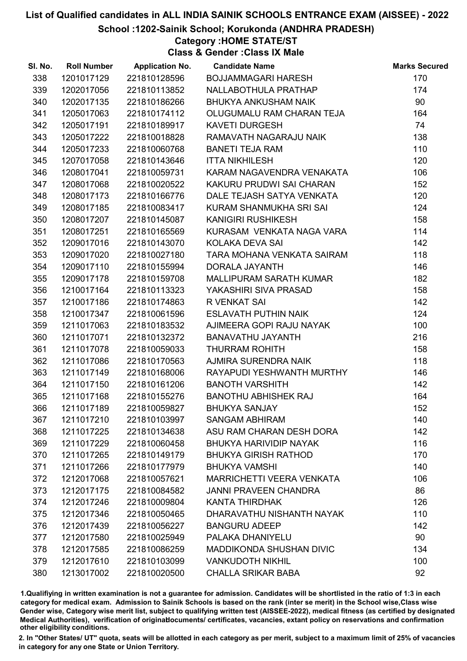School :1202-Sainik School; Korukonda (ANDHRA PRADESH)

### Category :HOME STATE/ST

Class & Gender :Class IX Male

| SI. No. | <b>Roll Number</b> | <b>Application No.</b> | <b>Candidate Name</b>            | <b>Marks Secured</b> |
|---------|--------------------|------------------------|----------------------------------|----------------------|
| 338     | 1201017129         | 221810128596           | BOJJAMMAGARI HARESH              | 170                  |
| 339     | 1202017056         | 221810113852           | NALLABOTHULA PRATHAP             | 174                  |
| 340     | 1202017135         | 221810186266           | <b>BHUKYA ANKUSHAM NAIK</b>      | 90                   |
| 341     | 1205017063         | 221810174112           | OLUGUMALU RAM CHARAN TEJA        | 164                  |
| 342     | 1205017191         | 221810189917           | <b>KAVETI DURGESH</b>            | 74                   |
| 343     | 1205017222         | 221810018828           | RAMAVATH NAGARAJU NAIK           | 138                  |
| 344     | 1205017233         | 221810060768           | <b>BANETI TEJA RAM</b>           | 110                  |
| 345     | 1207017058         | 221810143646           | <b>ITTA NIKHILESH</b>            | 120                  |
| 346     | 1208017041         | 221810059731           | KARAM NAGAVENDRA VENAKATA        | 106                  |
| 347     | 1208017068         | 221810020522           | KAKURU PRUDWI SAI CHARAN         | 152                  |
| 348     | 1208017173         | 221810166776           | DALE TEJASH SATYA VENKATA        | 120                  |
| 349     | 1208017185         | 221810083417           | KURAM SHANMUKHA SRI SAI          | 124                  |
| 350     | 1208017207         | 221810145087           | <b>KANIGIRI RUSHIKESH</b>        | 158                  |
| 351     | 1208017251         | 221810165569           | KURASAM VENKATA NAGA VARA        | 114                  |
| 352     | 1209017016         | 221810143070           | KOLAKA DEVA SAI                  | 142                  |
| 353     | 1209017020         | 221810027180           | TARA MOHANA VENKATA SAIRAM       | 118                  |
| 354     | 1209017110         | 221810155994           | DORALA JAYANTH                   | 146                  |
| 355     | 1209017178         | 221810159708           | <b>MALLIPURAM SARATH KUMAR</b>   | 182                  |
| 356     | 1210017164         | 221810113323           | YAKASHIRI SIVA PRASAD            | 158                  |
| 357     | 1210017186         | 221810174863           | R VENKAT SAI                     | 142                  |
| 358     | 1210017347         | 221810061596           | <b>ESLAVATH PUTHIN NAIK</b>      | 124                  |
| 359     | 1211017063         | 221810183532           | AJIMEERA GOPI RAJU NAYAK         | 100                  |
| 360     | 1211017071         | 221810132372           | BANAVATHU JAYANTH                | 216                  |
| 361     | 1211017078         | 221810059033           | <b>THURRAM ROHITH</b>            | 158                  |
| 362     | 1211017086         | 221810170563           | AJMIRA SURENDRA NAIK             | 118                  |
| 363     | 1211017149         | 221810168006           | RAYAPUDI YESHWANTH MURTHY        | 146                  |
| 364     | 1211017150         | 221810161206           | <b>BANOTH VARSHITH</b>           | 142                  |
| 365     | 1211017168         | 221810155276           | <b>BANOTHU ABHISHEK RAJ</b>      | 164                  |
| 366     | 1211017189         | 221810059827           | <b>BHUKYA SANJAY</b>             | 152                  |
| 367     | 1211017210         | 221810103997           | <b>SANGAM ABHIRAM</b>            | 140                  |
| 368     | 1211017225         | 221810134638           | ASU RAM CHARAN DESH DORA         | 142                  |
| 369     | 1211017229         | 221810060458           | <b>BHUKYA HARIVIDIP NAYAK</b>    | 116                  |
| 370     | 1211017265         | 221810149179           | <b>BHUKYA GIRISH RATHOD</b>      | 170                  |
| 371     | 1211017266         | 221810177979           | <b>BHUKYA VAMSHI</b>             | 140                  |
| 372     | 1212017068         | 221810057621           | <b>MARRICHETTI VEERA VENKATA</b> | 106                  |
| 373     | 1212017175         | 221810084582           | <b>JANNI PRAVEEN CHANDRA</b>     | 86                   |
| 374     | 1212017246         | 221810009804           | <b>KANTA THIRDHAK</b>            | 126                  |
| 375     | 1212017346         | 221810050465           | DHARAVATHU NISHANTH NAYAK        | 110                  |
| 376     | 1212017439         | 221810056227           | <b>BANGURU ADEEP</b>             | 142                  |
| 377     | 1212017580         | 221810025949           | PALAKA DHANIYELU                 | 90                   |
| 378     | 1212017585         | 221810086259           | <b>MADDIKONDA SHUSHAN DIVIC</b>  | 134                  |
| 379     | 1212017610         | 221810103099           | <b>VANKUDOTH NIKHIL</b>          | 100                  |
| 380     | 1213017002         | 221810020500           | <b>CHALLA SRIKAR BABA</b>        | 92                   |
|         |                    |                        |                                  |                      |

1.Qualifiying in written examination is not a guarantee for admission. Candidates will be shortlisted in the ratio of 1:3 in each category for medical exam. Admission to Sainik Schools is based on the rank (inter se merit) in the School wise,Class wise Gender wise, Category wise merit list, subject to qualifying written test (AISSEE-2022), medical fitness (as certified by designated Medical Authorities), verification of originablocuments/ certificates, vacancies, extant policy on reservations and confirmation other eligibility conditions.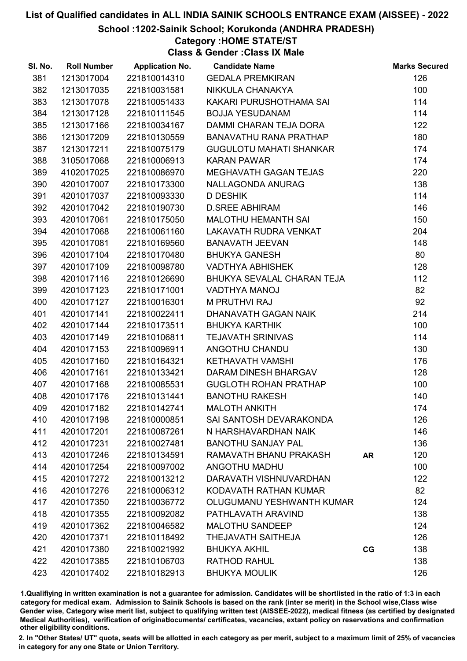School :1202-Sainik School; Korukonda (ANDHRA PRADESH)

### Category :HOME STATE/ST

Class & Gender :Class IX Male

| SI. No. | <b>Roll Number</b> | <b>Application No.</b> | <b>Candidate Name</b>          |           | <b>Marks Secured</b> |
|---------|--------------------|------------------------|--------------------------------|-----------|----------------------|
| 381     | 1213017004         | 221810014310           | <b>GEDALA PREMKIRAN</b>        |           | 126                  |
| 382     | 1213017035         | 221810031581           | NIKKULA CHANAKYA               |           | 100                  |
| 383     | 1213017078         | 221810051433           | KAKARI PURUSHOTHAMA SAI        |           | 114                  |
| 384     | 1213017128         | 221810111545           | <b>BOJJA YESUDANAM</b>         |           | 114                  |
| 385     | 1213017166         | 221810034167           | DAMMI CHARAN TEJA DORA         |           | 122                  |
| 386     | 1213017209         | 221810130559           | <b>BANAVATHU RANA PRATHAP</b>  |           | 180                  |
| 387     | 1213017211         | 221810075179           | <b>GUGULOTU MAHATI SHANKAR</b> |           | 174                  |
| 388     | 3105017068         | 221810006913           | <b>KARAN PAWAR</b>             |           | 174                  |
| 389     | 4102017025         | 221810086970           | MEGHAVATH GAGAN TEJAS          |           | 220                  |
| 390     | 4201017007         | 221810173300           | NALLAGONDA ANURAG              |           | 138                  |
| 391     | 4201017037         | 221810093330           | <b>D DESHIK</b>                |           | 114                  |
| 392     | 4201017042         | 221810190730           | <b>D.SREE ABHIRAM</b>          |           | 146                  |
| 393     | 4201017061         | 221810175050           | MALOTHU HEMANTH SAI            |           | 150                  |
| 394     | 4201017068         | 221810061160           | <b>LAKAVATH RUDRA VENKAT</b>   |           | 204                  |
| 395     | 4201017081         | 221810169560           | <b>BANAVATH JEEVAN</b>         |           | 148                  |
| 396     | 4201017104         | 221810170480           | <b>BHUKYA GANESH</b>           |           | 80                   |
| 397     | 4201017109         | 221810098780           | <b>VADTHYA ABHISHEK</b>        |           | 128                  |
| 398     | 4201017116         | 221810126690           | BHUKYA SEVALAL CHARAN TEJA     |           | 112                  |
| 399     | 4201017123         | 221810171001           | VADTHYA MANOJ                  |           | 82                   |
| 400     | 4201017127         | 221810016301           | M PRUTHVI RAJ                  |           | 92                   |
| 401     | 4201017141         | 221810022411           | DHANAVATH GAGAN NAIK           |           | 214                  |
| 402     | 4201017144         | 221810173511           | <b>BHUKYA KARTHIK</b>          |           | 100                  |
| 403     | 4201017149         | 221810106811           | <b>TEJAVATH SRINIVAS</b>       |           | 114                  |
| 404     | 4201017153         | 221810096911           | ANGOTHU CHANDU                 |           | 130                  |
| 405     | 4201017160         | 221810164321           | KETHAVATH VAMSHI               |           | 176                  |
| 406     | 4201017161         | 221810133421           | DARAM DINESH BHARGAV           |           | 128                  |
| 407     | 4201017168         | 221810085531           | <b>GUGLOTH ROHAN PRATHAP</b>   |           | 100                  |
| 408     | 4201017176         | 221810131441           | <b>BANOTHU RAKESH</b>          |           | 140                  |
| 409     | 4201017182         | 221810142741           | <b>MALOTH ANKITH</b>           |           | 174                  |
| 410     | 4201017198         | 221810000851           | SAI SANTOSH DEVARAKONDA        |           | 126                  |
| 411     | 4201017201         | 221810087261           | N HARSHAVARDHAN NAIK           |           | 146                  |
| 412     | 4201017231         | 221810027481           | <b>BANOTHU SANJAY PAL</b>      |           | 136                  |
| 413     | 4201017246         | 221810134591           | RAMAVATH BHANU PRAKASH         | <b>AR</b> | 120                  |
| 414     | 4201017254         | 221810097002           | ANGOTHU MADHU                  |           | 100                  |
| 415     | 4201017272         | 221810013212           | DARAVATH VISHNUVARDHAN         |           | 122                  |
| 416     | 4201017276         | 221810006312           | KODAVATH RATHAN KUMAR          |           | 82                   |
| 417     | 4201017350         | 221810036772           | OLUGUMANU YESHWANTH KUMAR      |           | 124                  |
| 418     | 4201017355         | 221810092082           | PATHLAVATH ARAVIND             |           | 138                  |
| 419     | 4201017362         | 221810046582           | <b>MALOTHU SANDEEP</b>         |           | 124                  |
| 420     | 4201017371         | 221810118492           | THEJAVATH SAITHEJA             |           | 126                  |
| 421     | 4201017380         | 221810021992           | <b>BHUKYA AKHIL</b>            | CG        | 138                  |
| 422     | 4201017385         | 221810106703           | <b>RATHOD RAHUL</b>            |           | 138                  |
| 423     | 4201017402         | 221810182913           | <b>BHUKYA MOULIK</b>           |           | 126                  |

1.Qualifiying in written examination is not a guarantee for admission. Candidates will be shortlisted in the ratio of 1:3 in each category for medical exam. Admission to Sainik Schools is based on the rank (inter se merit) in the School wise,Class wise Gender wise, Category wise merit list, subject to qualifying written test (AISSEE-2022), medical fitness (as certified by designated Medical Authorities), verification of originablocuments/ certificates, vacancies, extant policy on reservations and confirmation other eligibility conditions.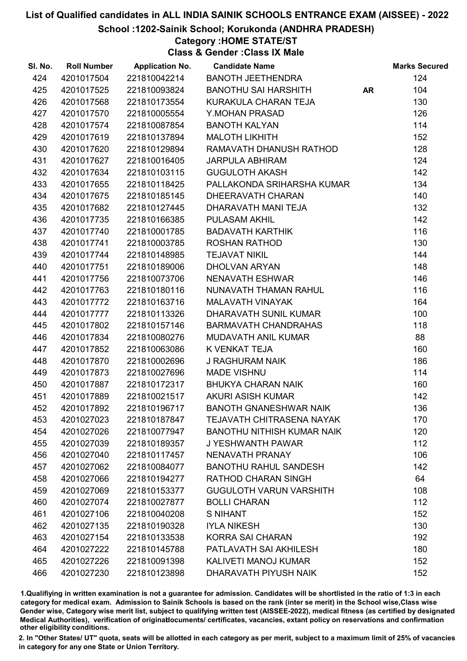#### School :1202-Sainik School; Korukonda (ANDHRA PRADESH)

#### Category :HOME STATE/ST

Class & Gender :Class IX Male

| SI. No. | <b>Roll Number</b> | <b>Application No.</b> | <b>Candidate Name</b>             |           | <b>Marks Secured</b> |
|---------|--------------------|------------------------|-----------------------------------|-----------|----------------------|
| 424     | 4201017504         | 221810042214           | <b>BANOTH JEETHENDRA</b>          |           | 124                  |
| 425     | 4201017525         | 221810093824           | <b>BANOTHU SAI HARSHITH</b>       | <b>AR</b> | 104                  |
| 426     | 4201017568         | 221810173554           | KURAKULA CHARAN TEJA              |           | 130                  |
| 427     | 4201017570         | 221810005554           | Y.MOHAN PRASAD                    |           | 126                  |
| 428     | 4201017574         | 221810087854           | <b>BANOTH KALYAN</b>              |           | 114                  |
| 429     | 4201017619         | 221810137894           | <b>MALOTH LIKHITH</b>             |           | 152                  |
| 430     | 4201017620         | 221810129894           | RAMAVATH DHANUSH RATHOD           |           | 128                  |
| 431     | 4201017627         | 221810016405           | <b>JARPULA ABHIRAM</b>            |           | 124                  |
| 432     | 4201017634         | 221810103115           | <b>GUGULOTH AKASH</b>             |           | 142                  |
| 433     | 4201017655         | 221810118425           | PALLAKONDA SRIHARSHA KUMAR        |           | 134                  |
| 434     | 4201017675         | 221810185145           | DHEERAVATH CHARAN                 |           | 140                  |
| 435     | 4201017682         | 221810127445           | DHARAVATH MANI TEJA               |           | 132                  |
| 436     | 4201017735         | 221810166385           | <b>PULASAM AKHIL</b>              |           | 142                  |
| 437     | 4201017740         | 221810001785           | <b>BADAVATH KARTHIK</b>           |           | 116                  |
| 438     | 4201017741         | 221810003785           | <b>ROSHAN RATHOD</b>              |           | 130                  |
| 439     | 4201017744         | 221810148985           | <b>TEJAVAT NIKIL</b>              |           | 144                  |
| 440     | 4201017751         | 221810189006           | DHOLVAN ARYAN                     |           | 148                  |
| 441     | 4201017756         | 221810073706           | <b>NENAVATH ESHWAR</b>            |           | 146                  |
| 442     | 4201017763         | 221810180116           | NUNAVATH THAMAN RAHUL             |           | 116                  |
| 443     | 4201017772         | 221810163716           | <b>MALAVATH VINAYAK</b>           |           | 164                  |
| 444     | 4201017777         | 221810113326           | DHARAVATH SUNIL KUMAR             |           | 100                  |
| 445     | 4201017802         | 221810157146           | <b>BARMAVATH CHANDRAHAS</b>       |           | 118                  |
| 446     | 4201017834         | 221810080276           | MUDAVATH ANIL KUMAR               |           | 88                   |
| 447     | 4201017852         | 221810063086           | K VENKAT TEJA                     |           | 160                  |
| 448     | 4201017870         | 221810002696           | <b>J RAGHURAM NAIK</b>            |           | 186                  |
| 449     | 4201017873         | 221810027696           | <b>MADE VISHNU</b>                |           | 114                  |
| 450     | 4201017887         | 221810172317           | <b>BHUKYA CHARAN NAIK</b>         |           | 160                  |
| 451     | 4201017889         | 221810021517           | <b>AKURI ASISH KUMAR</b>          |           | 142                  |
| 452     | 4201017892         | 221810196717           | <b>BANOTH GNANESHWAR NAIK</b>     |           | 136                  |
| 453     | 4201027023         | 221810187847           | <b>TEJAVATH CHITRASENA NAYAK</b>  |           | 170                  |
| 454     | 4201027026         | 221810077947           | <b>BANOTHU NITHISH KUMAR NAIK</b> |           | 120                  |
| 455     | 4201027039         | 221810189357           | J YESHWANTH PAWAR                 |           | 112                  |
| 456     | 4201027040         | 221810117457           | NENAVATH PRANAY                   |           | 106                  |
| 457     | 4201027062         | 221810084077           | <b>BANOTHU RAHUL SANDESH</b>      |           | 142                  |
| 458     | 4201027066         | 221810194277           | <b>RATHOD CHARAN SINGH</b>        |           | 64                   |
| 459     | 4201027069         | 221810153377           | <b>GUGULOTH VARUN VARSHITH</b>    |           | 108                  |
| 460     | 4201027074         | 221810027877           | <b>BOLLI CHARAN</b>               |           | 112                  |
| 461     | 4201027106         | 221810040208           | <b>S NIHANT</b>                   |           | 152                  |
| 462     | 4201027135         | 221810190328           | <b>IYLA NIKESH</b>                |           | 130                  |
| 463     | 4201027154         | 221810133538           | <b>KORRA SAI CHARAN</b>           |           | 192                  |
| 464     | 4201027222         | 221810145788           | PATLAVATH SAI AKHILESH            |           | 180                  |
| 465     | 4201027226         | 221810091398           | KALIVETI MANOJ KUMAR              |           | 152                  |
| 466     | 4201027230         | 221810123898           | DHARAVATH PIYUSH NAIK             |           | 152                  |

1.Qualifiying in written examination is not a guarantee for admission. Candidates will be shortlisted in the ratio of 1:3 in each category for medical exam. Admission to Sainik Schools is based on the rank (inter se merit) in the School wise,Class wise Gender wise, Category wise merit list, subject to qualifying written test (AISSEE-2022), medical fitness (as certified by designated Medical Authorities), verification of originablocuments/ certificates, vacancies, extant policy on reservations and confirmation other eligibility conditions.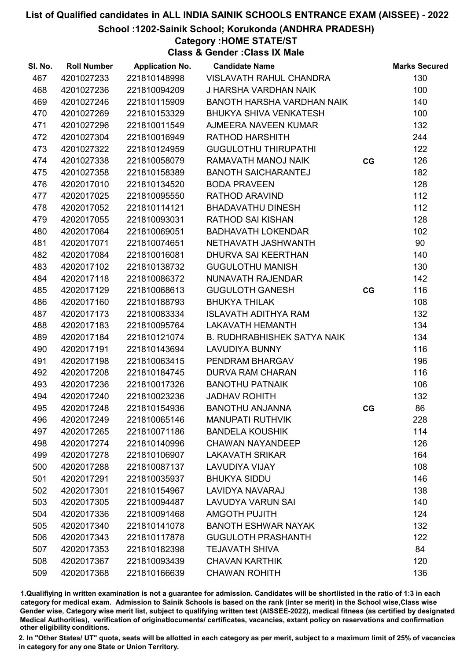School :1202-Sainik School; Korukonda (ANDHRA PRADESH)

### Category :HOME STATE/ST

Class & Gender :Class IX Male

| SI. No. | <b>Roll Number</b> | <b>Application No.</b> | <b>Candidate Name</b>              |    | <b>Marks Secured</b> |
|---------|--------------------|------------------------|------------------------------------|----|----------------------|
| 467     | 4201027233         | 221810148998           | VISLAVATH RAHUL CHANDRA            |    | 130                  |
| 468     | 4201027236         | 221810094209           | J HARSHA VARDHAN NAIK              |    | 100                  |
| 469     | 4201027246         | 221810115909           | BANOTH HARSHA VARDHAN NAIK         |    | 140                  |
| 470     | 4201027269         | 221810153329           | <b>BHUKYA SHIVA VENKATESH</b>      |    | 100                  |
| 471     | 4201027296         | 221810011549           | AJMEERA NAVEEN KUMAR               |    | 132                  |
| 472     | 4201027304         | 221810016949           | <b>RATHOD HARSHITH</b>             |    | 244                  |
| 473     | 4201027322         | 221810124959           | <b>GUGULOTHU THIRUPATHI</b>        |    | 122                  |
| 474     | 4201027338         | 221810058079           | RAMAVATH MANOJ NAIK                | CG | 126                  |
| 475     | 4201027358         | 221810158389           | <b>BANOTH SAICHARANTEJ</b>         |    | 182                  |
| 476     | 4202017010         | 221810134520           | <b>BODA PRAVEEN</b>                |    | 128                  |
| 477     | 4202017025         | 221810095550           | RATHOD ARAVIND                     |    | 112                  |
| 478     | 4202017052         | 221810114121           | <b>BHADAVATHU DINESH</b>           |    | 112                  |
| 479     | 4202017055         | 221810093031           | <b>RATHOD SAI KISHAN</b>           |    | 128                  |
| 480     | 4202017064         | 221810069051           | <b>BADHAVATH LOKENDAR</b>          |    | 102                  |
| 481     | 4202017071         | 221810074651           | NETHAVATH JASHWANTH                |    | 90                   |
| 482     | 4202017084         | 221810016081           | DHURVA SAI KEERTHAN                |    | 140                  |
| 483     | 4202017102         | 221810138732           | <b>GUGULOTHU MANISH</b>            |    | 130                  |
| 484     | 4202017118         | 221810086372           | NUNAVATH RAJENDAR                  |    | 142                  |
| 485     | 4202017129         | 221810068613           | <b>GUGULOTH GANESH</b>             | CG | 116                  |
| 486     | 4202017160         | 221810188793           | <b>BHUKYA THILAK</b>               |    | 108                  |
| 487     | 4202017173         | 221810083334           | <b>ISLAVATH ADITHYA RAM</b>        |    | 132                  |
| 488     | 4202017183         | 221810095764           | <b>LAKAVATH HEMANTH</b>            |    | 134                  |
| 489     | 4202017184         | 221810121074           | <b>B. RUDHRABHISHEK SATYA NAIK</b> |    | 134                  |
| 490     | 4202017191         | 221810143694           | <b>LAVUDIYA BUNNY</b>              |    | 116                  |
| 491     | 4202017198         | 221810063415           | PENDRAM BHARGAV                    |    | 196                  |
| 492     | 4202017208         | 221810184745           | <b>DURVA RAM CHARAN</b>            |    | 116                  |
| 493     | 4202017236         | 221810017326           | <b>BANOTHU PATNAIK</b>             |    | 106                  |
| 494     | 4202017240         | 221810023236           | <b>JADHAV ROHITH</b>               |    | 132                  |
| 495     | 4202017248         | 221810154936           | <b>BANOTHU ANJANNA</b>             | CG | 86                   |
| 496     | 4202017249         | 221810065146           | <b>MANUPATI RUTHVIK</b>            |    | 228                  |
| 497     | 4202017265         | 221810071186           | <b>BANDELA KOUSHIK</b>             |    | 114                  |
| 498     | 4202017274         | 221810140996           | <b>CHAWAN NAYANDEEP</b>            |    | 126                  |
| 499     | 4202017278         | 221810106907           | <b>LAKAVATH SRIKAR</b>             |    | 164                  |
| 500     | 4202017288         | 221810087137           | <b>LAVUDIYA VIJAY</b>              |    | 108                  |
| 501     | 4202017291         | 221810035937           | <b>BHUKYA SIDDU</b>                |    | 146                  |
| 502     | 4202017301         | 221810154967           | <b>LAVIDYA NAVARAJ</b>             |    | 138                  |
| 503     | 4202017305         | 221810094487           | <b>LAVUDYA VARUN SAI</b>           |    | 140                  |
| 504     | 4202017336         | 221810091468           | <b>AMGOTH PUJITH</b>               |    | 124                  |
| 505     | 4202017340         | 221810141078           | <b>BANOTH ESHWAR NAYAK</b>         |    | 132                  |
| 506     | 4202017343         | 221810117878           | <b>GUGULOTH PRASHANTH</b>          |    | 122                  |
| 507     | 4202017353         | 221810182398           | <b>TEJAVATH SHIVA</b>              |    | 84                   |
| 508     | 4202017367         | 221810093439           | <b>CHAVAN KARTHIK</b>              |    | 120                  |
| 509     | 4202017368         | 221810166639           | <b>CHAWAN ROHITH</b>               |    | 136                  |

1.Qualifiying in written examination is not a guarantee for admission. Candidates will be shortlisted in the ratio of 1:3 in each category for medical exam. Admission to Sainik Schools is based on the rank (inter se merit) in the School wise,Class wise Gender wise, Category wise merit list, subject to qualifying written test (AISSEE-2022), medical fitness (as certified by designated Medical Authorities), verification of originablocuments/ certificates, vacancies, extant policy on reservations and confirmation other eligibility conditions.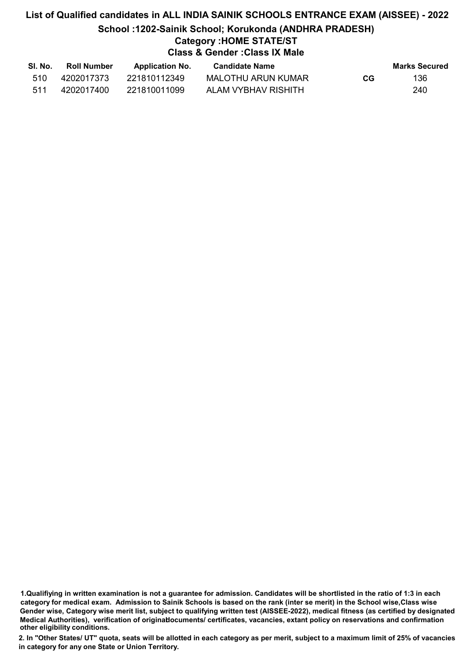# List of Qualified candidates in ALL INDIA SAINIK SCHOOLS ENTRANCE EXAM (AISSEE) - 2022 School :1202-Sainik School; Korukonda (ANDHRA PRADESH) Category :HOME STATE/ST Class & Gender :Class IX Male

| SI. No. | <b>Roll Number</b> | <b>Application No.</b> | Candidate Name      |    | Marks Secured |
|---------|--------------------|------------------------|---------------------|----|---------------|
| 510     | 4202017373         | 221810112349           | MALOTHU ARUN KUMAR  | CG | 136           |
| 511     | 4202017400         | 221810011099           | ALAM VYBHAV RISHITH |    | 240           |

<sup>1.</sup>Qualifiying in written examination is not a guarantee for admission. Candidates will be shortlisted in the ratio of 1:3 in each category for medical exam. Admission to Sainik Schools is based on the rank (inter se merit) in the School wise,Class wise Gender wise, Category wise merit list, subject to qualifying written test (AISSEE-2022), medical fitness (as certified by designated Medical Authorities), verification of originablocuments/ certificates, vacancies, extant policy on reservations and confirmation other eligibility conditions.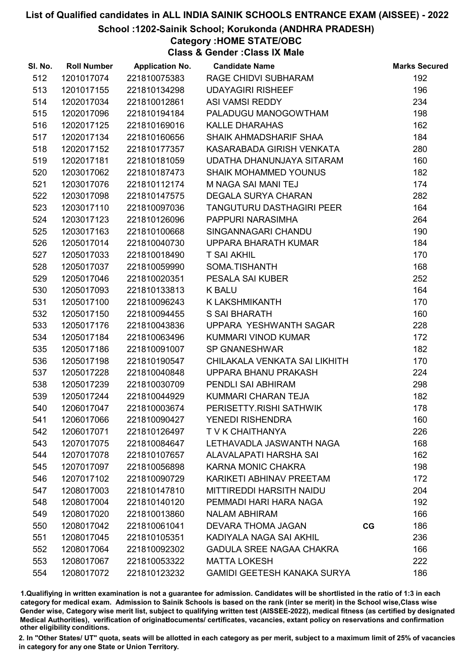School :1202-Sainik School; Korukonda (ANDHRA PRADESH)

Category :HOME STATE/OBC

Class & Gender :Class IX Male

| SI. No. | <b>Roll Number</b> | <b>Application No.</b> | <b>Candidate Name</b>              | <b>Marks Secured</b> |
|---------|--------------------|------------------------|------------------------------------|----------------------|
| 512     | 1201017074         | 221810075383           | RAGE CHIDVI SUBHARAM               | 192                  |
| 513     | 1201017155         | 221810134298           | <b>UDAYAGIRI RISHEEF</b>           | 196                  |
| 514     | 1202017034         | 221810012861           | ASI VAMSI REDDY                    | 234                  |
| 515     | 1202017096         | 221810194184           | PALADUGU MANOGOWTHAM               | 198                  |
| 516     | 1202017125         | 221810169016           | <b>KALLE DHARAHAS</b>              | 162                  |
| 517     | 1202017134         | 221810160656           | SHAIK AHMADSHARIF SHAA             | 184                  |
| 518     | 1202017152         | 221810177357           | KASARABADA GIRISH VENKATA          | 280                  |
| 519     | 1202017181         | 221810181059           | UDATHA DHANUNJAYA SITARAM          | 160                  |
| 520     | 1203017062         | 221810187473           | <b>SHAIK MOHAMMED YOUNUS</b>       | 182                  |
| 521     | 1203017076         | 221810112174           | M NAGA SAI MANI TEJ                | 174                  |
| 522     | 1203017098         | 221810147575           | <b>DEGALA SURYA CHARAN</b>         | 282                  |
| 523     | 1203017110         | 221810097036           | TANGUTURU DASTHAGIRI PEER          | 164                  |
| 524     | 1203017123         | 221810126096           | PAPPURI NARASIMHA                  | 264                  |
| 525     | 1203017163         | 221810100668           | SINGANNAGARI CHANDU                | 190                  |
| 526     | 1205017014         | 221810040730           | UPPARA BHARATH KUMAR               | 184                  |
| 527     | 1205017033         | 221810018490           | <b>T SAI AKHIL</b>                 | 170                  |
| 528     | 1205017037         | 221810059990           | SOMA.TISHANTH                      | 168                  |
| 529     | 1205017046         | 221810020351           | PESALA SAI KUBER                   | 252                  |
| 530     | 1205017093         | 221810133813           | <b>K BALU</b>                      | 164                  |
| 531     | 1205017100         | 221810096243           | K LAKSHMIKANTH                     | 170                  |
| 532     | 1205017150         | 221810094455           | <b>S SAI BHARATH</b>               | 160                  |
| 533     | 1205017176         | 221810043836           | UPPARA YESHWANTH SAGAR             | 228                  |
| 534     | 1205017184         | 221810063496           | KUMMARI VINOD KUMAR                | 172                  |
| 535     | 1205017186         | 221810091007           | SP GNANESHWAR                      | 182                  |
| 536     | 1205017198         | 221810190547           | CHILAKALA VENKATA SAI LIKHITH      | 170                  |
| 537     | 1205017228         | 221810040848           | UPPARA BHANU PRAKASH               | 224                  |
| 538     | 1205017239         | 221810030709           | PENDLI SAI ABHIRAM                 | 298                  |
| 539     | 1205017244         | 221810044929           | KUMMARI CHARAN TEJA                | 182                  |
| 540     | 1206017047         | 221810003674           | PERISETTY.RISHI SATHWIK            | 178                  |
| 541     | 1206017066         | 221810090427           | <b>YENEDI RISHENDRA</b>            | 160                  |
| 542     | 1206017071         | 221810126497           | T V K CHAITHANYA                   | 226                  |
| 543     | 1207017075         | 221810084647           | LETHAVADLA JASWANTH NAGA           | 168                  |
| 544     | 1207017078         | 221810107657           | ALAVALAPATI HARSHA SAI             | 162                  |
| 545     | 1207017097         | 221810056898           | KARNA MONIC CHAKRA                 | 198                  |
| 546     | 1207017102         | 221810090729           | KARIKETI ABHINAV PREETAM           | 172                  |
| 547     | 1208017003         | 221810147810           | <b>MITTIREDDI HARSITH NAIDU</b>    | 204                  |
| 548     | 1208017004         | 221810140120           | PEMMADI HARI HARA NAGA             | 192                  |
| 549     | 1208017020         | 221810013860           | <b>NALAM ABHIRAM</b>               | 166                  |
| 550     | 1208017042         | 221810061041           | DEVARA THOMA JAGAN                 | 186<br>CG            |
| 551     | 1208017045         | 221810105351           | KADIYALA NAGA SAI AKHIL            | 236                  |
| 552     | 1208017064         | 221810092302           | <b>GADULA SREE NAGAA CHAKRA</b>    | 166                  |
| 553     | 1208017067         | 221810053322           | <b>MATTA LOKESH</b>                | 222                  |
| 554     | 1208017072         | 221810123232           | <b>GAMIDI GEETESH KANAKA SURYA</b> | 186                  |

1.Qualifiying in written examination is not a guarantee for admission. Candidates will be shortlisted in the ratio of 1:3 in each category for medical exam. Admission to Sainik Schools is based on the rank (inter se merit) in the School wise,Class wise Gender wise, Category wise merit list, subject to qualifying written test (AISSEE-2022), medical fitness (as certified by designated Medical Authorities), verification of originablocuments/ certificates, vacancies, extant policy on reservations and confirmation other eligibility conditions.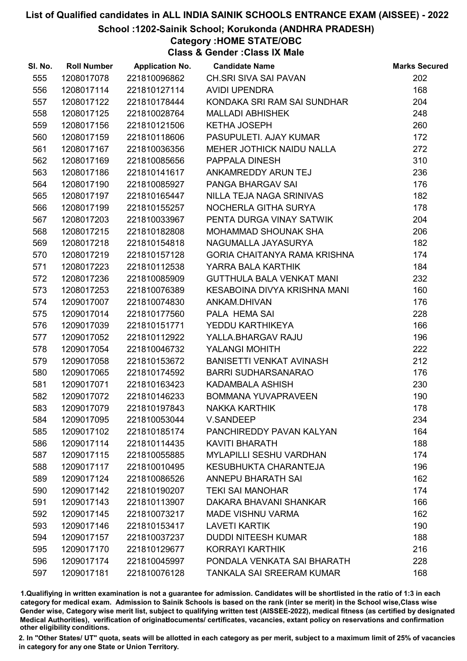School :1202-Sainik School; Korukonda (ANDHRA PRADESH)

## Category :HOME STATE/OBC

Class & Gender :Class IX Male

| SI. No. | <b>Roll Number</b> |              | <b>Application No. Candidate Name</b> | <b>Marks Secured</b> |
|---------|--------------------|--------------|---------------------------------------|----------------------|
| 555     | 1208017078         | 221810096862 | CH.SRI SIVA SAI PAVAN                 | 202                  |
| 556     | 1208017114         | 221810127114 | <b>AVIDI UPENDRA</b>                  | 168                  |
| 557     | 1208017122         | 221810178444 | KONDAKA SRI RAM SAI SUNDHAR           | 204                  |
| 558     | 1208017125         | 221810028764 | <b>MALLADI ABHISHEK</b>               | 248                  |
| 559     | 1208017156         | 221810121506 | <b>KETHA JOSEPH</b>                   | 260                  |
| 560     | 1208017159         | 221810118606 | PASUPULETI. AJAY KUMAR                | 172                  |
| 561     | 1208017167         | 221810036356 | MEHER JOTHICK NAIDU NALLA             | 272                  |
| 562     | 1208017169         | 221810085656 | PAPPALA DINESH                        | 310                  |
| 563     | 1208017186         | 221810141617 | ANKAMREDDY ARUN TEJ                   | 236                  |
| 564     | 1208017190         | 221810085927 | PANGA BHARGAV SAI                     | 176                  |
| 565     | 1208017197         | 221810165447 | NILLA TEJA NAGA SRINIVAS              | 182                  |
| 566     | 1208017199         | 221810155257 | NOCHERLA GITHA SURYA                  | 178                  |
| 567     | 1208017203         | 221810033967 | PENTA DURGA VINAY SATWIK              | 204                  |
| 568     | 1208017215         | 221810182808 | MOHAMMAD SHOUNAK SHA                  | 206                  |
| 569     | 1208017218         | 221810154818 | NAGUMALLA JAYASURYA                   | 182                  |
| 570     | 1208017219         | 221810157128 | GORIA CHAITANYA RAMA KRISHNA          | 174                  |
| 571     | 1208017223         | 221810112538 | YARRA BALA KARTHIK                    | 184                  |
| 572     | 1208017236         | 221810085909 | <b>GUTTHULA BALA VENKAT MANI</b>      | 232                  |
| 573     | 1208017253         | 221810076389 | KESABOINA DIVYA KRISHNA MANI          | 160                  |
| 574     | 1209017007         | 221810074830 | ANKAM.DHIVAN                          | 176                  |
| 575     | 1209017014         | 221810177560 | PALA HEMA SAI                         | 228                  |
| 576     | 1209017039         | 221810151771 | YEDDU KARTHIKEYA                      | 166                  |
| 577     | 1209017052         | 221810112922 | YALLA.BHARGAV RAJU                    | 196                  |
| 578     | 1209017054         | 221810046732 | YALANGI MOHITH                        | 222                  |
| 579     | 1209017058         | 221810153672 | BANISETTI VENKAT AVINASH              | 212                  |
| 580     | 1209017065         | 221810174592 | <b>BARRI SUDHARSANARAO</b>            | 176                  |
| 581     | 1209017071         | 221810163423 | KADAMBALA ASHISH                      | 230                  |
| 582     | 1209017072         | 221810146233 | <b>BOMMANA YUVAPRAVEEN</b>            | 190                  |
| 583     | 1209017079         | 221810197843 | <b>NAKKA KARTHIK</b>                  | 178                  |
| 584     | 1209017095         | 221810053044 | <b>V.SANDEEP</b>                      | 234                  |
| 585     | 1209017102         | 221810185174 | PANCHIREDDY PAVAN KALYAN              | 164                  |
| 586     | 1209017114         | 221810114435 | <b>KAVITI BHARATH</b>                 | 188                  |
| 587     | 1209017115         | 221810055885 | <b>MYLAPILLI SESHU VARDHAN</b>        | 174                  |
| 588     | 1209017117         | 221810010495 | KESUBHUKTA CHARANTEJA                 | 196                  |
| 589     | 1209017124         | 221810086526 | <b>ANNEPU BHARATH SAI</b>             | 162                  |
| 590     | 1209017142         | 221810190207 | <b>TEKI SAI MANOHAR</b>               | 174                  |
| 591     | 1209017143         | 221810113907 | DAKARA BHAVANI SHANKAR                | 166                  |
| 592     | 1209017145         | 221810073217 | <b>MADE VISHNU VARMA</b>              | 162                  |
| 593     | 1209017146         | 221810153417 | <b>LAVETI KARTIK</b>                  | 190                  |
| 594     | 1209017157         | 221810037237 | <b>DUDDI NITEESH KUMAR</b>            | 188                  |
| 595     | 1209017170         | 221810129677 | KORRAYI KARTHIK                       | 216                  |
| 596     | 1209017174         | 221810045997 | PONDALA VENKATA SAI BHARATH           | 228                  |
| 597     | 1209017181         | 221810076128 | <b>TANKALA SAI SREERAM KUMAR</b>      | 168                  |
|         |                    |              |                                       |                      |

1.Qualifiying in written examination is not a guarantee for admission. Candidates will be shortlisted in the ratio of 1:3 in each category for medical exam. Admission to Sainik Schools is based on the rank (inter se merit) in the School wise,Class wise Gender wise, Category wise merit list, subject to qualifying written test (AISSEE-2022), medical fitness (as certified by designated Medical Authorities), verification of originablocuments/ certificates, vacancies, extant policy on reservations and confirmation other eligibility conditions.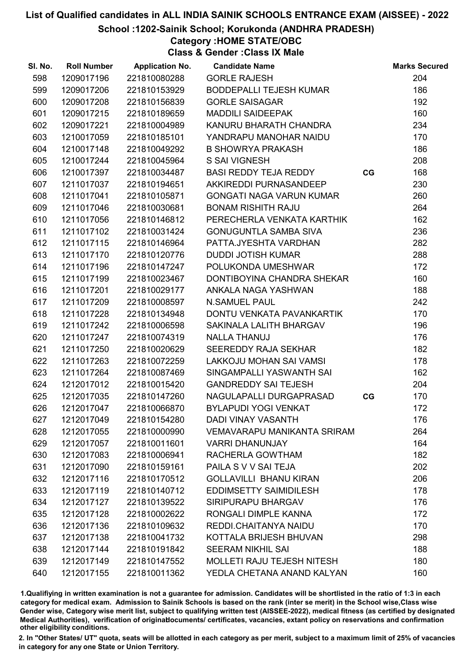School :1202-Sainik School; Korukonda (ANDHRA PRADESH)

# Category :HOME STATE/OBC

Class & Gender :Class IX Male

| SI. No. | <b>Roll Number</b> | <b>Application No.</b> | <b>Candidate Name</b>              |    | <b>Marks Secured</b> |
|---------|--------------------|------------------------|------------------------------------|----|----------------------|
| 598     | 1209017196         | 221810080288           | <b>GORLE RAJESH</b>                |    | 204                  |
| 599     | 1209017206         | 221810153929           | <b>BODDEPALLI TEJESH KUMAR</b>     |    | 186                  |
| 600     | 1209017208         | 221810156839           | <b>GORLE SAISAGAR</b>              |    | 192                  |
| 601     | 1209017215         | 221810189659           | <b>MADDILI SAIDEEPAK</b>           |    | 160                  |
| 602     | 1209017221         | 221810004989           | KANURU BHARATH CHANDRA             |    | 234                  |
| 603     | 1210017059         | 221810185101           | YANDRAPU MANOHAR NAIDU             |    | 170                  |
| 604     | 1210017148         | 221810049292           | <b>B SHOWRYA PRAKASH</b>           |    | 186                  |
| 605     | 1210017244         | 221810045964           | <b>S SAI VIGNESH</b>               |    | 208                  |
| 606     | 1210017397         | 221810034487           | BASI REDDY TEJA REDDY              | CG | 168                  |
| 607     | 1211017037         | 221810194651           | AKKIREDDI PURNASANDEEP             |    | 230                  |
| 608     | 1211017041         | 221810105871           | <b>GONGATI NAGA VARUN KUMAR</b>    |    | 260                  |
| 609     | 1211017046         | 221810030681           | <b>BONAM RISHITH RAJU</b>          |    | 264                  |
| 610     | 1211017056         | 221810146812           | PERECHERLA VENKATA KARTHIK         |    | 162                  |
| 611     | 1211017102         | 221810031424           | <b>GONUGUNTLA SAMBA SIVA</b>       |    | 236                  |
| 612     | 1211017115         | 221810146964           | PATTA.JYESHTA VARDHAN              |    | 282                  |
| 613     | 1211017170         | 221810120776           | <b>DUDDI JOTISH KUMAR</b>          |    | 288                  |
| 614     | 1211017196         | 221810147247           | POLUKONDA UMESHWAR                 |    | 172                  |
| 615     | 1211017199         | 221810023467           | DONTIBOYINA CHANDRA SHEKAR         |    | 160                  |
| 616     | 1211017201         | 221810029177           | ANKALA NAGA YASHWAN                |    | 188                  |
| 617     | 1211017209         | 221810008597           | <b>N.SAMUEL PAUL</b>               |    | 242                  |
| 618     | 1211017228         | 221810134948           | DONTU VENKATA PAVANKARTIK          |    | 170                  |
| 619     | 1211017242         | 221810006598           | SAKINALA LALITH BHARGAV            |    | 196                  |
| 620     | 1211017247         | 221810074319           | <b>NALLA THANUJ</b>                |    | 176                  |
| 621     | 1211017250         | 221810020629           | SEEREDDY RAJA SEKHAR               |    | 182                  |
| 622     | 1211017263         | 221810072259           | LAKKOJU MOHAN SAI VAMSI            |    | 178                  |
| 623     | 1211017264         | 221810087469           | SINGAMPALLI YASWANTH SAI           |    | 162                  |
| 624     | 1212017012         | 221810015420           | <b>GANDREDDY SAI TEJESH</b>        |    | 204                  |
| 625     | 1212017035         | 221810147260           | NAGULAPALLI DURGAPRASAD            | CG | 170                  |
| 626     | 1212017047         | 221810066870           | <b>BYLAPUDI YOGI VENKAT</b>        |    | 172                  |
| 627     | 1212017049         | 221810154280           | <b>DADI VINAY VASANTH</b>          |    | 176                  |
| 628     | 1212017055         | 221810000990           | <b>VEMAVARAPU MANIKANTA SRIRAM</b> |    | 264                  |
| 629     | 1212017057         | 221810011601           | <b>VARRI DHANUNJAY</b>             |    | 164                  |
| 630     | 1212017083         | 221810006941           | RACHERLA GOWTHAM                   |    | 182                  |
| 631     | 1212017090         | 221810159161           | PAILA S V V SAI TEJA               |    | 202                  |
| 632     | 1212017116         | 221810170512           | <b>GOLLAVILLI BHANU KIRAN</b>      |    | 206                  |
| 633     | 1212017119         | 221810140712           | <b>EDDIMSETTY SAIMIDILESH</b>      |    | 178                  |
| 634     | 1212017127         | 221810139522           | SIRIPURAPU BHARGAV                 |    | 176                  |
| 635     | 1212017128         | 221810002622           | RONGALI DIMPLE KANNA               |    | 172                  |
| 636     | 1212017136         | 221810109632           | REDDI.CHAITANYA NAIDU              |    | 170                  |
| 637     | 1212017138         | 221810041732           | KOTTALA BRIJESH BHUVAN             |    | 298                  |
| 638     | 1212017144         | 221810191842           | <b>SEERAM NIKHIL SAI</b>           |    | 188                  |
| 639     | 1212017149         | 221810147552           | <b>MOLLETI RAJU TEJESH NITESH</b>  |    | 180                  |
| 640     | 1212017155         | 221810011362           | YEDLA CHETANA ANAND KALYAN         |    | 160                  |

1.Qualifiying in written examination is not a guarantee for admission. Candidates will be shortlisted in the ratio of 1:3 in each category for medical exam. Admission to Sainik Schools is based on the rank (inter se merit) in the School wise,Class wise Gender wise, Category wise merit list, subject to qualifying written test (AISSEE-2022), medical fitness (as certified by designated Medical Authorities), verification of originablocuments/ certificates, vacancies, extant policy on reservations and confirmation other eligibility conditions.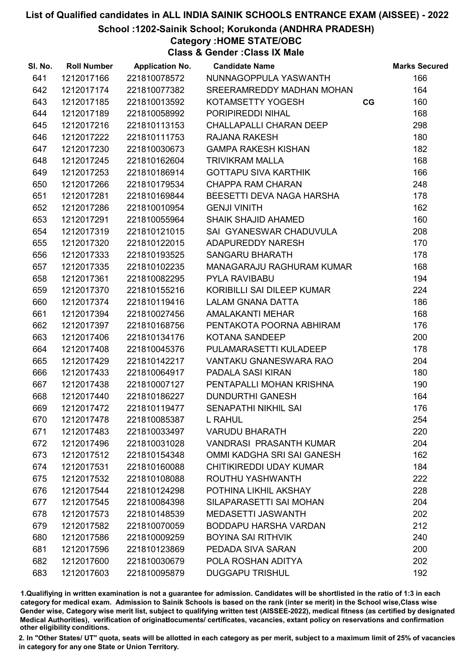School :1202-Sainik School; Korukonda (ANDHRA PRADESH)

### Category :HOME STATE/OBC

Class & Gender :Class IX Male

| SI. No. | <b>Roll Number</b> | <b>Application No.</b> | <b>Candidate Name</b>            |    | <b>Marks Secured</b> |
|---------|--------------------|------------------------|----------------------------------|----|----------------------|
| 641     | 1212017166         | 221810078572           | NUNNAGOPPULA YASWANTH            |    | 166                  |
| 642     | 1212017174         | 221810077382           | SREERAMREDDY MADHAN MOHAN        |    | 164                  |
| 643     | 1212017185         | 221810013592           | KOTAMSETTY YOGESH                | CG | 160                  |
| 644     | 1212017189         | 221810058992           | PORIPIREDDI NIHAL                |    | 168                  |
| 645     | 1212017216         | 221810113153           | CHALLAPALLI CHARAN DEEP          |    | 298                  |
| 646     | 1212017222         | 221810111753           | RAJANA RAKESH                    |    | 180                  |
| 647     | 1212017230         | 221810030673           | <b>GAMPA RAKESH KISHAN</b>       |    | 182                  |
| 648     | 1212017245         | 221810162604           | <b>TRIVIKRAM MALLA</b>           |    | 168                  |
| 649     | 1212017253         | 221810186914           | <b>GOTTAPU SIVA KARTHIK</b>      |    | 166                  |
| 650     | 1212017266         | 221810179534           | <b>CHAPPA RAM CHARAN</b>         |    | 248                  |
| 651     | 1212017281         | 221810169844           | BEESETTI DEVA NAGA HARSHA        |    | 178                  |
| 652     | 1212017286         | 221810010954           | <b>GENJI VINITH</b>              |    | 162                  |
| 653     | 1212017291         | 221810055964           | <b>SHAIK SHAJID AHAMED</b>       |    | 160                  |
| 654     | 1212017319         | 221810121015           | SAI GYANESWAR CHADUVULA          |    | 208                  |
| 655     | 1212017320         | 221810122015           | ADAPUREDDY NARESH                |    | 170                  |
| 656     | 1212017333         | 221810193525           | <b>SANGARU BHARATH</b>           |    | 178                  |
| 657     | 1212017335         | 221810102235           | <b>MANAGARAJU RAGHURAM KUMAR</b> |    | 168                  |
| 658     | 1212017361         | 221810082295           | PYLA RAVIBABU                    |    | 194                  |
| 659     | 1212017370         | 221810155216           | KORIBILLI SAI DILEEP KUMAR       |    | 224                  |
| 660     | 1212017374         | 221810119416           | <b>LALAM GNANA DATTA</b>         |    | 186                  |
| 661     | 1212017394         | 221810027456           | AMALAKANTI MEHAR                 |    | 168                  |
| 662     | 1212017397         | 221810168756           | PENTAKOTA POORNA ABHIRAM         |    | 176                  |
| 663     | 1212017406         | 221810134176           | KOTANA SANDEEP                   |    | 200                  |
| 664     | 1212017408         | 221810045376           | PULAMARASETTI KULADEEP           |    | 178                  |
| 665     | 1212017429         | 221810142217           | VANTAKU GNANESWARA RAO           |    | 204                  |
| 666     | 1212017433         | 221810064917           | PADALA SASI KIRAN                |    | 180                  |
| 667     | 1212017438         | 221810007127           | PENTAPALLI MOHAN KRISHNA         |    | 190                  |
| 668     | 1212017440         | 221810186227           | <b>DUNDURTHI GANESH</b>          |    | 164                  |
| 669     | 1212017472         | 221810119477           | <b>SENAPATHI NIKHIL SAI</b>      |    | 176                  |
| 670     | 1212017478         | 221810085387           | L RAHUL                          |    | 254                  |
| 671     | 1212017483         | 221810033497           | <b>VARUDU BHARATH</b>            |    | 220                  |
| 672     | 1212017496         | 221810031028           | <b>VANDRASI PRASANTH KUMAR</b>   |    | 204                  |
| 673     | 1212017512         | 221810154348           | OMMI KADGHA SRI SAI GANESH       |    | 162                  |
| 674     | 1212017531         | 221810160088           | CHITIKIREDDI UDAY KUMAR          |    | 184                  |
| 675     | 1212017532         | 221810108088           | ROUTHU YASHWANTH                 |    | 222                  |
| 676     | 1212017544         | 221810124298           | POTHINA LIKHIL AKSHAY            |    | 228                  |
| 677     | 1212017545         | 221810084398           | SILAPARASETTI SAI MOHAN          |    | 204                  |
| 678     | 1212017573         | 221810148539           | <b>MEDASETTI JASWANTH</b>        |    | 202                  |
| 679     | 1212017582         | 221810070059           | <b>BODDAPU HARSHA VARDAN</b>     |    | 212                  |
| 680     | 1212017586         | 221810009259           | <b>BOYINA SAI RITHVIK</b>        |    | 240                  |
| 681     | 1212017596         | 221810123869           | PEDADA SIVA SARAN                |    | 200                  |
| 682     | 1212017600         | 221810030679           | POLA ROSHAN ADITYA               |    | 202                  |
| 683     | 1212017603         | 221810095879           | <b>DUGGAPU TRISHUL</b>           |    | 192                  |

1.Qualifiying in written examination is not a guarantee for admission. Candidates will be shortlisted in the ratio of 1:3 in each category for medical exam. Admission to Sainik Schools is based on the rank (inter se merit) in the School wise,Class wise Gender wise, Category wise merit list, subject to qualifying written test (AISSEE-2022), medical fitness (as certified by designated Medical Authorities), verification of originablocuments/ certificates, vacancies, extant policy on reservations and confirmation other eligibility conditions.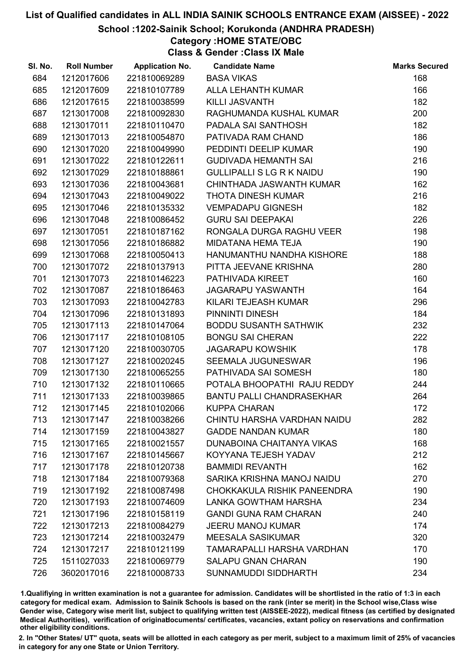School :1202-Sainik School; Korukonda (ANDHRA PRADESH)

# Category :HOME STATE/OBC

Class & Gender :Class IX Male

| SI. No. | <b>Roll Number</b> | <b>Application No.</b> | <b>Candidate Name</b>            | <b>Marks Secured</b> |
|---------|--------------------|------------------------|----------------------------------|----------------------|
| 684     | 1212017606         | 221810069289           | <b>BASA VIKAS</b>                | 168                  |
| 685     | 1212017609         | 221810107789           | <b>ALLA LEHANTH KUMAR</b>        | 166                  |
| 686     | 1212017615         | 221810038599           | KILLI JASVANTH                   | 182                  |
| 687     | 1213017008         | 221810092830           | RAGHUMANDA KUSHAL KUMAR          | 200                  |
| 688     | 1213017011         | 221810110470           | PADALA SAI SANTHOSH              | 182                  |
| 689     | 1213017013         | 221810054870           | PATIVADA RAM CHAND               | 186                  |
| 690     | 1213017020         | 221810049990           | PEDDINTI DEELIP KUMAR            | 190                  |
| 691     | 1213017022         | 221810122611           | <b>GUDIVADA HEMANTH SAI</b>      | 216                  |
| 692     | 1213017029         | 221810188861           | <b>GULLIPALLI S LG R K NAIDU</b> | 190                  |
| 693     | 1213017036         | 221810043681           | CHINTHADA JASWANTH KUMAR         | 162                  |
| 694     | 1213017043         | 221810049022           | <b>THOTA DINESH KUMAR</b>        | 216                  |
| 695     | 1213017046         | 221810135332           | <b>VEMPADAPU GIGNESH</b>         | 182                  |
| 696     | 1213017048         | 221810086452           | <b>GURU SAI DEEPAKAI</b>         | 226                  |
| 697     | 1213017051         | 221810187162           | RONGALA DURGA RAGHU VEER         | 198                  |
| 698     | 1213017056         | 221810186882           | MIDATANA HEMA TEJA               | 190                  |
| 699     | 1213017068         | 221810050413           | HANUMANTHU NANDHA KISHORE        | 188                  |
| 700     | 1213017072         | 221810137913           | PITTA JEEVANE KRISHNA            | 280                  |
| 701     | 1213017073         | 221810146223           | PATHIVADA KIREET                 | 160                  |
| 702     | 1213017087         | 221810186463           | <b>JAGARAPU YASWANTH</b>         | 164                  |
| 703     | 1213017093         | 221810042783           | KILARI TEJEASH KUMAR             | 296                  |
| 704     | 1213017096         | 221810131893           | PINNINTI DINESH                  | 184                  |
| 705     | 1213017113         | 221810147064           | <b>BODDU SUSANTH SATHWIK</b>     | 232                  |
| 706     | 1213017117         | 221810108105           | <b>BONGU SAI CHERAN</b>          | 222                  |
| 707     | 1213017120         | 221810030705           | <b>JAGARAPU KOWSHIK</b>          | 178                  |
| 708     | 1213017127         | 221810020245           | <b>SEEMALA JUGUNESWAR</b>        | 196                  |
| 709     | 1213017130         | 221810065255           | PATHIVADA SAI SOMESH             | 180                  |
| 710     | 1213017132         | 221810110665           | POTALA BHOOPATHI RAJU REDDY      | 244                  |
| 711     | 1213017133         | 221810039865           | <b>BANTU PALLI CHANDRASEKHAR</b> | 264                  |
| 712     | 1213017145         | 221810102066           | <b>KUPPA CHARAN</b>              | 172                  |
| 713     | 1213017147         | 221810038266           | CHINTU HARSHA VARDHAN NAIDU      | 282                  |
| 714     | 1213017159         | 221810043827           | <b>GADDE NANDAN KUMAR</b>        | 180                  |
| 715     | 1213017165         | 221810021557           | DUNABOINA CHAITANYA VIKAS        | 168                  |
| 716     | 1213017167         | 221810145667           | KOYYANA TEJESH YADAV             | 212                  |
| 717     | 1213017178         | 221810120738           | <b>BAMMIDI REVANTH</b>           | 162                  |
| 718     | 1213017184         | 221810079368           | SARIKA KRISHNA MANOJ NAIDU       | 270                  |
| 719     | 1213017192         | 221810087498           | CHOKKAKULA RISHIK PANEENDRA      | 190                  |
| 720     | 1213017193         | 221810074609           | LANKA GOWTHAM HARSHA             | 234                  |
| 721     | 1213017196         | 221810158119           | <b>GANDI GUNA RAM CHARAN</b>     | 240                  |
| 722     | 1213017213         | 221810084279           | <b>JEERU MANOJ KUMAR</b>         | 174                  |
| 723     | 1213017214         | 221810032479           | <b>MEESALA SASIKUMAR</b>         | 320                  |
| 724     | 1213017217         | 221810121199           | TAMARAPALLI HARSHA VARDHAN       | 170                  |
| 725     | 1511027033         | 221810069779           | <b>SALAPU GNAN CHARAN</b>        | 190                  |
| 726     | 3602017016         | 221810008733           | <b>SUNNAMUDDI SIDDHARTH</b>      | 234                  |

1.Qualifiying in written examination is not a guarantee for admission. Candidates will be shortlisted in the ratio of 1:3 in each category for medical exam. Admission to Sainik Schools is based on the rank (inter se merit) in the School wise,Class wise Gender wise, Category wise merit list, subject to qualifying written test (AISSEE-2022), medical fitness (as certified by designated Medical Authorities), verification of originablocuments/ certificates, vacancies, extant policy on reservations and confirmation other eligibility conditions.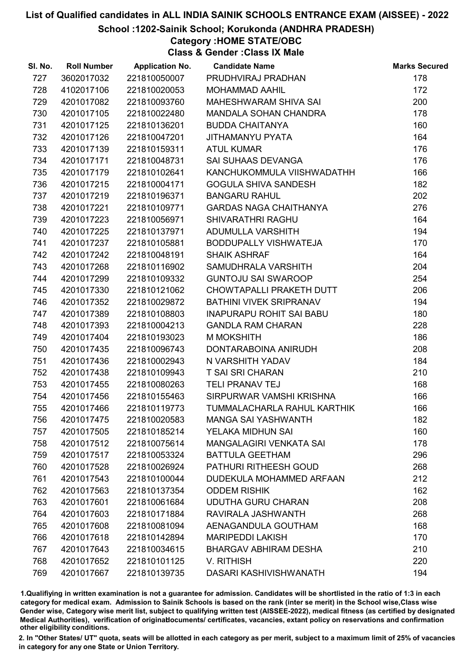School :1202-Sainik School; Korukonda (ANDHRA PRADESH)

# Category :HOME STATE/OBC

Class & Gender :Class IX Male

| SI. No. | <b>Roll Number</b> | <b>Application No.</b> | <b>Candidate Name</b>           | <b>Marks Secured</b> |
|---------|--------------------|------------------------|---------------------------------|----------------------|
| 727     | 3602017032         | 221810050007           | PRUDHVIRAJ PRADHAN              | 178                  |
| 728     | 4102017106         | 221810020053           | <b>MOHAMMAD AAHIL</b>           | 172                  |
| 729     | 4201017082         | 221810093760           | MAHESHWARAM SHIVA SAI           | 200                  |
| 730     | 4201017105         | 221810022480           | MANDALA SOHAN CHANDRA           | 178                  |
| 731     | 4201017125         | 221810136201           | <b>BUDDA CHAITANYA</b>          | 160                  |
| 732     | 4201017126         | 221810047201           | JITHAMANYU PYATA                | 164                  |
| 733     | 4201017139         | 221810159311           | <b>ATUL KUMAR</b>               | 176                  |
| 734     | 4201017171         | 221810048731           | SAI SUHAAS DEVANGA              | 176                  |
| 735     | 4201017179         | 221810102641           | KANCHUKOMMULA VIISHWADATHH      | 166                  |
| 736     | 4201017215         | 221810004171           | <b>GOGULA SHIVA SANDESH</b>     | 182                  |
| 737     | 4201017219         | 221810196371           | <b>BANGARU RAHUL</b>            | 202                  |
| 738     | 4201017221         | 221810109771           | <b>GARDAS NAGA CHAITHANYA</b>   | 276                  |
| 739     | 4201017223         | 221810056971           | <b>SHIVARATHRI RAGHU</b>        | 164                  |
| 740     | 4201017225         | 221810137971           | ADUMULLA VARSHITH               | 194                  |
| 741     | 4201017237         | 221810105881           | BODDUPALLY VISHWATEJA           | 170                  |
| 742     | 4201017242         | 221810048191           | <b>SHAIK ASHRAF</b>             | 164                  |
| 743     | 4201017268         | 221810116902           | SAMUDHRALA VARSHITH             | 204                  |
| 744     | 4201017299         | 221810109332           | <b>GUNTOJU SAI SWAROOP</b>      | 254                  |
| 745     | 4201017330         | 221810121062           | CHOWTAPALLI PRAKETH DUTT        | 206                  |
| 746     | 4201017352         | 221810029872           | BATHINI VIVEK SRIPRANAV         | 194                  |
| 747     | 4201017389         | 221810108803           | <b>INAPURAPU ROHIT SAI BABU</b> | 180                  |
| 748     | 4201017393         | 221810004213           | <b>GANDLA RAM CHARAN</b>        | 228                  |
| 749     | 4201017404         | 221810193023           | <b>M MOKSHITH</b>               | 186                  |
| 750     | 4201017435         | 221810096743           | DONTARABOINA ANIRUDH            | 208                  |
| 751     | 4201017436         | 221810002943           | N VARSHITH YADAV                | 184                  |
| 752     | 4201017438         | 221810109943           | <b>T SAI SRI CHARAN</b>         | 210                  |
| 753     | 4201017455         | 221810080263           | <b>TELI PRANAV TEJ</b>          | 168                  |
| 754     | 4201017456         | 221810155463           | SIRPURWAR VAMSHI KRISHNA        | 166                  |
| 755     | 4201017466         | 221810119773           | TUMMALACHARLA RAHUL KARTHIK     | 166                  |
| 756     | 4201017475         | 221810020583           | <b>MANGA SAI YASHWANTH</b>      | 182                  |
| 757     | 4201017505         | 221810185214           | YELAKA MIDHUN SAI               | 160                  |
| 758     | 4201017512         | 221810075614           | <b>MANGALAGIRI VENKATA SAI</b>  | 178                  |
| 759     | 4201017517         | 221810053324           | <b>BATTULA GEETHAM</b>          | 296                  |
| 760     | 4201017528         | 221810026924           | <b>PATHURI RITHEESH GOUD</b>    | 268                  |
| 761     | 4201017543         | 221810100044           | DUDEKULA MOHAMMED ARFAAN        | 212                  |
| 762     | 4201017563         | 221810137354           | <b>ODDEM RISHIK</b>             | 162                  |
| 763     | 4201017601         | 221810061684           | <b>UDUTHA GURU CHARAN</b>       | 208                  |
| 764     | 4201017603         | 221810171884           | RAVIRALA JASHWANTH              | 268                  |
| 765     | 4201017608         | 221810081094           | AENAGANDULA GOUTHAM             | 168                  |
| 766     | 4201017618         | 221810142894           | <b>MARIPEDDI LAKISH</b>         | 170                  |
| 767     | 4201017643         | 221810034615           | <b>BHARGAV ABHIRAM DESHA</b>    | 210                  |
| 768     | 4201017652         | 221810101125           | V. RITHISH                      | 220                  |
| 769     | 4201017667         | 221810139735           | DASARI KASHIVISHWANATH          | 194                  |

1.Qualifiying in written examination is not a guarantee for admission. Candidates will be shortlisted in the ratio of 1:3 in each category for medical exam. Admission to Sainik Schools is based on the rank (inter se merit) in the School wise,Class wise Gender wise, Category wise merit list, subject to qualifying written test (AISSEE-2022), medical fitness (as certified by designated Medical Authorities), verification of originablocuments/ certificates, vacancies, extant policy on reservations and confirmation other eligibility conditions.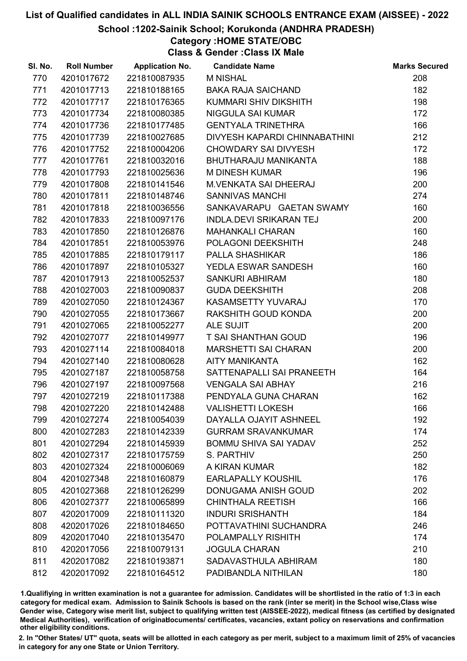#### School :1202-Sainik School; Korukonda (ANDHRA PRADESH)

# Category :HOME STATE/OBC

Class & Gender :Class IX Male

| SI. No. | <b>Roll Number</b> | <b>Application No.</b> | <b>Candidate Name</b>          | <b>Marks Secured</b> |
|---------|--------------------|------------------------|--------------------------------|----------------------|
| 770     | 4201017672         | 221810087935           | <b>M NISHAL</b>                | 208                  |
| 771     | 4201017713         | 221810188165           | <b>BAKA RAJA SAICHAND</b>      | 182                  |
| 772     | 4201017717         | 221810176365           | KUMMARI SHIV DIKSHITH          | 198                  |
| 773     | 4201017734         | 221810080385           | <b>NIGGULA SAI KUMAR</b>       | 172                  |
| 774     | 4201017736         | 221810177485           | <b>GENTYALA TRINETHRA</b>      | 166                  |
| 775     | 4201017739         | 221810027685           | DIVYESH KAPARDI CHINNABATHINI  | 212                  |
| 776     | 4201017752         | 221810004206           | <b>CHOWDARY SAI DIVYESH</b>    | 172                  |
| 777     | 4201017761         | 221810032016           | <b>BHUTHARAJU MANIKANTA</b>    | 188                  |
| 778     | 4201017793         | 221810025636           | <b>M DINESH KUMAR</b>          | 196                  |
| 779     | 4201017808         | 221810141546           | <b>M.VENKATA SAI DHEERAJ</b>   | 200                  |
| 780     | 4201017811         | 221810148746           | <b>SANNIVAS MANCHI</b>         | 274                  |
| 781     | 4201017818         | 221810036556           | SANKAVARAPU GAETAN SWAMY       | 160                  |
| 782     | 4201017833         | 221810097176           | <b>INDLA.DEVI SRIKARAN TEJ</b> | 200                  |
| 783     | 4201017850         | 221810126876           | <b>MAHANKALI CHARAN</b>        | 160                  |
| 784     | 4201017851         | 221810053976           | POLAGONI DEEKSHITH             | 248                  |
| 785     | 4201017885         | 221810179117           | <b>PALLA SHASHIKAR</b>         | 186                  |
| 786     | 4201017897         | 221810105327           | YEDLA ESWAR SANDESH            | 160                  |
| 787     | 4201017913         | 221810052537           | <b>SANKURI ABHIRAM</b>         | 180                  |
| 788     | 4201027003         | 221810090837           | <b>GUDA DEEKSHITH</b>          | 208                  |
| 789     | 4201027050         | 221810124367           | KASAMSETTY YUVARAJ             | 170                  |
| 790     | 4201027055         | 221810173667           | RAKSHITH GOUD KONDA            | 200                  |
| 791     | 4201027065         | 221810052277           | ALE SUJIT                      | 200                  |
| 792     | 4201027077         | 221810149977           | T SAI SHANTHAN GOUD            | 196                  |
| 793     | 4201027114         | 221810084018           | <b>MARSHETTI SAI CHARAN</b>    | 200                  |
| 794     | 4201027140         | 221810080628           | <b>AITY MANIKANTA</b>          | 162                  |
| 795     | 4201027187         | 221810058758           | SATTENAPALLI SAI PRANEETH      | 164                  |
| 796     | 4201027197         | 221810097568           | <b>VENGALA SAI ABHAY</b>       | 216                  |
| 797     | 4201027219         | 221810117388           | PENDYALA GUNA CHARAN           | 162                  |
| 798     | 4201027220         | 221810142488           | <b>VALISHETTI LOKESH</b>       | 166                  |
| 799     | 4201027274         | 221810054039           | DAYALLA OJAYIT ASHNEEL         | 192                  |
| 800     | 4201027283         | 221810142339           | <b>GURRAM SRAVANKUMAR</b>      | 174                  |
| 801     | 4201027294         | 221810145939           | <b>BOMMU SHIVA SAI YADAV</b>   | 252                  |
| 802     | 4201027317         | 221810175759           | S. PARTHIV                     | 250                  |
| 803     | 4201027324         | 221810006069           | A KIRAN KUMAR                  | 182                  |
| 804     | 4201027348         | 221810160879           | <b>EARLAPALLY KOUSHIL</b>      | 176                  |
| 805     | 4201027368         | 221810126299           | DONUGAMA ANISH GOUD            | 202                  |
| 806     | 4201027377         | 221810065899           | <b>CHINTHALA REETISH</b>       | 166                  |
| 807     | 4202017009         | 221810111320           | <b>INDURI SRISHANTH</b>        | 184                  |
| 808     | 4202017026         | 221810184650           | POTTAVATHINI SUCHANDRA         | 246                  |
| 809     | 4202017040         | 221810135470           | POLAMPALLY RISHITH             | 174                  |
| 810     | 4202017056         | 221810079131           | <b>JOGULA CHARAN</b>           | 210                  |
| 811     | 4202017082         | 221810193871           | SADAVASTHULA ABHIRAM           | 180                  |
| 812     | 4202017092         | 221810164512           | PADIBANDLA NITHILAN            | 180                  |

1.Qualifiying in written examination is not a guarantee for admission. Candidates will be shortlisted in the ratio of 1:3 in each category for medical exam. Admission to Sainik Schools is based on the rank (inter se merit) in the School wise,Class wise Gender wise, Category wise merit list, subject to qualifying written test (AISSEE-2022), medical fitness (as certified by designated Medical Authorities), verification of originablocuments/ certificates, vacancies, extant policy on reservations and confirmation other eligibility conditions.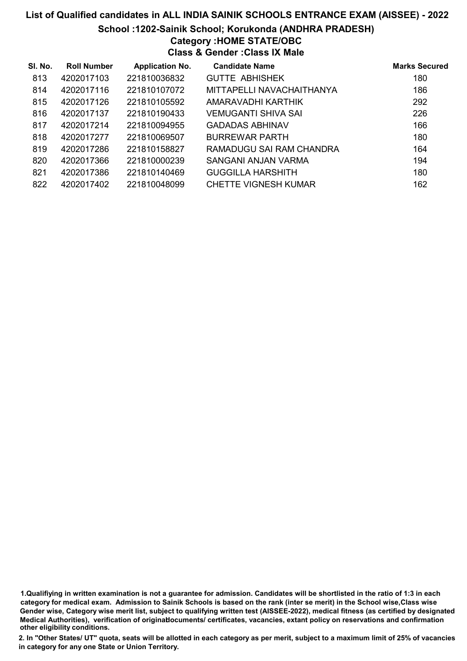# List of Qualified candidates in ALL INDIA SAINIK SCHOOLS ENTRANCE EXAM (AISSEE) - 2022 School :1202-Sainik School; Korukonda (ANDHRA PRADESH) Category :HOME STATE/OBC Class & Gender :Class IX Male

| SI. No. | <b>Roll Number</b> | <b>Application No.</b> | <b>Candidate Name</b>     | <b>Marks Secured</b> |
|---------|--------------------|------------------------|---------------------------|----------------------|
| 813     | 4202017103         | 221810036832           | <b>GUTTE ABHISHEK</b>     | 180                  |
| 814     | 4202017116         | 221810107072           | MITTAPELLI NAVACHAITHANYA | 186                  |
| 815     | 4202017126         | 221810105592           | AMARAVADHI KARTHIK        | 292                  |
| 816     | 4202017137         | 221810190433           | VEMUGANTI SHIVA SAI       | 226                  |
| 817     | 4202017214         | 221810094955           | <b>GADADAS ABHINAV</b>    | 166                  |
| 818     | 4202017277         | 221810069507           | <b>BURREWAR PARTH</b>     | 180                  |
| 819     | 4202017286         | 221810158827           | RAMADUGU SAI RAM CHANDRA  | 164                  |
| 820     | 4202017366         | 221810000239           | SANGANI ANJAN VARMA       | 194                  |
| 821     | 4202017386         | 221810140469           | <b>GUGGILLA HARSHITH</b>  | 180                  |
| 822     | 4202017402         | 221810048099           | CHETTE VIGNESH KUMAR      | 162                  |

1.Qualifiying in written examination is not a guarantee for admission. Candidates will be shortlisted in the ratio of 1:3 in each category for medical exam. Admission to Sainik Schools is based on the rank (inter se merit) in the School wise,Class wise Gender wise, Category wise merit list, subject to qualifying written test (AISSEE-2022), medical fitness (as certified by designated Medical Authorities), verification of originablocuments/ certificates, vacancies, extant policy on reservations and confirmation other eligibility conditions.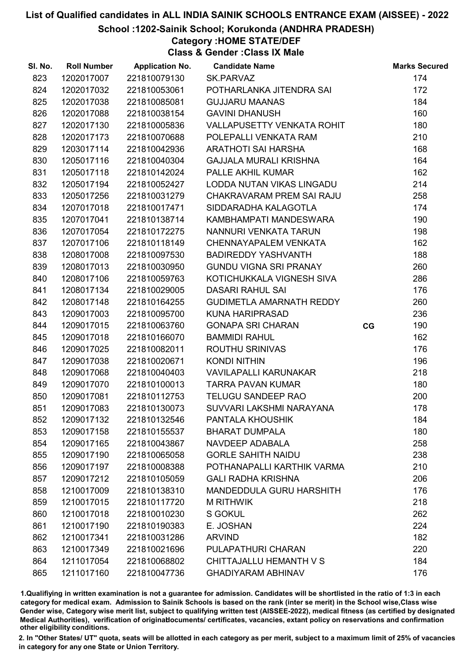School :1202-Sainik School; Korukonda (ANDHRA PRADESH)

# Category :HOME STATE/DEF

Class & Gender :Class IX Male

| SI. No. | <b>Roll Number</b> | <b>Application No.</b> | <b>Candidate Name</b>             |    | <b>Marks Secured</b> |
|---------|--------------------|------------------------|-----------------------------------|----|----------------------|
| 823     | 1202017007         | 221810079130           | SK.PARVAZ                         |    | 174                  |
| 824     | 1202017032         | 221810053061           | POTHARLANKA JITENDRA SAI          |    | 172                  |
| 825     | 1202017038         | 221810085081           | <b>GUJJARU MAANAS</b>             |    | 184                  |
| 826     | 1202017088         | 221810038154           | <b>GAVINI DHANUSH</b>             |    | 160                  |
| 827     | 1202017130         | 221810005836           | <b>VALLAPUSETTY VENKATA ROHIT</b> |    | 180                  |
| 828     | 1202017173         | 221810070688           | POLEPALLI VENKATA RAM             |    | 210                  |
| 829     | 1203017114         | 221810042936           | <b>ARATHOTI SAI HARSHA</b>        |    | 168                  |
| 830     | 1205017116         | 221810040304           | GAJJALA MURALI KRISHNA            |    | 164                  |
| 831     | 1205017118         | 221810142024           | PALLE AKHIL KUMAR                 |    | 162                  |
| 832     | 1205017194         | 221810052427           | LODDA NUTAN VIKAS LINGADU         |    | 214                  |
| 833     | 1205017256         | 221810031279           | CHAKRAVARAM PREM SAI RAJU         |    | 258                  |
| 834     | 1207017018         | 221810017471           | SIDDARADHA KALAGOTLA              |    | 174                  |
| 835     | 1207017041         | 221810138714           | KAMBHAMPATI MANDESWARA            |    | 190                  |
| 836     | 1207017054         | 221810172275           | NANNURI VENKATA TARUN             |    | 198                  |
| 837     | 1207017106         | 221810118149           | <b>CHENNAYAPALEM VENKATA</b>      |    | 162                  |
| 838     | 1208017008         | 221810097530           | <b>BADIREDDY YASHVANTH</b>        |    | 188                  |
| 839     | 1208017013         | 221810030950           | <b>GUNDU VIGNA SRI PRANAY</b>     |    | 260                  |
| 840     | 1208017106         | 221810059763           | KOTICHUKKALA VIGNESH SIVA         |    | 286                  |
| 841     | 1208017134         | 221810029005           | <b>DASARI RAHUL SAI</b>           |    | 176                  |
| 842     | 1208017148         | 221810164255           | <b>GUDIMETLA AMARNATH REDDY</b>   |    | 260                  |
| 843     | 1209017003         | 221810095700           | <b>KUNA HARIPRASAD</b>            |    | 236                  |
| 844     | 1209017015         | 221810063760           | <b>GONAPA SRI CHARAN</b>          | CG | 190                  |
| 845     | 1209017018         | 221810166070           | <b>BAMMIDI RAHUL</b>              |    | 162                  |
| 846     | 1209017025         | 221810082011           | <b>ROUTHU SRINIVAS</b>            |    | 176                  |
| 847     | 1209017038         | 221810020671           | <b>KONDI NITHIN</b>               |    | 196                  |
| 848     | 1209017068         | 221810040403           | <b>VAVILAPALLI KARUNAKAR</b>      |    | 218                  |
| 849     | 1209017070         | 221810100013           | <b>TARRA PAVAN KUMAR</b>          |    | 180                  |
| 850     | 1209017081         | 221810112753           | <b>TELUGU SANDEEP RAO</b>         |    | 200                  |
| 851     | 1209017083         | 221810130073           | SUVVARI LAKSHMI NARAYANA          |    | 178                  |
| 852     | 1209017132         | 221810132546           | PANTALA KHOUSHIK                  |    | 184                  |
| 853     | 1209017158         | 221810155537           | <b>BHARAT DUMPALA</b>             |    | 180                  |
| 854     | 1209017165         | 221810043867           | NAVDEEP ADABALA                   |    | 258                  |
| 855     | 1209017190         | 221810065058           | <b>GORLE SAHITH NAIDU</b>         |    | 238                  |
| 856     | 1209017197         | 221810008388           | POTHANAPALLI KARTHIK VARMA        |    | 210                  |
| 857     | 1209017212         | 221810105059           | <b>GALI RADHA KRISHNA</b>         |    | 206                  |
| 858     | 1210017009         | 221810138310           | <b>MANDEDDULA GURU HARSHITH</b>   |    | 176                  |
| 859     | 1210017015         | 221810117720           | <b>M RITHWIK</b>                  |    | 218                  |
| 860     | 1210017018         | 221810010230           | <b>S GOKUL</b>                    |    | 262                  |
| 861     | 1210017190         | 221810190383           | E. JOSHAN                         |    | 224                  |
| 862     | 1210017341         | 221810031286           | <b>ARVIND</b>                     |    | 182                  |
| 863     | 1210017349         | 221810021696           | PULAPATHURI CHARAN                |    | 220                  |
| 864     | 1211017054         | 221810068802           | CHITTAJALLU HEMANTH V S           |    | 184                  |
| 865     | 1211017160         | 221810047736           | <b>GHADIYARAM ABHINAV</b>         |    | 176                  |

1.Qualifiying in written examination is not a guarantee for admission. Candidates will be shortlisted in the ratio of 1:3 in each category for medical exam. Admission to Sainik Schools is based on the rank (inter se merit) in the School wise,Class wise Gender wise, Category wise merit list, subject to qualifying written test (AISSEE-2022), medical fitness (as certified by designated Medical Authorities), verification of originablocuments/ certificates, vacancies, extant policy on reservations and confirmation other eligibility conditions.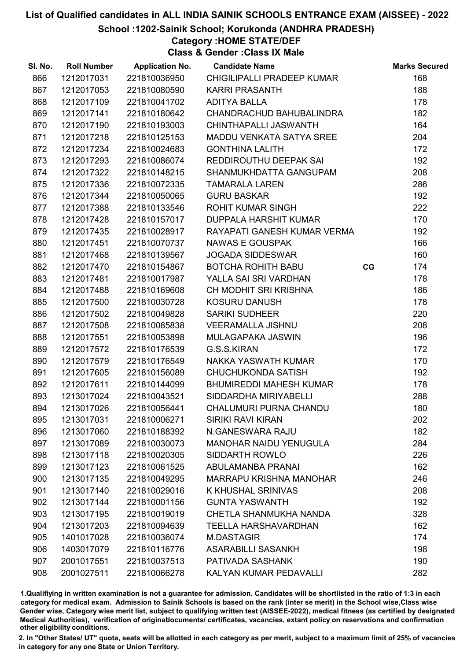School :1202-Sainik School; Korukonda (ANDHRA PRADESH)

# Category :HOME STATE/DEF

Class & Gender :Class IX Male

| SI. No. | <b>Roll Number</b> | <b>Application No.</b> | <b>Candidate Name</b>           |    | <b>Marks Secured</b> |
|---------|--------------------|------------------------|---------------------------------|----|----------------------|
| 866     | 1212017031         | 221810036950           | CHIGILIPALLI PRADEEP KUMAR      |    | 168                  |
| 867     | 1212017053         | 221810080590           | <b>KARRI PRASANTH</b>           |    | 188                  |
| 868     | 1212017109         | 221810041702           | <b>ADITYA BALLA</b>             |    | 178                  |
| 869     | 1212017141         | 221810180642           | CHANDRACHUD BAHUBALINDRA        |    | 182                  |
| 870     | 1212017190         | 221810193003           | CHINTHAPALLI JASWANTH           |    | 164                  |
| 871     | 1212017218         | 221810125153           | <b>MADDU VENKATA SATYA SREE</b> |    | 204                  |
| 872     | 1212017234         | 221810024683           | <b>GONTHINA LALITH</b>          |    | 172                  |
| 873     | 1212017293         | 221810086074           | REDDIROUTHU DEEPAK SAI          |    | 192                  |
| 874     | 1212017322         | 221810148215           | SHANMUKHDATTA GANGUPAM          |    | 208                  |
| 875     | 1212017336         | 221810072335           | <b>TAMARALA LAREN</b>           |    | 286                  |
| 876     | 1212017344         | 221810050065           | <b>GURU BASKAR</b>              |    | 192                  |
| 877     | 1212017388         | 221810133546           | <b>ROHIT KUMAR SINGH</b>        |    | 222                  |
| 878     | 1212017428         | 221810157017           | DUPPALA HARSHIT KUMAR           |    | 170                  |
| 879     | 1212017435         | 221810028917           | RAYAPATI GANESH KUMAR VERMA     |    | 192                  |
| 880     | 1212017451         | 221810070737           | <b>NAWAS E GOUSPAK</b>          |    | 166                  |
| 881     | 1212017468         | 221810139567           | <b>JOGADA SIDDESWAR</b>         |    | 160                  |
| 882     | 1212017470         | 221810154867           | <b>BOTCHA ROHITH BABU</b>       | CG | 174                  |
| 883     | 1212017481         | 221810017987           | YALLA SAI SRI VARDHAN           |    | 178                  |
| 884     | 1212017488         | 221810169608           | CH MODHIT SRI KRISHNA           |    | 186                  |
| 885     | 1212017500         | 221810030728           | <b>KOSURU DANUSH</b>            |    | 178                  |
| 886     | 1212017502         | 221810049828           | <b>SARIKI SUDHEER</b>           |    | 220                  |
| 887     | 1212017508         | 221810085838           | <b>VEERAMALLA JISHNU</b>        |    | 208                  |
| 888     | 1212017551         | 221810053898           | MULAGAPAKA JASWIN               |    | 196                  |
| 889     | 1212017572         | 221810176539           | G.S.S.KIRAN                     |    | 172                  |
| 890     | 1212017579         | 221810176549           | NAKKA YASWATH KUMAR             |    | 170                  |
| 891     | 1212017605         | 221810156089           | <b>CHUCHUKONDA SATISH</b>       |    | 192                  |
| 892     | 1212017611         | 221810144099           | <b>BHUMIREDDI MAHESH KUMAR</b>  |    | 178                  |
| 893     | 1213017024         | 221810043521           | SIDDARDHA MIRIYABELLI           |    | 288                  |
| 894     | 1213017026         | 221810056441           | <b>CHALUMURI PURNA CHANDU</b>   |    | 180                  |
| 895     | 1213017031         | 221810006271           | <b>SIRIKI RAVI KIRAN</b>        |    | 202                  |
| 896     | 1213017060         | 221810188392           | N.GANESWARA RAJU                |    | 182                  |
| 897     | 1213017089         | 221810030073           | <b>MANOHAR NAIDU YENUGULA</b>   |    | 284                  |
| 898     | 1213017118         | 221810020305           | SIDDARTH ROWLO                  |    | 226                  |
| 899     | 1213017123         | 221810061525           | <b>ABULAMANBA PRANAI</b>        |    | 162                  |
| 900     | 1213017135         | 221810049295           | <b>MARRAPU KRISHNA MANOHAR</b>  |    | 246                  |
| 901     | 1213017140         | 221810029016           | K KHUSHAL SRINIVAS              |    | 208                  |
| 902     | 1213017144         | 221810001156           | <b>GUNTA YASWANTH</b>           |    | 192                  |
| 903     | 1213017195         | 221810019019           | CHETLA SHANMUKHA NANDA          |    | 328                  |
| 904     | 1213017203         | 221810094639           | <b>TEELLA HARSHAVARDHAN</b>     |    | 162                  |
| 905     | 1401017028         | 221810036074           | <b>M.DASTAGIR</b>               |    | 174                  |
| 906     | 1403017079         | 221810116776           | <b>ASARABILLI SASANKH</b>       |    | 198                  |
| 907     | 2001017551         | 221810037513           | PATIVADA SASHANK                |    | 190                  |
| 908     | 2001027511         | 221810066278           | KALYAN KUMAR PEDAVALLI          |    | 282                  |

1.Qualifiying in written examination is not a guarantee for admission. Candidates will be shortlisted in the ratio of 1:3 in each category for medical exam. Admission to Sainik Schools is based on the rank (inter se merit) in the School wise,Class wise Gender wise, Category wise merit list, subject to qualifying written test (AISSEE-2022), medical fitness (as certified by designated Medical Authorities), verification of originablocuments/ certificates, vacancies, extant policy on reservations and confirmation other eligibility conditions.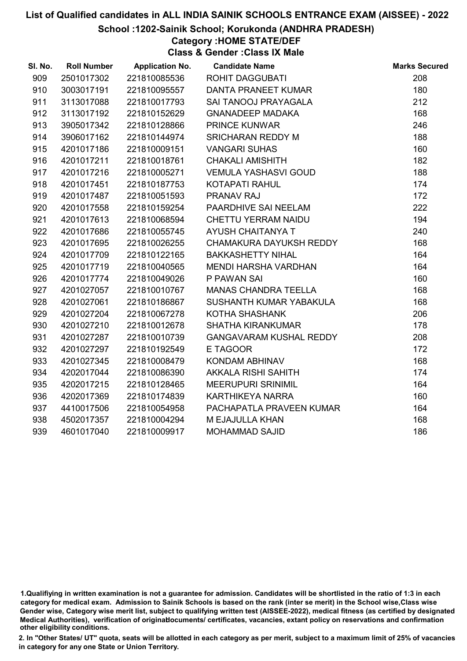#### School :1202-Sainik School; Korukonda (ANDHRA PRADESH)

# Category :HOME STATE/DEF

Class & Gender :Class IX Male

| SI. No. | <b>Roll Number</b> | <b>Application No.</b> | <b>Candidate Name</b>          | <b>Marks Secured</b> |
|---------|--------------------|------------------------|--------------------------------|----------------------|
| 909     | 2501017302         | 221810085536           | <b>ROHIT DAGGUBATI</b>         | 208                  |
| 910     | 3003017191         | 221810095557           | DANTA PRANEET KUMAR            | 180                  |
| 911     | 3113017088         | 221810017793           | SAI TANOOJ PRAYAGALA           | 212                  |
| 912     | 3113017192         | 221810152629           | <b>GNANADEEP MADAKA</b>        | 168                  |
| 913     | 3905017342         | 221810128866           | PRINCE KUNWAR                  | 246                  |
| 914     | 3906017162         | 221810144974           | <b>SRICHARAN REDDY M</b>       | 188                  |
| 915     | 4201017186         | 221810009151           | <b>VANGARI SUHAS</b>           | 160                  |
| 916     | 4201017211         | 221810018761           | <b>CHAKALI AMISHITH</b>        | 182                  |
| 917     | 4201017216         | 221810005271           | <b>VEMULA YASHASVI GOUD</b>    | 188                  |
| 918     | 4201017451         | 221810187753           | KOTAPATI RAHUL                 | 174                  |
| 919     | 4201017487         | 221810051593           | PRANAV RAJ                     | 172                  |
| 920     | 4201017558         | 221810159254           | PAARDHIVE SAI NEELAM           | 222                  |
| 921     | 4201017613         | 221810068594           | CHETTU YERRAM NAIDU            | 194                  |
| 922     | 4201017686         | 221810055745           | AYUSH CHAITANYA T              | 240                  |
| 923     | 4201017695         | 221810026255           | CHAMAKURA DAYUKSH REDDY        | 168                  |
| 924     | 4201017709         | 221810122165           | <b>BAKKASHETTY NIHAL</b>       | 164                  |
| 925     | 4201017719         | 221810040565           | <b>MENDI HARSHA VARDHAN</b>    | 164                  |
| 926     | 4201017774         | 221810049026           | P PAWAN SAI                    | 160                  |
| 927     | 4201027057         | 221810010767           | <b>MANAS CHANDRA TEELLA</b>    | 168                  |
| 928     | 4201027061         | 221810186867           | SUSHANTH KUMAR YABAKULA        | 168                  |
| 929     | 4201027204         | 221810067278           | KOTHA SHASHANK                 | 206                  |
| 930     | 4201027210         | 221810012678           | <b>SHATHA KIRANKUMAR</b>       | 178                  |
| 931     | 4201027287         | 221810010739           | <b>GANGAVARAM KUSHAL REDDY</b> | 208                  |
| 932     | 4201027297         | 221810192549           | E TAGOOR                       | 172                  |
| 933     | 4201027345         | 221810008479           | KONDAM ABHINAV                 | 168                  |
| 934     | 4202017044         | 221810086390           | AKKALA RISHI SAHITH            | 174                  |
| 935     | 4202017215         | 221810128465           | <b>MEERUPURI SRINIMIL</b>      | 164                  |
| 936     | 4202017369         | 221810174839           | KARTHIKEYA NARRA               | 160                  |
| 937     | 4410017506         | 221810054958           | PACHAPATLA PRAVEEN KUMAR       | 164                  |
| 938     | 4502017357         | 221810004294           | M EJAJULLA KHAN                | 168                  |
| 939     | 4601017040         | 221810009917           | <b>MOHAMMAD SAJID</b>          | 186                  |

<sup>1.</sup>Qualifiying in written examination is not a guarantee for admission. Candidates will be shortlisted in the ratio of 1:3 in each category for medical exam. Admission to Sainik Schools is based on the rank (inter se merit) in the School wise,Class wise Gender wise, Category wise merit list, subject to qualifying written test (AISSEE-2022), medical fitness (as certified by designated Medical Authorities), verification of originablocuments/ certificates, vacancies, extant policy on reservations and confirmation other eligibility conditions.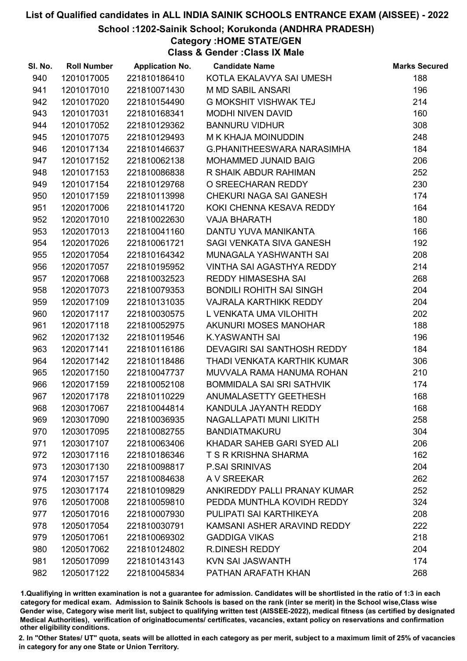#### School :1202-Sainik School; Korukonda (ANDHRA PRADESH)

Category :HOME STATE/GEN

Class & Gender :Class IX Male

| SI. No. | <b>Roll Number</b> | <b>Application No.</b> | <b>Candidate Name</b>             | <b>Marks Secured</b> |
|---------|--------------------|------------------------|-----------------------------------|----------------------|
| 940     | 1201017005         | 221810186410           | KOTLA EKALAVYA SAI UMESH          | 188                  |
| 941     | 1201017010         | 221810071430           | <b>M MD SABIL ANSARI</b>          | 196                  |
| 942     | 1201017020         | 221810154490           | <b>G MOKSHIT VISHWAK TEJ</b>      | 214                  |
| 943     | 1201017031         | 221810168341           | <b>MODHI NIVEN DAVID</b>          | 160                  |
| 944     | 1201017052         | 221810129362           | <b>BANNURU VIDHUR</b>             | 308                  |
| 945     | 1201017075         | 221810129493           | M K KHAJA MOINUDDIN               | 248                  |
| 946     | 1201017134         | 221810146637           | <b>G.PHANITHEESWARA NARASIMHA</b> | 184                  |
| 947     | 1201017152         | 221810062138           | <b>MOHAMMED JUNAID BAIG</b>       | 206                  |
| 948     | 1201017153         | 221810086838           | R SHAIK ABDUR RAHIMAN             | 252                  |
| 949     | 1201017154         | 221810129768           | O SREECHARAN REDDY                | 230                  |
| 950     | 1201017159         | 221810113998           | CHEKURI NAGA SAI GANESH           | 174                  |
| 951     | 1202017006         | 221810141720           | KOKI CHENNA KESAVA REDDY          | 164                  |
| 952     | 1202017010         | 221810022630           | <b>VAJA BHARATH</b>               | 180                  |
| 953     | 1202017013         | 221810041160           | DANTU YUVA MANIKANTA              | 166                  |
| 954     | 1202017026         | 221810061721           | SAGI VENKATA SIVA GANESH          | 192                  |
| 955     | 1202017054         | 221810164342           | MUNAGALA YASHWANTH SAI            | 208                  |
| 956     | 1202017057         | 221810195952           | VINTHA SAI AGASTHYA REDDY         | 214                  |
| 957     | 1202017068         | 221810032523           | <b>REDDY HIMASESHA SAI</b>        | 268                  |
| 958     | 1202017073         | 221810079353           | <b>BONDILI ROHITH SAI SINGH</b>   | 204                  |
| 959     | 1202017109         | 221810131035           | <b>VAJRALA KARTHIKK REDDY</b>     | 204                  |
| 960     | 1202017117         | 221810030575           | L VENKATA UMA VILOHITH            | 202                  |
| 961     | 1202017118         | 221810052975           | AKUNURI MOSES MANOHAR             | 188                  |
| 962     | 1202017132         | 221810119546           | <b>K.YASWANTH SAI</b>             | 196                  |
| 963     | 1202017141         | 221810116186           | DEVAGIRI SAI SANTHOSH REDDY       | 184                  |
| 964     | 1202017142         | 221810118486           | THADI VENKATA KARTHIK KUMAR       | 306                  |
| 965     | 1202017150         | 221810047737           | MUVVALA RAMA HANUMA ROHAN         | 210                  |
| 966     | 1202017159         | 221810052108           | <b>BOMMIDALA SAI SRI SATHVIK</b>  | 174                  |
| 967     | 1202017178         | 221810110229           | ANUMALASETTY GEETHESH             | 168                  |
| 968     | 1203017067         | 221810044814           | KANDULA JAYANTH REDDY             | 168                  |
| 969     | 1203017090         | 221810036935           | NAGALLAPATI MUNI LIKITH           | 258                  |
| 970     | 1203017095         | 221810082755           | <b>BANDIATMAKURU</b>              | 304                  |
| 971     | 1203017107         | 221810063406           | KHADAR SAHEB GARI SYED ALI        | 206                  |
| 972     | 1203017116         | 221810186346           | T S R KRISHNA SHARMA              | 162                  |
| 973     | 1203017130         | 221810098817           | <b>P.SAI SRINIVAS</b>             | 204                  |
| 974     | 1203017157         | 221810084638           | A V SREEKAR                       | 262                  |
| 975     | 1203017174         | 221810109829           | ANKIREDDY PALLI PRANAY KUMAR      | 252                  |
| 976     | 1205017008         | 221810059810           | PEDDA MUNTHLA KOVIDH REDDY        | 324                  |
| 977     | 1205017016         | 221810007930           | PULIPATI SAI KARTHIKEYA           | 208                  |
| 978     | 1205017054         | 221810030791           | KAMSANI ASHER ARAVIND REDDY       | 222                  |
| 979     | 1205017061         | 221810069302           | <b>GADDIGA VIKAS</b>              | 218                  |
| 980     | 1205017062         | 221810124802           | <b>R.DINESH REDDY</b>             | 204                  |
| 981     | 1205017099         | 221810143143           | <b>KVN SAI JASWANTH</b>           | 174                  |
| 982     | 1205017122         | 221810045834           | PATHAN ARAFATH KHAN               | 268                  |

1.Qualifiying in written examination is not a guarantee for admission. Candidates will be shortlisted in the ratio of 1:3 in each category for medical exam. Admission to Sainik Schools is based on the rank (inter se merit) in the School wise,Class wise Gender wise, Category wise merit list, subject to qualifying written test (AISSEE-2022), medical fitness (as certified by designated Medical Authorities), verification of originablocuments/ certificates, vacancies, extant policy on reservations and confirmation other eligibility conditions.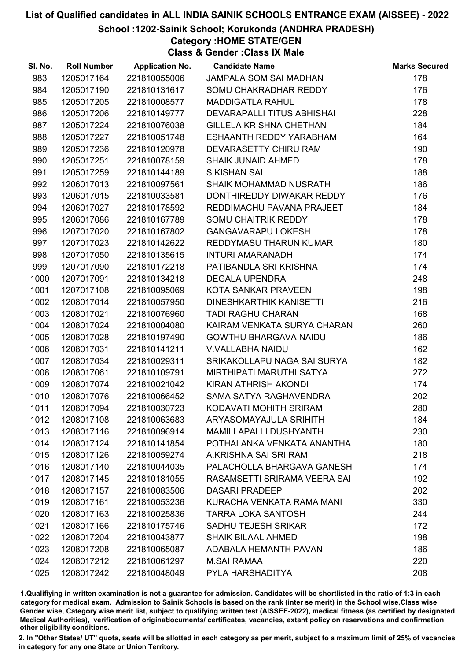School :1202-Sainik School; Korukonda (ANDHRA PRADESH)

Category :HOME STATE/GEN

Class & Gender :Class IX Male

| SI. No. | <b>Roll Number</b> | <b>Application No.</b> | <b>Candidate Name</b>          | <b>Marks Secured</b> |
|---------|--------------------|------------------------|--------------------------------|----------------------|
| 983     | 1205017164         | 221810055006           | <b>JAMPALA SOM SAI MADHAN</b>  | 178                  |
| 984     | 1205017190         | 221810131617           | SOMU CHAKRADHAR REDDY          | 176                  |
| 985     | 1205017205         | 221810008577           | <b>MADDIGATLA RAHUL</b>        | 178                  |
| 986     | 1205017206         | 221810149777           | DEVARAPALLI TITUS ABHISHAI     | 228                  |
| 987     | 1205017224         | 221810076038           | <b>GILLELA KRISHNA CHETHAN</b> | 184                  |
| 988     | 1205017227         | 221810051748           | ESHAANTH REDDY YARABHAM        | 164                  |
| 989     | 1205017236         | 221810120978           | DEVARASETTY CHIRU RAM          | 190                  |
| 990     | 1205017251         | 221810078159           | <b>SHAIK JUNAID AHMED</b>      | 178                  |
| 991     | 1205017259         | 221810144189           | S KISHAN SAI                   | 188                  |
| 992     | 1206017013         | 221810097561           | SHAIK MOHAMMAD NUSRATH         | 186                  |
| 993     | 1206017015         | 221810033581           | DONTHIREDDY DIWAKAR REDDY      | 176                  |
| 994     | 1206017027         | 221810178592           | REDDIMACHU PAVANA PRAJEET      | 184                  |
| 995     | 1206017086         | 221810167789           | SOMU CHAITRIK REDDY            | 178                  |
| 996     | 1207017020         | 221810167802           | <b>GANGAVARAPU LOKESH</b>      | 178                  |
| 997     | 1207017023         | 221810142622           | REDDYMASU THARUN KUMAR         | 180                  |
| 998     | 1207017050         | 221810135615           | <b>INTURI AMARANADH</b>        | 174                  |
| 999     | 1207017090         | 221810172218           | PATIBANDLA SRI KRISHNA         | 174                  |
| 1000    | 1207017091         | 221810134218           | <b>DEGALA UPENDRA</b>          | 248                  |
| 1001    | 1207017108         | 221810095069           | KOTA SANKAR PRAVEEN            | 198                  |
| 1002    | 1208017014         | 221810057950           | DINESHKARTHIK KANISETTI        | 216                  |
| 1003    | 1208017021         | 221810076960           | <b>TADI RAGHU CHARAN</b>       | 168                  |
| 1004    | 1208017024         | 221810004080           | KAIRAM VENKATA SURYA CHARAN    | 260                  |
| 1005    | 1208017028         | 221810197490           | <b>GOWTHU BHARGAVA NAIDU</b>   | 186                  |
| 1006    | 1208017031         | 221810141211           | <b>V.VALLABHA NAIDU</b>        | 162                  |
| 1007    | 1208017034         | 221810029311           | SRIKAKOLLAPU NAGA SAI SURYA    | 182                  |
| 1008    | 1208017061         | 221810109791           | MIRTHIPATI MARUTHI SATYA       | 272                  |
| 1009    | 1208017074         | 221810021042           | KIRAN ATHRISH AKONDI           | 174                  |
| 1010    | 1208017076         | 221810066452           | SAMA SATYA RAGHAVENDRA         | 202                  |
| 1011    | 1208017094         | 221810030723           | KODAVATI MOHITH SRIRAM         | 280                  |
| 1012    | 1208017108         | 221810063683           | ARYASOMAYAJULA SRIHITH         | 184                  |
| 1013    | 1208017116         | 221810096914           | <b>MAMILLAPALLI DUSHYANTH</b>  | 230                  |
| 1014    | 1208017124         | 221810141854           | POTHALANKA VENKATA ANANTHA     | 180                  |
| 1015    | 1208017126         | 221810059274           | A.KRISHNA SAI SRI RAM          | 218                  |
| 1016    | 1208017140         | 221810044035           | PALACHOLLA BHARGAVA GANESH     | 174                  |
| 1017    | 1208017145         | 221810181055           | RASAMSETTI SRIRAMA VEERA SAI   | 192                  |
| 1018    | 1208017157         | 221810083506           | <b>DASARI PRADEEP</b>          | 202                  |
| 1019    | 1208017161         | 221810053236           | KURACHA VENKATA RAMA MANI      | 330                  |
| 1020    | 1208017163         | 221810025836           | <b>TARRA LOKA SANTOSH</b>      | 244                  |
| 1021    | 1208017166         | 221810175746           | <b>SADHU TEJESH SRIKAR</b>     | 172                  |
| 1022    | 1208017204         | 221810043877           | <b>SHAIK BILAAL AHMED</b>      | 198                  |
| 1023    | 1208017208         | 221810065087           | ADABALA HEMANTH PAVAN          | 186                  |
| 1024    | 1208017212         | 221810061297           | <b>M.SAI RAMAA</b>             | 220                  |
| 1025    | 1208017242         | 221810048049           | PYLA HARSHADITYA               | 208                  |

1.Qualifiying in written examination is not a guarantee for admission. Candidates will be shortlisted in the ratio of 1:3 in each category for medical exam. Admission to Sainik Schools is based on the rank (inter se merit) in the School wise,Class wise Gender wise, Category wise merit list, subject to qualifying written test (AISSEE-2022), medical fitness (as certified by designated Medical Authorities), verification of originablocuments/ certificates, vacancies, extant policy on reservations and confirmation other eligibility conditions.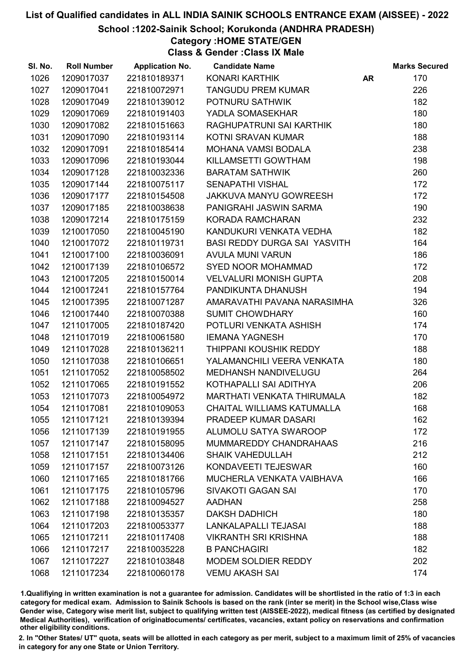#### School :1202-Sainik School; Korukonda (ANDHRA PRADESH)

Category :HOME STATE/GEN

Class & Gender :Class IX Male

| SI. No. | <b>Roll Number</b> | <b>Application No.</b> | <b>Candidate Name</b>               |           | <b>Marks Secured</b> |
|---------|--------------------|------------------------|-------------------------------------|-----------|----------------------|
| 1026    | 1209017037         | 221810189371           | KONARI KARTHIK                      | <b>AR</b> | 170                  |
| 1027    | 1209017041         | 221810072971           | <b>TANGUDU PREM KUMAR</b>           |           | 226                  |
| 1028    | 1209017049         | 221810139012           | POTNURU SATHWIK                     |           | 182                  |
| 1029    | 1209017069         | 221810191403           | YADLA SOMASEKHAR                    |           | 180                  |
| 1030    | 1209017082         | 221810151663           | RAGHUPATRUNI SAI KARTHIK            |           | 180                  |
| 1031    | 1209017090         | 221810193114           | KOTNI SRAVAN KUMAR                  |           | 188                  |
| 1032    | 1209017091         | 221810185414           | <b>MOHANA VAMSI BODALA</b>          |           | 238                  |
| 1033    | 1209017096         | 221810193044           | KILLAMSETTI GOWTHAM                 |           | 198                  |
| 1034    | 1209017128         | 221810032336           | <b>BARATAM SATHWIK</b>              |           | 260                  |
| 1035    | 1209017144         | 221810075117           | <b>SENAPATHI VISHAL</b>             |           | 172                  |
| 1036    | 1209017177         | 221810154508           | <b>JAKKUVA MANYU GOWREESH</b>       |           | 172                  |
| 1037    | 1209017185         | 221810038638           | PANIGRAHI JASWIN SARMA              |           | 190                  |
| 1038    | 1209017214         | 221810175159           | <b>KORADA RAMCHARAN</b>             |           | 232                  |
| 1039    | 1210017050         | 221810045190           | KANDUKURI VENKATA VEDHA             |           | 182                  |
| 1040    | 1210017072         | 221810119731           | <b>BASI REDDY DURGA SAI YASVITH</b> |           | 164                  |
| 1041    | 1210017100         | 221810036091           | <b>AVULA MUNI VARUN</b>             |           | 186                  |
| 1042    | 1210017139         | 221810106572           | <b>SYED NOOR MOHAMMAD</b>           |           | 172                  |
| 1043    | 1210017205         | 221810150014           | <b>VELVALURI MONISH GUPTA</b>       |           | 208                  |
| 1044    | 1210017241         | 221810157764           | PANDIKUNTA DHANUSH                  |           | 194                  |
| 1045    | 1210017395         | 221810071287           | AMARAVATHI PAVANA NARASIMHA         |           | 326                  |
| 1046    | 1210017440         | 221810070388           | <b>SUMIT CHOWDHARY</b>              |           | 160                  |
| 1047    | 1211017005         | 221810187420           | POTLURI VENKATA ASHISH              |           | 174                  |
| 1048    | 1211017019         | 221810061580           | <b>IEMANA YAGNESH</b>               |           | 170                  |
| 1049    | 1211017028         | 221810136211           | THIPPANI KOUSHIK REDDY              |           | 188                  |
| 1050    | 1211017038         | 221810106651           | YALAMANCHILI VEERA VENKATA          |           | 180                  |
| 1051    | 1211017052         | 221810058502           | MEDHANSH NANDIVELUGU                |           | 264                  |
| 1052    | 1211017065         | 221810191552           | KOTHAPALLI SAI ADITHYA              |           | 206                  |
| 1053    | 1211017073         | 221810054972           | <b>MARTHATI VENKATA THIRUMALA</b>   |           | 182                  |
| 1054    | 1211017081         | 221810109053           | CHAITAL WILLIAMS KATUMALLA          |           | 168                  |
| 1055    | 1211017121         | 221810139394           | PRADEEP KUMAR DASARI                |           | 162                  |
| 1056    | 1211017139         | 221810191955           | ALUMOLU SATYA SWAROOP               |           | 172                  |
| 1057    | 1211017147         | 221810158095           | MUMMAREDDY CHANDRAHAAS              |           | 216                  |
| 1058    | 1211017151         | 221810134406           | <b>SHAIK VAHEDULLAH</b>             |           | 212                  |
| 1059    | 1211017157         | 221810073126           | KONDAVEETI TEJESWAR                 |           | 160                  |
| 1060    | 1211017165         | 221810181766           | MUCHERLA VENKATA VAIBHAVA           |           | 166                  |
| 1061    | 1211017175         | 221810105796           | <b>SIVAKOTI GAGAN SAI</b>           |           | 170                  |
| 1062    | 1211017188         | 221810094527           | <b>AADHAN</b>                       |           | 258                  |
| 1063    | 1211017198         | 221810135357           | <b>DAKSH DADHICH</b>                |           | 180                  |
| 1064    | 1211017203         | 221810053377           | LANKALAPALLI TEJASAI                |           | 188                  |
| 1065    | 1211017211         | 221810117408           | <b>VIKRANTH SRI KRISHNA</b>         |           | 188                  |
| 1066    | 1211017217         | 221810035228           | <b>B PANCHAGIRI</b>                 |           | 182                  |
| 1067    | 1211017227         | 221810103848           | <b>MODEM SOLDIER REDDY</b>          |           | 202                  |
| 1068    | 1211017234         | 221810060178           | <b>VEMU AKASH SAI</b>               |           | 174                  |

1.Qualifiying in written examination is not a guarantee for admission. Candidates will be shortlisted in the ratio of 1:3 in each category for medical exam. Admission to Sainik Schools is based on the rank (inter se merit) in the School wise,Class wise Gender wise, Category wise merit list, subject to qualifying written test (AISSEE-2022), medical fitness (as certified by designated Medical Authorities), verification of originablocuments/ certificates, vacancies, extant policy on reservations and confirmation other eligibility conditions.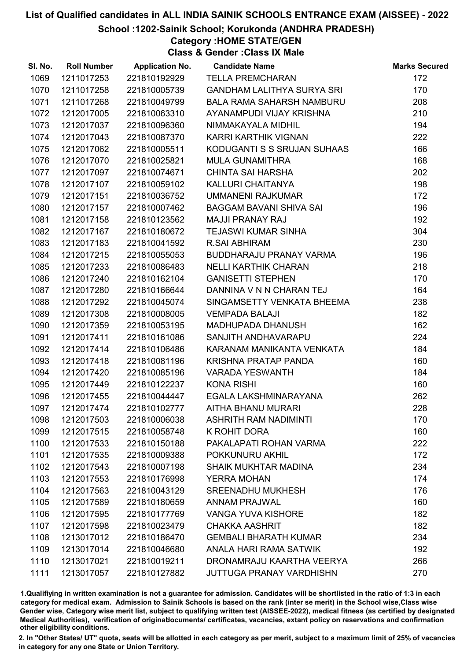#### School :1202-Sainik School; Korukonda (ANDHRA PRADESH)

Category :HOME STATE/GEN

Class & Gender :Class IX Male

| SI. No. | <b>Roll Number</b> | <b>Application No.</b> | <b>Candidate Name</b>             | <b>Marks Secured</b> |
|---------|--------------------|------------------------|-----------------------------------|----------------------|
| 1069    | 1211017253         | 221810192929           | <b>TELLA PREMCHARAN</b>           | 172                  |
| 1070    | 1211017258         | 221810005739           | <b>GANDHAM LALITHYA SURYA SRI</b> | 170                  |
| 1071    | 1211017268         | 221810049799           | <b>BALA RAMA SAHARSH NAMBURU</b>  | 208                  |
| 1072    | 1212017005         | 221810063310           | AYANAMPUDI VIJAY KRISHNA          | 210                  |
| 1073    | 1212017037         | 221810096360           | NIMMAKAYALA MIDHIL                | 194                  |
| 1074    | 1212017043         | 221810087370           | KARRI KARTHIK VIGNAN              | 222                  |
| 1075    | 1212017062         | 221810005511           | KODUGANTI S S SRUJAN SUHAAS       | 166                  |
| 1076    | 1212017070         | 221810025821           | <b>MULA GUNAMITHRA</b>            | 168                  |
| 1077    | 1212017097         | 221810074671           | <b>CHINTA SAI HARSHA</b>          | 202                  |
| 1078    | 1212017107         | 221810059102           | KALLURI CHAITANYA                 | 198                  |
| 1079    | 1212017151         | 221810036752           | <b>UMMANENI RAJKUMAR</b>          | 172                  |
| 1080    | 1212017157         | 221810007462           | BAGGAM BAVANI SHIVA SAI           | 196                  |
| 1081    | 1212017158         | 221810123562           | <b>MAJJI PRANAY RAJ</b>           | 192                  |
| 1082    | 1212017167         | 221810180672           | <b>TEJASWI KUMAR SINHA</b>        | 304                  |
| 1083    | 1212017183         | 221810041592           | <b>R.SAI ABHIRAM</b>              | 230                  |
| 1084    | 1212017215         | 221810055053           | <b>BUDDHARAJU PRANAY VARMA</b>    | 196                  |
| 1085    | 1212017233         | 221810086483           | <b>NELLI KARTHIK CHARAN</b>       | 218                  |
| 1086    | 1212017240         | 221810162104           | <b>GANISETTI STEPHEN</b>          | 170                  |
| 1087    | 1212017280         | 221810166644           | DANNINA V N N CHARAN TEJ          | 164                  |
| 1088    | 1212017292         | 221810045074           | SINGAMSETTY VENKATA BHEEMA        | 238                  |
| 1089    | 1212017308         | 221810008005           | <b>VEMPADA BALAJI</b>             | 182                  |
| 1090    | 1212017359         | 221810053195           | MADHUPADA DHANUSH                 | 162                  |
| 1091    | 1212017411         | 221810161086           | SANJITH ANDHAVARAPU               | 224                  |
| 1092    | 1212017414         | 221810106486           | KARANAM MANIKANTA VENKATA         | 184                  |
| 1093    | 1212017418         | 221810081196           | KRISHNA PRATAP PANDA              | 160                  |
| 1094    | 1212017420         | 221810085196           | <b>VARADA YESWANTH</b>            | 184                  |
| 1095    | 1212017449         | 221810122237           | <b>KONA RISHI</b>                 | 160                  |
| 1096    | 1212017455         | 221810044447           | EGALA LAKSHMINARAYANA             | 262                  |
| 1097    | 1212017474         | 221810102777           | AITHA BHANU MURARI                | 228                  |
| 1098    | 1212017503         | 221810006038           | <b>ASHRITH RAM NADIMINTI</b>      | 170                  |
| 1099    | 1212017515         | 221810058748           | K ROHIT DORA                      | 160                  |
| 1100    | 1212017533         | 221810150188           | PAKALAPATI ROHAN VARMA            | 222                  |
| 1101    | 1212017535         | 221810009388           | POKKUNURU AKHIL                   | 172                  |
| 1102    | 1212017543         | 221810007198           | <b>SHAIK MUKHTAR MADINA</b>       | 234                  |
| 1103    | 1212017553         | 221810176998           | <b>YERRA MOHAN</b>                | 174                  |
| 1104    | 1212017563         | 221810043129           | <b>SREENADHU MUKHESH</b>          | 176                  |
| 1105    | 1212017589         | 221810180659           | <b>ANNAM PRAJWAL</b>              | 160                  |
| 1106    | 1212017595         | 221810177769           | <b>VANGA YUVA KISHORE</b>         | 182                  |
| 1107    | 1212017598         | 221810023479           | <b>CHAKKA AASHRIT</b>             | 182                  |
| 1108    | 1213017012         | 221810186470           | <b>GEMBALI BHARATH KUMAR</b>      | 234                  |
| 1109    | 1213017014         | 221810046680           | ANALA HARI RAMA SATWIK            | 192                  |
| 1110    | 1213017021         | 221810019211           | DRONAMRAJU KAARTHA VEERYA         | 266                  |
| 1111    | 1213017057         | 221810127882           | <b>JUTTUGA PRANAY VARDHISHN</b>   | 270                  |

1.Qualifiying in written examination is not a guarantee for admission. Candidates will be shortlisted in the ratio of 1:3 in each category for medical exam. Admission to Sainik Schools is based on the rank (inter se merit) in the School wise,Class wise Gender wise, Category wise merit list, subject to qualifying written test (AISSEE-2022), medical fitness (as certified by designated Medical Authorities), verification of originablocuments/ certificates, vacancies, extant policy on reservations and confirmation other eligibility conditions.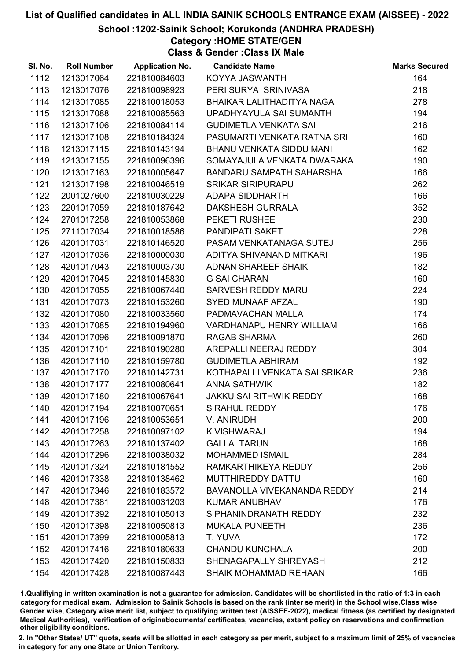#### School :1202-Sainik School; Korukonda (ANDHRA PRADESH)

Category :HOME STATE/GEN

Class & Gender :Class IX Male

| SI. No. | <b>Roll Number</b> | <b>Application No.</b> | <b>Candidate Name</b>           | <b>Marks Secured</b> |
|---------|--------------------|------------------------|---------------------------------|----------------------|
| 1112    | 1213017064         | 221810084603           | KOYYA JASWANTH                  | 164                  |
| 1113    | 1213017076         | 221810098923           | PERI SURYA SRINIVASA            | 218                  |
| 1114    | 1213017085         | 221810018053           | BHAIKAR LALITHADITYA NAGA       | 278                  |
| 1115    | 1213017088         | 221810085563           | UPADHYAYULA SAI SUMANTH         | 194                  |
| 1116    | 1213017106         | 221810084114           | <b>GUDIMETLA VENKATA SAI</b>    | 216                  |
| 1117    | 1213017108         | 221810184324           | PASUMARTI VENKATA RATNA SRI     | 160                  |
| 1118    | 1213017115         | 221810143194           | BHANU VENKATA SIDDU MANI        | 162                  |
| 1119    | 1213017155         | 221810096396           | SOMAYAJULA VENKATA DWARAKA      | 190                  |
| 1120    | 1213017163         | 221810005647           | <b>BANDARU SAMPATH SAHARSHA</b> | 166                  |
| 1121    | 1213017198         | 221810046519           | <b>SRIKAR SIRIPURAPU</b>        | 262                  |
| 1122    | 2001027600         | 221810030229           | <b>ADAPA SIDDHARTH</b>          | 166                  |
| 1123    | 2201017059         | 221810187642           | <b>DAKSHESH GURRALA</b>         | 352                  |
| 1124    | 2701017258         | 221810053868           | PEKETI RUSHEE                   | 230                  |
| 1125    | 2711017034         | 221810018586           | <b>PANDIPATI SAKET</b>          | 228                  |
| 1126    | 4201017031         | 221810146520           | PASAM VENKATANAGA SUTEJ         | 256                  |
| 1127    | 4201017036         | 221810000030           | ADITYA SHIVANAND MITKARI        | 196                  |
| 1128    | 4201017043         | 221810003730           | <b>ADNAN SHAREEF SHAIK</b>      | 182                  |
| 1129    | 4201017045         | 221810145830           | <b>G SAI CHARAN</b>             | 160                  |
| 1130    | 4201017055         | 221810067440           | <b>SARVESH REDDY MARU</b>       | 224                  |
| 1131    | 4201017073         | 221810153260           | SYED MUNAAF AFZAL               | 190                  |
| 1132    | 4201017080         | 221810033560           | PADMAVACHAN MALLA               | 174                  |
| 1133    | 4201017085         | 221810194960           | <b>VARDHANAPU HENRY WILLIAM</b> | 166                  |
| 1134    | 4201017096         | 221810091870           | <b>RAGAB SHARMA</b>             | 260                  |
| 1135    | 4201017101         | 221810190280           | AREPALLI NEERAJ REDDY           | 304                  |
| 1136    | 4201017110         | 221810159780           | <b>GUDIMETLA ABHIRAM</b>        | 192                  |
| 1137    | 4201017170         | 221810142731           | KOTHAPALLI VENKATA SAI SRIKAR   | 236                  |
| 1138    | 4201017177         | 221810080641           | <b>ANNA SATHWIK</b>             | 182                  |
| 1139    | 4201017180         | 221810067641           | JAKKU SAI RITHWIK REDDY         | 168                  |
| 1140    | 4201017194         | 221810070651           | S RAHUL REDDY                   | 176                  |
| 1141    | 4201017196         | 221810053651           | V. ANIRUDH                      | 200                  |
| 1142    | 4201017258         | 221810097102           | K VISHWARAJ                     | 194                  |
| 1143    | 4201017263         | 221810137402           | <b>GALLA TARUN</b>              | 168                  |
| 1144    | 4201017296         | 221810038032           | <b>MOHAMMED ISMAIL</b>          | 284                  |
| 1145    | 4201017324         | 221810181552           | RAMKARTHIKEYA REDDY             | 256                  |
| 1146    | 4201017338         | 221810138462           | MUTTHIREDDY DATTU               | 160                  |
| 1147    | 4201017346         | 221810183572           | BAVANOLLA VIVEKANANDA REDDY     | 214                  |
| 1148    | 4201017381         | 221810031203           | <b>KUMAR ANUBHAV</b>            | 176                  |
| 1149    | 4201017392         | 221810105013           | S PHANINDRANATH REDDY           | 232                  |
| 1150    | 4201017398         | 221810050813           | <b>MUKALA PUNEETH</b>           | 236                  |
| 1151    | 4201017399         | 221810005813           | T. YUVA                         | 172                  |
| 1152    | 4201017416         | 221810180633           | <b>CHANDU KUNCHALA</b>          | 200                  |
| 1153    | 4201017420         | 221810150833           | SHENAGAPALLY SHREYASH           | 212                  |
| 1154    | 4201017428         | 221810087443           | SHAIK MOHAMMAD REHAAN           | 166                  |

1.Qualifiying in written examination is not a guarantee for admission. Candidates will be shortlisted in the ratio of 1:3 in each category for medical exam. Admission to Sainik Schools is based on the rank (inter se merit) in the School wise,Class wise Gender wise, Category wise merit list, subject to qualifying written test (AISSEE-2022), medical fitness (as certified by designated Medical Authorities), verification of originablocuments/ certificates, vacancies, extant policy on reservations and confirmation other eligibility conditions.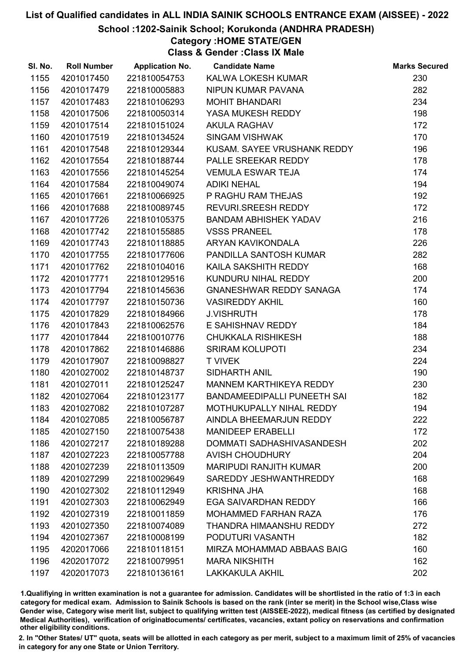#### School :1202-Sainik School; Korukonda (ANDHRA PRADESH)

Category :HOME STATE/GEN

Class & Gender :Class IX Male

| SI. No. | <b>Roll Number</b> | <b>Application No.</b> | <b>Candidate Name</b>         | <b>Marks Secured</b> |
|---------|--------------------|------------------------|-------------------------------|----------------------|
| 1155    | 4201017450         | 221810054753           | KALWA LOKESH KUMAR            | 230                  |
| 1156    | 4201017479         | 221810005883           | NIPUN KUMAR PAVANA            | 282                  |
| 1157    | 4201017483         | 221810106293           | <b>MOHIT BHANDARI</b>         | 234                  |
| 1158    | 4201017506         | 221810050314           | YASA MUKESH REDDY             | 198                  |
| 1159    | 4201017514         | 221810151024           | <b>AKULA RAGHAV</b>           | 172                  |
| 1160    | 4201017519         | 221810134524           | <b>SINGAM VISHWAK</b>         | 170                  |
| 1161    | 4201017548         | 221810129344           | KUSAM. SAYEE VRUSHANK REDDY   | 196                  |
| 1162    | 4201017554         | 221810188744           | PALLE SREEKAR REDDY           | 178                  |
| 1163    | 4201017556         | 221810145254           | <b>VEMULA ESWAR TEJA</b>      | 174                  |
| 1164    | 4201017584         | 221810049074           | <b>ADIKI NEHAL</b>            | 194                  |
| 1165    | 4201017661         | 221810066925           | P RAGHU RAM THEJAS            | 192                  |
| 1166    | 4201017688         | 221810089745           | REVURI.SREESH REDDY           | 172                  |
| 1167    | 4201017726         | 221810105375           | <b>BANDAM ABHISHEK YADAV</b>  | 216                  |
| 1168    | 4201017742         | 221810155885           | <b>VSSS PRANEEL</b>           | 178                  |
| 1169    | 4201017743         | 221810118885           | ARYAN KAVIKONDALA             | 226                  |
| 1170    | 4201017755         | 221810177606           | PANDILLA SANTOSH KUMAR        | 282                  |
| 1171    | 4201017762         | 221810104016           | KAILA SAKSHITH REDDY          | 168                  |
| 1172    | 4201017771         | 221810129516           | KUNDURU NIHAL REDDY           | 200                  |
| 1173    | 4201017794         | 221810145636           | GNANESHWAR REDDY SANAGA       | 174                  |
| 1174    | 4201017797         | 221810150736           | <b>VASIREDDY AKHIL</b>        | 160                  |
| 1175    | 4201017829         | 221810184966           | <b>J.VISHRUTH</b>             | 178                  |
| 1176    | 4201017843         | 221810062576           | E SAHISHNAV REDDY             | 184                  |
| 1177    | 4201017844         | 221810010776           | CHUKKALA RISHIKESH            | 188                  |
| 1178    | 4201017862         | 221810146886           | <b>SRIRAM KOLUPOTI</b>        | 234                  |
| 1179    | 4201017907         | 221810098827           | <b>T VIVEK</b>                | 224                  |
| 1180    | 4201027002         | 221810148737           | SIDHARTH ANIL                 | 190                  |
| 1181    | 4201027011         | 221810125247           | MANNEM KARTHIKEYA REDDY       | 230                  |
| 1182    | 4201027064         | 221810123177           | BANDAMEEDIPALLI PUNEETH SAI   | 182                  |
| 1183    | 4201027082         | 221810107287           | MOTHUKUPALLY NIHAL REDDY      | 194                  |
| 1184    | 4201027085         | 221810056787           | AINDLA BHEEMARJUN REDDY       | 222                  |
| 1185    | 4201027150         | 221810075438           | <b>MANIDEEP ERABELLI</b>      | 172                  |
| 1186    | 4201027217         | 221810189288           | DOMMATI SADHASHIVASANDESH     | 202                  |
| 1187    | 4201027223         | 221810057788           | <b>AVISH CHOUDHURY</b>        | 204                  |
| 1188    | 4201027239         | 221810113509           | <b>MARIPUDI RANJITH KUMAR</b> | 200                  |
| 1189    | 4201027299         | 221810029649           | SAREDDY JESHWANTHREDDY        | 168                  |
| 1190    | 4201027302         | 221810112949           | <b>KRISHNA JHA</b>            | 168                  |
| 1191    | 4201027303         | 221810062949           | <b>EGA SAIVARDHAN REDDY</b>   | 166                  |
| 1192    | 4201027319         | 221810011859           | <b>MOHAMMED FARHAN RAZA</b>   | 176                  |
| 1193    | 4201027350         | 221810074089           | THANDRA HIMAANSHU REDDY       | 272                  |
| 1194    | 4201027367         | 221810008199           | PODUTURI VASANTH              | 182                  |
| 1195    | 4202017066         | 221810118151           | MIRZA MOHAMMAD ABBAAS BAIG    | 160                  |
| 1196    | 4202017072         | 221810079951           | <b>MARA NIKSHITH</b>          | 162                  |
| 1197    | 4202017073         | 221810136161           | <b>LAKKAKULA AKHIL</b>        | 202                  |

1.Qualifiying in written examination is not a guarantee for admission. Candidates will be shortlisted in the ratio of 1:3 in each category for medical exam. Admission to Sainik Schools is based on the rank (inter se merit) in the School wise,Class wise Gender wise, Category wise merit list, subject to qualifying written test (AISSEE-2022), medical fitness (as certified by designated Medical Authorities), verification of originablocuments/ certificates, vacancies, extant policy on reservations and confirmation other eligibility conditions.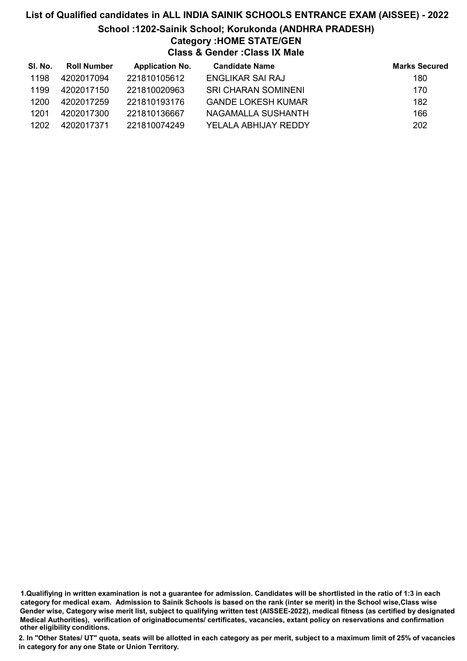# List of Qualified candidates in ALL INDIA SAINIK SCHOOLS ENTRANCE EXAM (AISSEE) - 2022 School :1202-Sainik School; Korukonda (ANDHRA PRADESH) Category :HOME STATE/GEN Class & Gender :Class IX Male

| SI. No. | <b>Roll Number</b> | <b>Application No.</b> | <b>Candidate Name</b>      | <b>Marks Secured</b> |
|---------|--------------------|------------------------|----------------------------|----------------------|
| 1198    | 4202017094         | 221810105612           | ENGLIKAR SAI RAJ           | 180                  |
| 1199    | 4202017150         | 221810020963           | <b>SRI CHARAN SOMINENI</b> | 170                  |
| 1200    | 4202017259         | 221810193176           | <b>GANDE LOKESH KUMAR</b>  | 182                  |
| 1201    | 4202017300         | 221810136667           | NAGAMALLA SUSHANTH         | 166                  |
| 1202    | 4202017371         | 221810074249           | YELALA ABHIJAY REDDY       | 202                  |

1.Qualifiying in written examination is not a guarantee for admission. Candidates will be shortlisted in the ratio of 1:3 in each category for medical exam. Admission to Sainik Schools is based on the rank (inter se merit) in the School wise,Class wise Gender wise, Category wise merit list, subject to qualifying written test (AISSEE-2022), medical fitness (as certified by designated Medical Authorities), verification of originablocuments/ certificates, vacancies, extant policy on reservations and confirmation other eligibility conditions.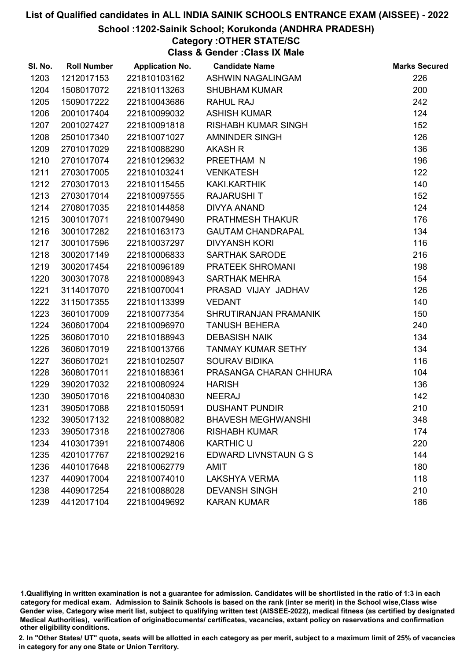#### School :1202-Sainik School; Korukonda (ANDHRA PRADESH)

## Category :OTHER STATE/SC

Class & Gender :Class IX Male

| SI. No. | <b>Roll Number</b> | <b>Application No.</b> | <b>Candidate Name</b>     | <b>Marks Secured</b> |
|---------|--------------------|------------------------|---------------------------|----------------------|
| 1203    | 1212017153         | 221810103162           | ASHWIN NAGALINGAM         | 226                  |
| 1204    | 1508017072         | 221810113263           | <b>SHUBHAM KUMAR</b>      | 200                  |
| 1205    | 1509017222         | 221810043686           | <b>RAHUL RAJ</b>          | 242                  |
| 1206    | 2001017404         | 221810099032           | <b>ASHISH KUMAR</b>       | 124                  |
| 1207    | 2001027427         | 221810091818           | RISHABH KUMAR SINGH       | 152                  |
| 1208    | 2501017340         | 221810071027           | AMNINDER SINGH            | 126                  |
| 1209    | 2701017029         | 221810088290           | <b>AKASH R</b>            | 136                  |
| 1210    | 2701017074         | 221810129632           | PREETHAM N                | 196                  |
| 1211    | 2703017005         | 221810103241           | <b>VENKATESH</b>          | 122                  |
| 1212    | 2703017013         | 221810115455           | KAKI.KARTHIK              | 140                  |
| 1213    | 2703017014         | 221810097555           | <b>RAJARUSHIT</b>         | 152                  |
| 1214    | 2708017035         | 221810144858           | DIVYA ANAND               | 124                  |
| 1215    | 3001017071         | 221810079490           | PRATHMESH THAKUR          | 176                  |
| 1216    | 3001017282         | 221810163173           | <b>GAUTAM CHANDRAPAL</b>  | 134                  |
| 1217    | 3001017596         | 221810037297           | <b>DIVYANSH KORI</b>      | 116                  |
| 1218    | 3002017149         | 221810006833           | <b>SARTHAK SARODE</b>     | 216                  |
| 1219    | 3002017454         | 221810096189           | PRATEEK SHROMANI          | 198                  |
| 1220    | 3003017078         | 221810008943           | <b>SARTHAK MEHRA</b>      | 154                  |
| 1221    | 3114017070         | 221810070041           | PRASAD VIJAY JADHAV       | 126                  |
| 1222    | 3115017355         | 221810113399           | <b>VEDANT</b>             | 140                  |
| 1223    | 3601017009         | 221810077354           | SHRUTIRANJAN PRAMANIK     | 150                  |
| 1224    | 3606017004         | 221810096970           | <b>TANUSH BEHERA</b>      | 240                  |
| 1225    | 3606017010         | 221810188943           | <b>DEBASISH NAIK</b>      | 134                  |
| 1226    | 3606017019         | 221810013766           | TANMAY KUMAR SETHY        | 134                  |
| 1227    | 3606017021         | 221810102507           | <b>SOURAV BIDIKA</b>      | 116                  |
| 1228    | 3608017011         | 221810188361           | PRASANGA CHARAN CHHURA    | 104                  |
| 1229    | 3902017032         | 221810080924           | <b>HARISH</b>             | 136                  |
| 1230    | 3905017016         | 221810040830           | <b>NEERAJ</b>             | 142                  |
| 1231    | 3905017088         | 221810150591           | <b>DUSHANT PUNDIR</b>     | 210                  |
| 1232    | 3905017132         | 221810088082           | <b>BHAVESH MEGHWANSHI</b> | 348                  |
| 1233    | 3905017318         | 221810027806           | <b>RISHABH KUMAR</b>      | 174                  |
| 1234    | 4103017391         | 221810074806           | <b>KARTHIC U</b>          | 220                  |
| 1235    | 4201017767         | 221810029216           | EDWARD LIVNSTAUN G S      | 144                  |
| 1236    | 4401017648         | 221810062779           | <b>AMIT</b>               | 180                  |
| 1237    | 4409017004         | 221810074010           | <b>LAKSHYA VERMA</b>      | 118                  |
| 1238    | 4409017254         | 221810088028           | <b>DEVANSH SINGH</b>      | 210                  |
| 1239    | 4412017104         | 221810049692           | <b>KARAN KUMAR</b>        | 186                  |

1.Qualifiying in written examination is not a guarantee for admission. Candidates will be shortlisted in the ratio of 1:3 in each category for medical exam. Admission to Sainik Schools is based on the rank (inter se merit) in the School wise,Class wise Gender wise, Category wise merit list, subject to qualifying written test (AISSEE-2022), medical fitness (as certified by designated Medical Authorities), verification of originablocuments/ certificates, vacancies, extant policy on reservations and confirmation other eligibility conditions.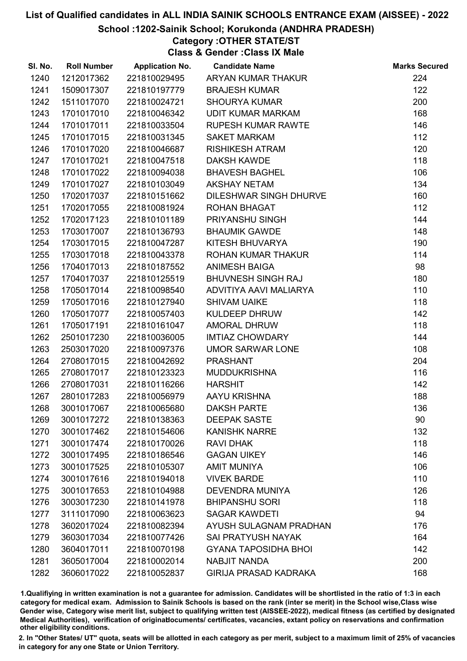#### School :1202-Sainik School; Korukonda (ANDHRA PRADESH)

## Category :OTHER STATE/ST

Class & Gender :Class IX Male

| SI. No. | <b>Roll Number</b> | <b>Application No.</b> | <b>Candidate Name</b>        | <b>Marks Secured</b> |
|---------|--------------------|------------------------|------------------------------|----------------------|
| 1240    | 1212017362         | 221810029495           | ARYAN KUMAR THAKUR           | 224                  |
| 1241    | 1509017307         | 221810197779           | <b>BRAJESH KUMAR</b>         | 122                  |
| 1242    | 1511017070         | 221810024721           | <b>SHOURYA KUMAR</b>         | 200                  |
| 1243    | 1701017010         | 221810046342           | UDIT KUMAR MARKAM            | 168                  |
| 1244    | 1701017011         | 221810033504           | RUPESH KUMAR RAWTE           | 146                  |
| 1245    | 1701017015         | 221810031345           | <b>SAKET MARKAM</b>          | 112                  |
| 1246    | 1701017020         | 221810046687           | <b>RISHIKESH ATRAM</b>       | 120                  |
| 1247    | 1701017021         | 221810047518           | <b>DAKSH KAWDE</b>           | 118                  |
| 1248    | 1701017022         | 221810094038           | <b>BHAVESH BAGHEL</b>        | 106                  |
| 1249    | 1701017027         | 221810103049           | <b>AKSHAY NETAM</b>          | 134                  |
| 1250    | 1702017037         | 221810151662           | DILESHWAR SINGH DHURVE       | 160                  |
| 1251    | 1702017055         | 221810081924           | <b>ROHAN BHAGAT</b>          | 112                  |
| 1252    | 1702017123         | 221810101189           | <b>PRIYANSHU SINGH</b>       | 144                  |
| 1253    | 1703017007         | 221810136793           | <b>BHAUMIK GAWDE</b>         | 148                  |
| 1254    | 1703017015         | 221810047287           | KITESH BHUVARYA              | 190                  |
| 1255    | 1703017018         | 221810043378           | ROHAN KUMAR THAKUR           | 114                  |
| 1256    | 1704017013         | 221810187552           | <b>ANIMESH BAIGA</b>         | 98                   |
| 1257    | 1704017037         | 221810125519           | <b>BHUVNESH SINGH RAJ</b>    | 180                  |
| 1258    | 1705017014         | 221810098540           | ADVITIYA AAVI MALIARYA       | 110                  |
| 1259    | 1705017016         | 221810127940           | <b>SHIVAM UAIKE</b>          | 118                  |
| 1260    | 1705017077         | 221810057403           | KULDEEP DHRUW                | 142                  |
| 1261    | 1705017191         | 221810161047           | <b>AMORAL DHRUW</b>          | 118                  |
| 1262    | 2501017230         | 221810036005           | <b>IMTIAZ CHOWDARY</b>       | 144                  |
| 1263    | 2503017020         | 221810097376           | UMOR SARWAR LONE             | 108                  |
| 1264    | 2708017015         | 221810042692           | <b>PRASHANT</b>              | 204                  |
| 1265    | 2708017017         | 221810123323           | <b>MUDDUKRISHNA</b>          | 116                  |
| 1266    | 2708017031         | 221810116266           | <b>HARSHIT</b>               | 142                  |
| 1267    | 2801017283         | 221810056979           | AAYU KRISHNA                 | 188                  |
| 1268    | 3001017067         | 221810065680           | <b>DAKSH PARTE</b>           | 136                  |
| 1269    | 3001017272         | 221810138363           | <b>DEEPAK SASTE</b>          | 90                   |
| 1270    | 3001017462         | 221810154606           | <b>KANISHK NARRE</b>         | 132                  |
| 1271    | 3001017474         | 221810170026           | <b>RAVI DHAK</b>             | 118                  |
| 1272    | 3001017495         | 221810186546           | <b>GAGAN UIKEY</b>           | 146                  |
| 1273    | 3001017525         | 221810105307           | <b>AMIT MUNIYA</b>           | 106                  |
| 1274    | 3001017616         | 221810194018           | <b>VIVEK BARDE</b>           | 110                  |
| 1275    | 3001017653         | 221810104988           | <b>DEVENDRA MUNIYA</b>       | 126                  |
| 1276    | 3003017230         | 221810141978           | <b>BHIPANSHU SORI</b>        | 118                  |
| 1277    | 3111017090         | 221810063623           | <b>SAGAR KAWDETI</b>         | 94                   |
| 1278    | 3602017024         | 221810082394           | AYUSH SULAGNAM PRADHAN       | 176                  |
| 1279    | 3603017034         | 221810077426           | <b>SAI PRATYUSH NAYAK</b>    | 164                  |
| 1280    | 3604017011         | 221810070198           | <b>GYANA TAPOSIDHA BHOI</b>  | 142                  |
| 1281    | 3605017004         | 221810002014           | <b>NABJIT NANDA</b>          | 200                  |
| 1282    | 3606017022         | 221810052837           | <b>GIRIJA PRASAD KADRAKA</b> | 168                  |

1.Qualifiying in written examination is not a guarantee for admission. Candidates will be shortlisted in the ratio of 1:3 in each category for medical exam. Admission to Sainik Schools is based on the rank (inter se merit) in the School wise,Class wise Gender wise, Category wise merit list, subject to qualifying written test (AISSEE-2022), medical fitness (as certified by designated Medical Authorities), verification of originablocuments/ certificates, vacancies, extant policy on reservations and confirmation other eligibility conditions.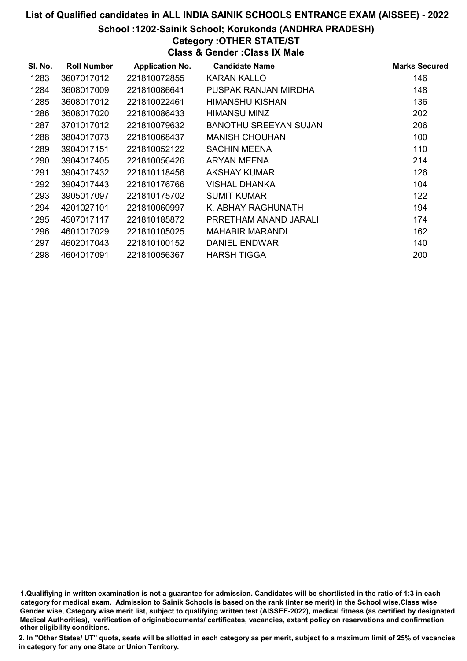School :1202-Sainik School; Korukonda (ANDHRA PRADESH)

# Category :OTHER STATE/ST

Class & Gender :Class IX Male

| SI. No. | <b>Roll Number</b> | <b>Application No.</b> | <b>Candidate Name</b>  | <b>Marks Secured</b> |
|---------|--------------------|------------------------|------------------------|----------------------|
| 1283    | 3607017012         | 221810072855           | KARAN KALLO            | 146                  |
| 1284    | 3608017009         | 221810086641           | PUSPAK RANJAN MIRDHA   | 148                  |
| 1285    | 3608017012         | 221810022461           | <b>HIMANSHU KISHAN</b> | 136                  |
| 1286    | 3608017020         | 221810086433           | HIMANSU MINZ           | 202                  |
| 1287    | 3701017012         | 221810079632           | BANOTHU SREEYAN SUJAN  | 206                  |
| 1288    | 3804017073         | 221810068437           | <b>MANISH CHOUHAN</b>  | 100                  |
| 1289    | 3904017151         | 221810052122           | <b>SACHIN MEENA</b>    | 110                  |
| 1290    | 3904017405         | 221810056426           | ARYAN MEENA            | 214                  |
| 1291    | 3904017432         | 221810118456           | AKSHAY KUMAR           | 126                  |
| 1292    | 3904017443         | 221810176766           | VISHAL DHANKA          | 104                  |
| 1293    | 3905017097         | 221810175702           | <b>SUMIT KUMAR</b>     | 122                  |
| 1294    | 4201027101         | 221810060997           | K. ABHAY RAGHUNATH     | 194                  |
| 1295    | 4507017117         | 221810185872           | PRRETHAM ANAND JARALI  | 174                  |
| 1296    | 4601017029         | 221810105025           | <b>MAHABIR MARANDI</b> | 162                  |
| 1297    | 4602017043         | 221810100152           | DANIEL ENDWAR          | 140                  |
| 1298    | 4604017091         | 221810056367           | <b>HARSH TIGGA</b>     | 200                  |

<sup>1.</sup>Qualifiying in written examination is not a guarantee for admission. Candidates will be shortlisted in the ratio of 1:3 in each category for medical exam. Admission to Sainik Schools is based on the rank (inter se merit) in the School wise,Class wise Gender wise, Category wise merit list, subject to qualifying written test (AISSEE-2022), medical fitness (as certified by designated Medical Authorities), verification of originablocuments/ certificates, vacancies, extant policy on reservations and confirmation other eligibility conditions.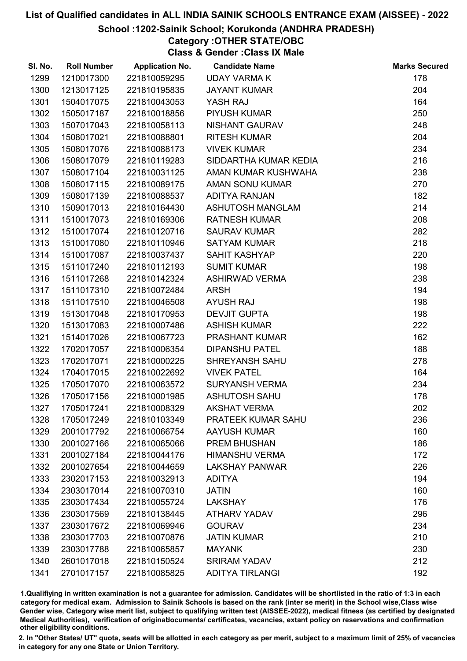#### School :1202-Sainik School; Korukonda (ANDHRA PRADESH)

# Category :OTHER STATE/OBC

Class & Gender :Class IX Male

| SI. No. | <b>Roll Number</b> | <b>Application No.</b> | <b>Candidate Name</b>  | <b>Marks Secured</b> |
|---------|--------------------|------------------------|------------------------|----------------------|
| 1299    | 1210017300         | 221810059295           | <b>UDAY VARMA K</b>    | 178                  |
| 1300    | 1213017125         | 221810195835           | <b>JAYANT KUMAR</b>    | 204                  |
| 1301    | 1504017075         | 221810043053           | YASH RAJ               | 164                  |
| 1302    | 1505017187         | 221810018856           | <b>PIYUSH KUMAR</b>    | 250                  |
| 1303    | 1507017043         | 221810058113           | NISHANT GAURAV         | 248                  |
| 1304    | 1508017021         | 221810088801           | <b>RITESH KUMAR</b>    | 204                  |
| 1305    | 1508017076         | 221810088173           | <b>VIVEK KUMAR</b>     | 234                  |
| 1306    | 1508017079         | 221810119283           | SIDDARTHA KUMAR KEDIA  | 216                  |
| 1307    | 1508017104         | 221810031125           | AMAN KUMAR KUSHWAHA    | 238                  |
| 1308    | 1508017115         | 221810089175           | AMAN SONU KUMAR        | 270                  |
| 1309    | 1508017139         | 221810088537           | ADITYA RANJAN          | 182                  |
| 1310    | 1509017013         | 221810164430           | ASHUTOSH MANGLAM       | 214                  |
| 1311    | 1510017073         | 221810169306           | <b>RATNESH KUMAR</b>   | 208                  |
| 1312    | 1510017074         | 221810120716           | <b>SAURAV KUMAR</b>    | 282                  |
| 1313    | 1510017080         | 221810110946           | <b>SATYAM KUMAR</b>    | 218                  |
| 1314    | 1510017087         | 221810037437           | SAHIT KASHYAP          | 220                  |
| 1315    | 1511017240         | 221810112193           | <b>SUMIT KUMAR</b>     | 198                  |
| 1316    | 1511017268         | 221810142324           | <b>ASHIRWAD VERMA</b>  | 238                  |
| 1317    | 1511017310         | 221810072484           | <b>ARSH</b>            | 194                  |
| 1318    | 1511017510         | 221810046508           | <b>AYUSH RAJ</b>       | 198                  |
| 1319    | 1513017048         | 221810170953           | <b>DEVJIT GUPTA</b>    | 198                  |
| 1320    | 1513017083         | 221810007486           | <b>ASHISH KUMAR</b>    | 222                  |
| 1321    | 1514017026         | 221810067723           | PRASHANT KUMAR         | 162                  |
| 1322    | 1702017057         | 221810006354           | <b>DIPANSHU PATEL</b>  | 188                  |
| 1323    | 1702017071         | 221810000225           | <b>SHREYANSH SAHU</b>  | 278                  |
| 1324    | 1704017015         | 221810022692           | <b>VIVEK PATEL</b>     | 164                  |
| 1325    | 1705017070         | 221810063572           | <b>SURYANSH VERMA</b>  | 234                  |
| 1326    | 1705017156         | 221810001985           | <b>ASHUTOSH SAHU</b>   | 178                  |
| 1327    | 1705017241         | 221810008329           | <b>AKSHAT VERMA</b>    | 202                  |
| 1328    | 1705017249         | 221810103349           | PRATEEK KUMAR SAHU     | 236                  |
| 1329    | 2001017792         | 221810066754           | <b>AAYUSH KUMAR</b>    | 160                  |
| 1330    | 2001027166         | 221810065066           | PREM BHUSHAN           | 186                  |
| 1331    | 2001027184         | 221810044176           | <b>HIMANSHU VERMA</b>  | 172                  |
| 1332    | 2001027654         | 221810044659           | <b>LAKSHAY PANWAR</b>  | 226                  |
| 1333    | 2302017153         | 221810032913           | <b>ADITYA</b>          | 194                  |
| 1334    | 2303017014         | 221810070310           | <b>JATIN</b>           | 160                  |
| 1335    | 2303017434         | 221810055724           | <b>LAKSHAY</b>         | 176                  |
| 1336    | 2303017569         | 221810138445           | <b>ATHARV YADAV</b>    | 296                  |
| 1337    | 2303017672         | 221810069946           | <b>GOURAV</b>          | 234                  |
| 1338    | 2303017703         | 221810070876           | <b>JATIN KUMAR</b>     | 210                  |
| 1339    | 2303017788         | 221810065857           | <b>MAYANK</b>          | 230                  |
| 1340    | 2601017018         | 221810150524           | <b>SRIRAM YADAV</b>    | 212                  |
| 1341    | 2701017157         | 221810085825           | <b>ADITYA TIRLANGI</b> | 192                  |

1.Qualifiying in written examination is not a guarantee for admission. Candidates will be shortlisted in the ratio of 1:3 in each category for medical exam. Admission to Sainik Schools is based on the rank (inter se merit) in the School wise,Class wise Gender wise, Category wise merit list, subject to qualifying written test (AISSEE-2022), medical fitness (as certified by designated Medical Authorities), verification of originablocuments/ certificates, vacancies, extant policy on reservations and confirmation other eligibility conditions.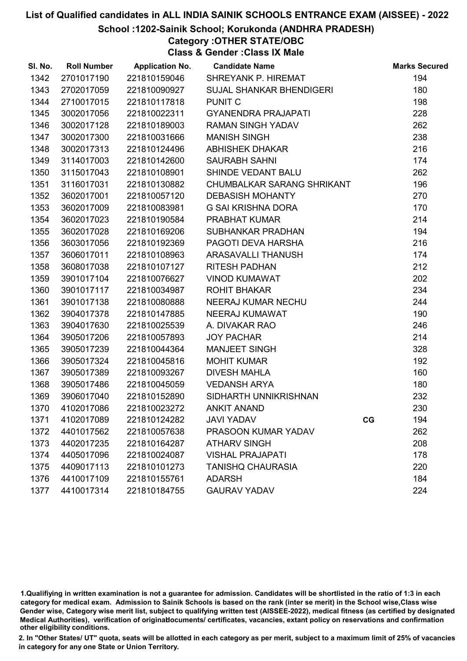#### School :1202-Sainik School; Korukonda (ANDHRA PRADESH)

# Category :OTHER STATE/OBC

Class & Gender :Class IX Male

| SI. No. | <b>Roll Number</b> | <b>Application No.</b> | <b>Candidate Name</b>           |    | <b>Marks Secured</b> |
|---------|--------------------|------------------------|---------------------------------|----|----------------------|
| 1342    | 2701017190         | 221810159046           | SHREYANK P. HIREMAT             |    | 194                  |
| 1343    | 2702017059         | 221810090927           | <b>SUJAL SHANKAR BHENDIGERI</b> |    | 180                  |
| 1344    | 2710017015         | 221810117818           | <b>PUNIT C</b>                  |    | 198                  |
| 1345    | 3002017056         | 221810022311           | <b>GYANENDRA PRAJAPATI</b>      |    | 228                  |
| 1346    | 3002017128         | 221810189003           | <b>RAMAN SINGH YADAV</b>        |    | 262                  |
| 1347    | 3002017300         | 221810031666           | <b>MANISH SINGH</b>             |    | 238                  |
| 1348    | 3002017313         | 221810124496           | <b>ABHISHEK DHAKAR</b>          |    | 216                  |
| 1349    | 3114017003         | 221810142600           | <b>SAURABH SAHNI</b>            |    | 174                  |
| 1350    | 3115017043         | 221810108901           | SHINDE VEDANT BALU              |    | 262                  |
| 1351    | 3116017031         | 221810130882           | CHUMBALKAR SARANG SHRIKANT      |    | 196                  |
| 1352    | 3602017001         | 221810057120           | <b>DEBASISH MOHANTY</b>         |    | 270                  |
| 1353    | 3602017009         | 221810083981           | G SAI KRISHNA DORA              |    | 170                  |
| 1354    | 3602017023         | 221810190584           | PRABHAT KUMAR                   |    | 214                  |
| 1355    | 3602017028         | 221810169206           | SUBHANKAR PRADHAN               |    | 194                  |
| 1356    | 3603017056         | 221810192369           | PAGOTI DEVA HARSHA              |    | 216                  |
| 1357    | 3606017011         | 221810108963           | ARASAVALLI THANUSH              |    | 174                  |
| 1358    | 3608017038         | 221810107127           | <b>RITESH PADHAN</b>            |    | 212                  |
| 1359    | 3901017104         | 221810076627           | <b>VINOD KUMAWAT</b>            |    | 202                  |
| 1360    | 3901017117         | 221810034987           | <b>ROHIT BHAKAR</b>             |    | 234                  |
| 1361    | 3901017138         | 221810080888           | NEERAJ KUMAR NECHU              |    | 244                  |
| 1362    | 3904017378         | 221810147885           | NEERAJ KUMAWAT                  |    | 190                  |
| 1363    | 3904017630         | 221810025539           | A. DIVAKAR RAO                  |    | 246                  |
| 1364    | 3905017206         | 221810057893           | <b>JOY PACHAR</b>               |    | 214                  |
| 1365    | 3905017239         | 221810044364           | <b>MANJEET SINGH</b>            |    | 328                  |
| 1366    | 3905017324         | 221810045816           | <b>MOHIT KUMAR</b>              |    | 192                  |
| 1367    | 3905017389         | 221810093267           | <b>DIVESH MAHLA</b>             |    | 160                  |
| 1368    | 3905017486         | 221810045059           | <b>VEDANSH ARYA</b>             |    | 180                  |
| 1369    | 3906017040         | 221810152890           | SIDHARTH UNNIKRISHNAN           |    | 232                  |
| 1370    | 4102017086         | 221810023272           | <b>ANKIT ANAND</b>              |    | 230                  |
| 1371    | 4102017089         | 221810124282           | <b>JAVI YADAV</b>               | CG | 194                  |
| 1372    | 4401017562         | 221810057638           | PRASOON KUMAR YADAV             |    | 262                  |
| 1373    | 4402017235         | 221810164287           | <b>ATHARV SINGH</b>             |    | 208                  |
| 1374    | 4405017096         | 221810024087           | <b>VISHAL PRAJAPATI</b>         |    | 178                  |
| 1375    | 4409017113         | 221810101273           | <b>TANISHQ CHAURASIA</b>        |    | 220                  |
| 1376    | 4410017109         | 221810155761           | <b>ADARSH</b>                   |    | 184                  |
| 1377    | 4410017314         | 221810184755           | <b>GAURAV YADAV</b>             |    | 224                  |

1.Qualifiying in written examination is not a guarantee for admission. Candidates will be shortlisted in the ratio of 1:3 in each category for medical exam. Admission to Sainik Schools is based on the rank (inter se merit) in the School wise,Class wise Gender wise, Category wise merit list, subject to qualifying written test (AISSEE-2022), medical fitness (as certified by designated Medical Authorities), verification of originablocuments/ certificates, vacancies, extant policy on reservations and confirmation other eligibility conditions.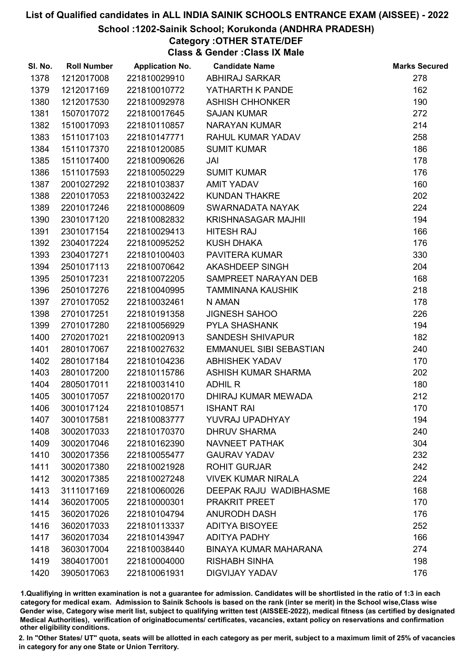#### School :1202-Sainik School; Korukonda (ANDHRA PRADESH)

# Category :OTHER STATE/DEF

Class & Gender :Class IX Male

| SI. No. | <b>Roll Number</b> | <b>Application No.</b> | <b>Candidate Name</b>        | <b>Marks Secured</b> |
|---------|--------------------|------------------------|------------------------------|----------------------|
| 1378    | 1212017008         | 221810029910           | <b>ABHIRAJ SARKAR</b>        | 278                  |
| 1379    | 1212017169         | 221810010772           | YATHARTH K PANDE             | 162                  |
| 1380    | 1212017530         | 221810092978           | <b>ASHISH CHHONKER</b>       | 190                  |
| 1381    | 1507017072         | 221810017645           | <b>SAJAN KUMAR</b>           | 272                  |
| 1382    | 1510017093         | 221810110857           | NARAYAN KUMAR                | 214                  |
| 1383    | 1511017103         | 221810147771           | RAHUL KUMAR YADAV            | 258                  |
| 1384    | 1511017370         | 221810120085           | <b>SUMIT KUMAR</b>           | 186                  |
| 1385    | 1511017400         | 221810090626           | JAI                          | 178                  |
| 1386    | 1511017593         | 221810050229           | <b>SUMIT KUMAR</b>           | 176                  |
| 1387    | 2001027292         | 221810103837           | <b>AMIT YADAV</b>            | 160                  |
| 1388    | 2201017053         | 221810032422           | <b>KUNDAN THAKRE</b>         | 202                  |
| 1389    | 2201017246         | 221810008609           | SWARNADATA NAYAK             | 224                  |
| 1390    | 2301017120         | 221810082832           | KRISHNASAGAR MAJHII          | 194                  |
| 1391    | 2301017154         | 221810029413           | <b>HITESH RAJ</b>            | 166                  |
| 1392    | 2304017224         | 221810095252           | <b>KUSH DHAKA</b>            | 176                  |
| 1393    | 2304017271         | 221810100403           | <b>PAVITERA KUMAR</b>        | 330                  |
| 1394    | 2501017113         | 221810070642           | AKASHDEEP SINGH              | 204                  |
| 1395    | 2501017231         | 221810072205           | SAMPREET NARAYAN DEB         | 168                  |
| 1396    | 2501017276         | 221810040995           | <b>TAMMINANA KAUSHIK</b>     | 218                  |
| 1397    | 2701017052         | 221810032461           | N AMAN                       | 178                  |
| 1398    | 2701017251         | 221810191358           | <b>JIGNESH SAHOO</b>         | 226                  |
| 1399    | 2701017280         | 221810056929           | <b>PYLA SHASHANK</b>         | 194                  |
| 1400    | 2702017021         | 221810020913           | <b>SANDESH SHIVAPUR</b>      | 182                  |
| 1401    | 2801017067         | 221810027632           | EMMANUEL SIBI SEBASTIAN      | 240                  |
| 1402    | 2801017184         | 221810104236           | <b>ABHISHEK YADAV</b>        | 170                  |
| 1403    | 2801017200         | 221810115786           | ASHISH KUMAR SHARMA          | 202                  |
| 1404    | 2805017011         | 221810031410           | <b>ADHIL R</b>               | 180                  |
| 1405    | 3001017057         | 221810020170           | DHIRAJ KUMAR MEWADA          | 212                  |
| 1406    | 3001017124         | 221810108571           | <b>ISHANT RAI</b>            | 170                  |
| 1407    | 3001017581         | 221810083777           | YUVRAJ UPADHYAY              | 194                  |
| 1408    | 3002017033         | 221810170370           | <b>DHRUV SHARMA</b>          | 240                  |
| 1409    | 3002017046         | 221810162390           | <b>NAVNEET PATHAK</b>        | 304                  |
| 1410    | 3002017356         | 221810055477           | <b>GAURAV YADAV</b>          | 232                  |
| 1411    | 3002017380         | 221810021928           | <b>ROHIT GURJAR</b>          | 242                  |
| 1412    | 3002017385         | 221810027248           | <b>VIVEK KUMAR NIRALA</b>    | 224                  |
| 1413    | 3111017169         | 221810060026           | DEEPAK RAJU WADIBHASME       | 168                  |
| 1414    | 3602017005         | 221810000301           | <b>PRAKRIT PREET</b>         | 170                  |
| 1415    | 3602017026         | 221810104794           | <b>ANURODH DASH</b>          | 176                  |
| 1416    | 3602017033         | 221810113337           | <b>ADITYA BISOYEE</b>        | 252                  |
| 1417    | 3602017034         | 221810143947           | <b>ADITYA PADHY</b>          | 166                  |
| 1418    | 3603017004         | 221810038440           | <b>BINAYA KUMAR MAHARANA</b> | 274                  |
| 1419    | 3804017001         | 221810004000           | <b>RISHABH SINHA</b>         | 198                  |
| 1420    | 3905017063         | 221810061931           | <b>DIGVIJAY YADAV</b>        | 176                  |

1.Qualifiying in written examination is not a guarantee for admission. Candidates will be shortlisted in the ratio of 1:3 in each category for medical exam. Admission to Sainik Schools is based on the rank (inter se merit) in the School wise,Class wise Gender wise, Category wise merit list, subject to qualifying written test (AISSEE-2022), medical fitness (as certified by designated Medical Authorities), verification of originablocuments/ certificates, vacancies, extant policy on reservations and confirmation other eligibility conditions.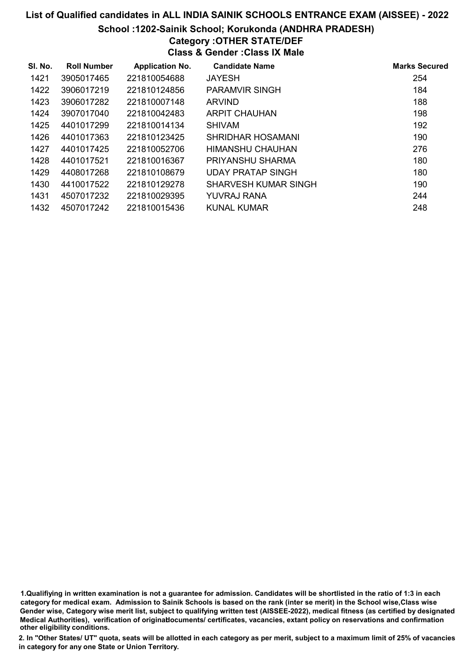School :1202-Sainik School; Korukonda (ANDHRA PRADESH)

# Category : OTHER STATE/DEF

| <b>Class &amp; Gender: Class IX Male</b> |                    |                        |                          |                      |
|------------------------------------------|--------------------|------------------------|--------------------------|----------------------|
| SI. No.                                  | <b>Roll Number</b> | <b>Application No.</b> | <b>Candidate Name</b>    | <b>Marks Secured</b> |
| 1421                                     | 3905017465         | 221810054688           | <b>JAYESH</b>            | 254                  |
| 1422                                     | 3906017219         | 221810124856           | <b>PARAMVIR SINGH</b>    | 184                  |
| 1423                                     | 3906017282         | 221810007148           | <b>ARVIND</b>            | 188                  |
| 1424                                     | 3907017040         | 221810042483           | ARPIT CHAUHAN            | 198                  |
| 1425                                     | 4401017299         | 221810014134           | <b>SHIVAM</b>            | 192                  |
| 1426                                     | 4401017363         | 221810123425           | <b>SHRIDHAR HOSAMANI</b> | 190                  |
| 1427                                     | 4401017425         | 221810052706           | HIMANSHU CHAUHAN         | 276                  |
| 1428                                     | 4401017521         | 221810016367           | PRIYANSHU SHARMA         | 180                  |
| 1429                                     | 4408017268         | 221810108679           | <b>UDAY PRATAP SINGH</b> | 180                  |
| 1430                                     | 4410017522         | 221810129278           | SHARVESH KUMAR SINGH     | 190                  |
| 1431                                     | 4507017232         | 221810029395           | YUVRAJ RANA              | 244                  |
| 1432                                     | 4507017242         | 221810015436           | KUNAL KUMAR              | 248                  |

1.Qualifiying in written examination is not a guarantee for admission. Candidates will be shortlisted in the ratio of 1:3 in each category for medical exam. Admission to Sainik Schools is based on the rank (inter se merit) in the School wise,Class wise Gender wise, Category wise merit list, subject to qualifying written test (AISSEE-2022), medical fitness (as certified by designated Medical Authorities), verification of originablocuments/ certificates, vacancies, extant policy on reservations and confirmation other eligibility conditions.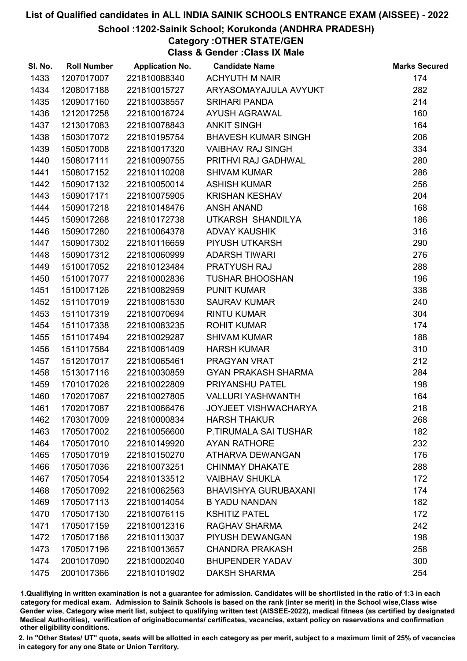#### School :1202-Sainik School; Korukonda (ANDHRA PRADESH)

Category :OTHER STATE/GEN Class & Gender :Class IX Male

| SI. No. | <b>Roll Number</b> | <b>Application No.</b> | <b>Candidate Name</b>       | <b>Marks Secured</b> |
|---------|--------------------|------------------------|-----------------------------|----------------------|
| 1433    | 1207017007         | 221810088340           | <b>ACHYUTH M NAIR</b>       | 174                  |
| 1434    | 1208017188         | 221810015727           | ARYASOMAYAJULA AVYUKT       | 282                  |
| 1435    | 1209017160         | 221810038557           | <b>SRIHARI PANDA</b>        | 214                  |
| 1436    | 1212017258         | 221810016724           | AYUSH AGRAWAL               | 160                  |
| 1437    | 1213017083         | 221810078843           | <b>ANKIT SINGH</b>          | 164                  |
| 1438    | 1503017072         | 221810195754           | <b>BHAVESH KUMAR SINGH</b>  | 206                  |
| 1439    | 1505017008         | 221810017320           | <b>VAIBHAV RAJ SINGH</b>    | 334                  |
| 1440    | 1508017111         | 221810090755           | PRITHVI RAJ GADHWAL         | 280                  |
| 1441    | 1508017152         | 221810110208           | <b>SHIVAM KUMAR</b>         | 286                  |
| 1442    | 1509017132         | 221810050014           | <b>ASHISH KUMAR</b>         | 256                  |
| 1443    | 1509017171         | 221810075905           | KRISHAN KESHAV              | 204                  |
| 1444    | 1509017218         | 221810148476           | <b>ANSH ANAND</b>           | 168                  |
| 1445    | 1509017268         | 221810172738           | UTKARSH SHANDILYA           | 186                  |
| 1446    | 1509017280         | 221810064378           | <b>ADVAY KAUSHIK</b>        | 316                  |
| 1447    | 1509017302         | 221810116659           | PIYUSH UTKARSH              | 290                  |
| 1448    | 1509017312         | 221810060999           | <b>ADARSH TIWARI</b>        | 276                  |
| 1449    | 1510017052         | 221810123484           | PRATYUSH RAJ                | 288                  |
| 1450    | 1510017077         | 221810002836           | <b>TUSHAR BHOOSHAN</b>      | 196                  |
| 1451    | 1510017126         | 221810082959           | <b>PUNIT KUMAR</b>          | 338                  |
| 1452    | 1511017019         | 221810081530           | <b>SAURAV KUMAR</b>         | 240                  |
| 1453    | 1511017319         | 221810070694           | <b>RINTU KUMAR</b>          | 304                  |
| 1454    | 1511017338         | 221810083235           | <b>ROHIT KUMAR</b>          | 174                  |
| 1455    | 1511017494         | 221810029287           | <b>SHIVAM KUMAR</b>         | 188                  |
| 1456    | 1511017584         | 221810061409           | <b>HARSH KUMAR</b>          | 310                  |
| 1457    | 1512017017         | 221810065461           | PRAGYAN VRAT                | 212                  |
| 1458    | 1513017116         | 221810030859           | <b>GYAN PRAKASH SHARMA</b>  | 284                  |
| 1459    | 1701017026         | 221810022809           | PRIYANSHU PATEL             | 198                  |
| 1460    | 1702017067         | 221810027805           | <b>VALLURI YASHWANTH</b>    | 164                  |
| 1461    | 1702017087         | 221810066476           | <b>JOYJEET VISHWACHARYA</b> | 218                  |
| 1462    | 1703017009         | 221810000834           | <b>HARSH THAKUR</b>         | 268                  |
| 1463    | 1705017002         | 221810056600           | P.TIRUMALA SAI TUSHAR       | 182                  |
| 1464    | 1705017010         | 221810149920           | AYAN RATHORE                | 232                  |
| 1465    | 1705017019         | 221810150270           | ATHARVA DEWANGAN            | 176                  |
| 1466    | 1705017036         | 221810073251           | <b>CHINMAY DHAKATE</b>      | 288                  |
| 1467    | 1705017054         | 221810133512           | <b>VAIBHAV SHUKLA</b>       | 172                  |
| 1468    | 1705017092         | 221810062563           | <b>BHAVISHYA GURUBAXANI</b> | 174                  |
| 1469    | 1705017113         | 221810014054           | <b>B YADU NANDAN</b>        | 182                  |
| 1470    | 1705017130         | 221810076115           | <b>KSHITIZ PATEL</b>        | 172                  |
| 1471    | 1705017159         | 221810012316           | RAGHAV SHARMA               | 242                  |
| 1472    | 1705017186         | 221810113037           | PIYUSH DEWANGAN             | 198                  |
| 1473    | 1705017196         | 221810013657           | <b>CHANDRA PRAKASH</b>      | 258                  |
| 1474    | 2001017090         | 221810002040           | <b>BHUPENDER YADAV</b>      | 300                  |
| 1475    | 2001017366         | 221810101902           | <b>DAKSH SHARMA</b>         | 254                  |

1.Qualifiying in written examination is not a guarantee for admission. Candidates will be shortlisted in the ratio of 1:3 in each category for medical exam. Admission to Sainik Schools is based on the rank (inter se merit) in the School wise,Class wise Gender wise, Category wise merit list, subject to qualifying written test (AISSEE-2022), medical fitness (as certified by designated Medical Authorities), verification of originablocuments/ certificates, vacancies, extant policy on reservations and confirmation other eligibility conditions.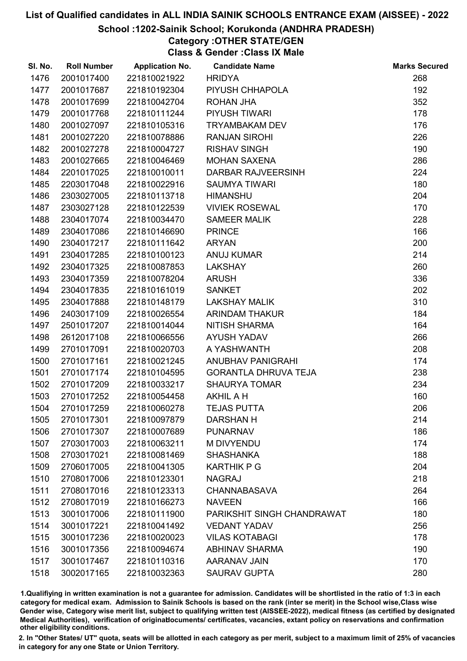#### School :1202-Sainik School; Korukonda (ANDHRA PRADESH)

# Category :OTHER STATE/GEN

Class & Gender :Class IX Male

| SI. No. | <b>Roll Number</b> | <b>Application No.</b> | <b>Candidate Name</b>       | <b>Marks Secured</b> |
|---------|--------------------|------------------------|-----------------------------|----------------------|
| 1476    | 2001017400         | 221810021922           | <b>HRIDYA</b>               | 268                  |
| 1477    | 2001017687         | 221810192304           | PIYUSH CHHAPOLA             | 192                  |
| 1478    | 2001017699         | 221810042704           | ROHAN JHA                   | 352                  |
| 1479    | 2001017768         | 221810111244           | <b>PIYUSH TIWARI</b>        | 178                  |
| 1480    | 2001027097         | 221810105316           | <b>TRYAMBAKAM DEV</b>       | 176                  |
| 1481    | 2001027220         | 221810078886           | <b>RANJAN SIROHI</b>        | 226                  |
| 1482    | 2001027278         | 221810004727           | <b>RISHAV SINGH</b>         | 190                  |
| 1483    | 2001027665         | 221810046469           | <b>MOHAN SAXENA</b>         | 286                  |
| 1484    | 2201017025         | 221810010011           | DARBAR RAJVEERSINH          | 224                  |
| 1485    | 2203017048         | 221810022916           | <b>SAUMYA TIWARI</b>        | 180                  |
| 1486    | 2303027005         | 221810113718           | <b>HIMANSHU</b>             | 204                  |
| 1487    | 2303027128         | 221810122539           | <b>VIVIEK ROSEWAL</b>       | 170                  |
| 1488    | 2304017074         | 221810034470           | <b>SAMEER MALIK</b>         | 228                  |
| 1489    | 2304017086         | 221810146690           | <b>PRINCE</b>               | 166                  |
| 1490    | 2304017217         | 221810111642           | <b>ARYAN</b>                | 200                  |
| 1491    | 2304017285         | 221810100123           | <b>ANUJ KUMAR</b>           | 214                  |
| 1492    | 2304017325         | 221810087853           | <b>LAKSHAY</b>              | 260                  |
| 1493    | 2304017359         | 221810078204           | <b>ARUSH</b>                | 336                  |
| 1494    | 2304017835         | 221810161019           | <b>SANKET</b>               | 202                  |
| 1495    | 2304017888         | 221810148179           | <b>LAKSHAY MALIK</b>        | 310                  |
| 1496    | 2403017109         | 221810026554           | ARINDAM THAKUR              | 184                  |
| 1497    | 2501017207         | 221810014044           | <b>NITISH SHARMA</b>        | 164                  |
| 1498    | 2612017108         | 221810066556           | <b>AYUSH YADAV</b>          | 266                  |
| 1499    | 2701017091         | 221810020703           | A YASHWANTH                 | 208                  |
| 1500    | 2701017161         | 221810021245           | ANUBHAV PANIGRAHI           | 174                  |
| 1501    | 2701017174         | 221810104595           | <b>GORANTLA DHRUVA TEJA</b> | 238                  |
| 1502    | 2701017209         | 221810033217           | <b>SHAURYA TOMAR</b>        | 234                  |
| 1503    | 2701017252         | 221810054458           | <b>AKHIL A H</b>            | 160                  |
| 1504    | 2701017259         | 221810060278           | <b>TEJAS PUTTA</b>          | 206                  |
| 1505    | 2701017301         | 221810097879           | <b>DARSHAN H</b>            | 214                  |
| 1506    | 2701017307         | 221810007689           | <b>PUNARNAV</b>             | 186                  |
| 1507    | 2703017003         | 221810063211           | M DIVYENDU                  | 174                  |
| 1508    | 2703017021         | 221810081469           | <b>SHASHANKA</b>            | 188                  |
| 1509    | 2706017005         | 221810041305           | <b>KARTHIK P G</b>          | 204                  |
| 1510    | 2708017006         | 221810123301           | <b>NAGRAJ</b>               | 218                  |
| 1511    | 2708017016         | 221810123313           | <b>CHANNABASAVA</b>         | 264                  |
| 1512    | 2708017019         | 221810166273           | <b>NAVEEN</b>               | 166                  |
| 1513    | 3001017006         | 221810111900           | PARIKSHIT SINGH CHANDRAWAT  | 180                  |
| 1514    | 3001017221         | 221810041492           | <b>VEDANT YADAV</b>         | 256                  |
| 1515    | 3001017236         | 221810020023           | <b>VILAS KOTABAGI</b>       | 178                  |
| 1516    | 3001017356         | 221810094674           | <b>ABHINAV SHARMA</b>       | 190                  |
| 1517    | 3001017467         | 221810110316           | <b>AARANAV JAIN</b>         | 170                  |
| 1518    | 3002017165         | 221810032363           | <b>SAURAV GUPTA</b>         | 280                  |

1.Qualifiying in written examination is not a guarantee for admission. Candidates will be shortlisted in the ratio of 1:3 in each category for medical exam. Admission to Sainik Schools is based on the rank (inter se merit) in the School wise,Class wise Gender wise, Category wise merit list, subject to qualifying written test (AISSEE-2022), medical fitness (as certified by designated Medical Authorities), verification of originablocuments/ certificates, vacancies, extant policy on reservations and confirmation other eligibility conditions.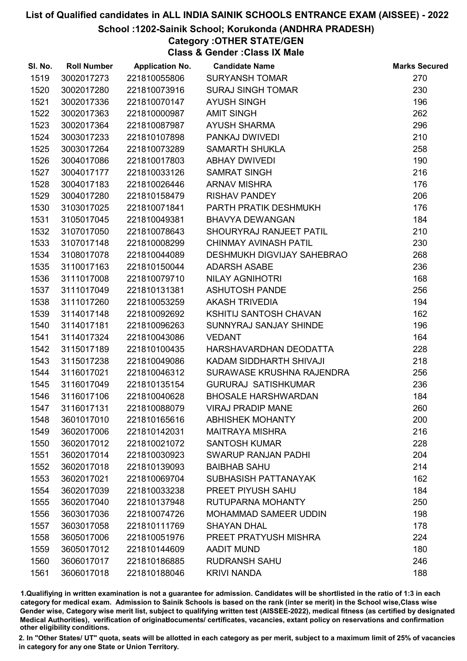#### School :1202-Sainik School; Korukonda (ANDHRA PRADESH)

# Category :OTHER STATE/GEN

Class & Gender :Class IX Male

| SI. No. | <b>Roll Number</b> | <b>Application No.</b> | <b>Candidate Name</b>             | <b>Marks Secured</b> |
|---------|--------------------|------------------------|-----------------------------------|----------------------|
| 1519    | 3002017273         | 221810055806           | <b>SURYANSH TOMAR</b>             | 270                  |
| 1520    | 3002017280         | 221810073916           | <b>SURAJ SINGH TOMAR</b>          | 230                  |
| 1521    | 3002017336         | 221810070147           | <b>AYUSH SINGH</b>                | 196                  |
| 1522    | 3002017363         | 221810000987           | <b>AMIT SINGH</b>                 | 262                  |
| 1523    | 3002017364         | 221810087987           | <b>AYUSH SHARMA</b>               | 296                  |
| 1524    | 3003017233         | 221810107898           | PANKAJ DWIVEDI                    | 210                  |
| 1525    | 3003017264         | 221810073289           | <b>SAMARTH SHUKLA</b>             | 258                  |
| 1526    | 3004017086         | 221810017803           | <b>ABHAY DWIVEDI</b>              | 190                  |
| 1527    | 3004017177         | 221810033126           | <b>SAMRAT SINGH</b>               | 216                  |
| 1528    | 3004017183         | 221810026446           | <b>ARNAV MISHRA</b>               | 176                  |
| 1529    | 3004017280         | 221810158479           | <b>RISHAV PANDEY</b>              | 206                  |
| 1530    | 3103017025         | 221810071841           | PARTH PRATIK DESHMUKH             | 176                  |
| 1531    | 3105017045         | 221810049381           | <b>BHAVYA DEWANGAN</b>            | 184                  |
| 1532    | 3107017050         | 221810078643           | SHOURYRAJ RANJEET PATIL           | 210                  |
| 1533    | 3107017148         | 221810008299           | <b>CHINMAY AVINASH PATIL</b>      | 230                  |
| 1534    | 3108017078         | 221810044089           | <b>DESHMUKH DIGVIJAY SAHEBRAO</b> | 268                  |
| 1535    | 3110017163         | 221810150044           | <b>ADARSH ASABE</b>               | 236                  |
| 1536    | 3111017008         | 221810079710           | NILAY AGNIHOTRI                   | 168                  |
| 1537    | 3111017049         | 221810131381           | <b>ASHUTOSH PANDE</b>             | 256                  |
| 1538    | 3111017260         | 221810053259           | <b>AKASH TRIVEDIA</b>             | 194                  |
| 1539    | 3114017148         | 221810092692           | KSHITIJ SANTOSH CHAVAN            | 162                  |
| 1540    | 3114017181         | 221810096263           | SUNNYRAJ SANJAY SHINDE            | 196                  |
| 1541    | 3114017324         | 221810043086           | <b>VEDANT</b>                     | 164                  |
| 1542    | 3115017189         | 221810100435           | HARSHAVARDHAN DEODATTA            | 228                  |
| 1543    | 3115017238         | 221810049086           | KADAM SIDDHARTH SHIVAJI           | 218                  |
| 1544    | 3116017021         | 221810046312           | SURAWASE KRUSHNA RAJENDRA         | 256                  |
| 1545    | 3116017049         | 221810135154           | <b>GURURAJ SATISHKUMAR</b>        | 236                  |
| 1546    | 3116017106         | 221810040628           | <b>BHOSALE HARSHWARDAN</b>        | 184                  |
| 1547    | 3116017131         | 221810088079           | <b>VIRAJ PRADIP MANE</b>          | 260                  |
| 1548    | 3601017010         | 221810165616           | <b>ABHISHEK MOHANTY</b>           | 200                  |
| 1549    | 3602017006         | 221810142031           | <b>MAITRAYA MISHRA</b>            | 216                  |
| 1550    | 3602017012         | 221810021072           | <b>SANTOSH KUMAR</b>              | 228                  |
| 1551    | 3602017014         | 221810030923           | <b>SWARUP RANJAN PADHI</b>        | 204                  |
| 1552    | 3602017018         | 221810139093           | <b>BAIBHAB SAHU</b>               | 214                  |
| 1553    | 3602017021         | 221810069704           | SUBHASISH PATTANAYAK              | 162                  |
| 1554    | 3602017039         | 221810033238           | PREET PIYUSH SAHU                 | 184                  |
| 1555    | 3602017040         | 221810137948           | RUTUPARNA MOHANTY                 | 250                  |
| 1556    | 3603017036         | 221810074726           | <b>MOHAMMAD SAMEER UDDIN</b>      | 198                  |
| 1557    | 3603017058         | 221810111769           | <b>SHAYAN DHAL</b>                | 178                  |
| 1558    | 3605017006         | 221810051976           | PREET PRATYUSH MISHRA             | 224                  |
| 1559    | 3605017012         | 221810144609           | <b>AADIT MUND</b>                 | 180                  |
| 1560    | 3606017017         | 221810186885           | <b>RUDRANSH SAHU</b>              | 246                  |
| 1561    | 3606017018         | 221810188046           | <b>KRIVI NANDA</b>                | 188                  |

1.Qualifiying in written examination is not a guarantee for admission. Candidates will be shortlisted in the ratio of 1:3 in each category for medical exam. Admission to Sainik Schools is based on the rank (inter se merit) in the School wise,Class wise Gender wise, Category wise merit list, subject to qualifying written test (AISSEE-2022), medical fitness (as certified by designated Medical Authorities), verification of originablocuments/ certificates, vacancies, extant policy on reservations and confirmation other eligibility conditions.